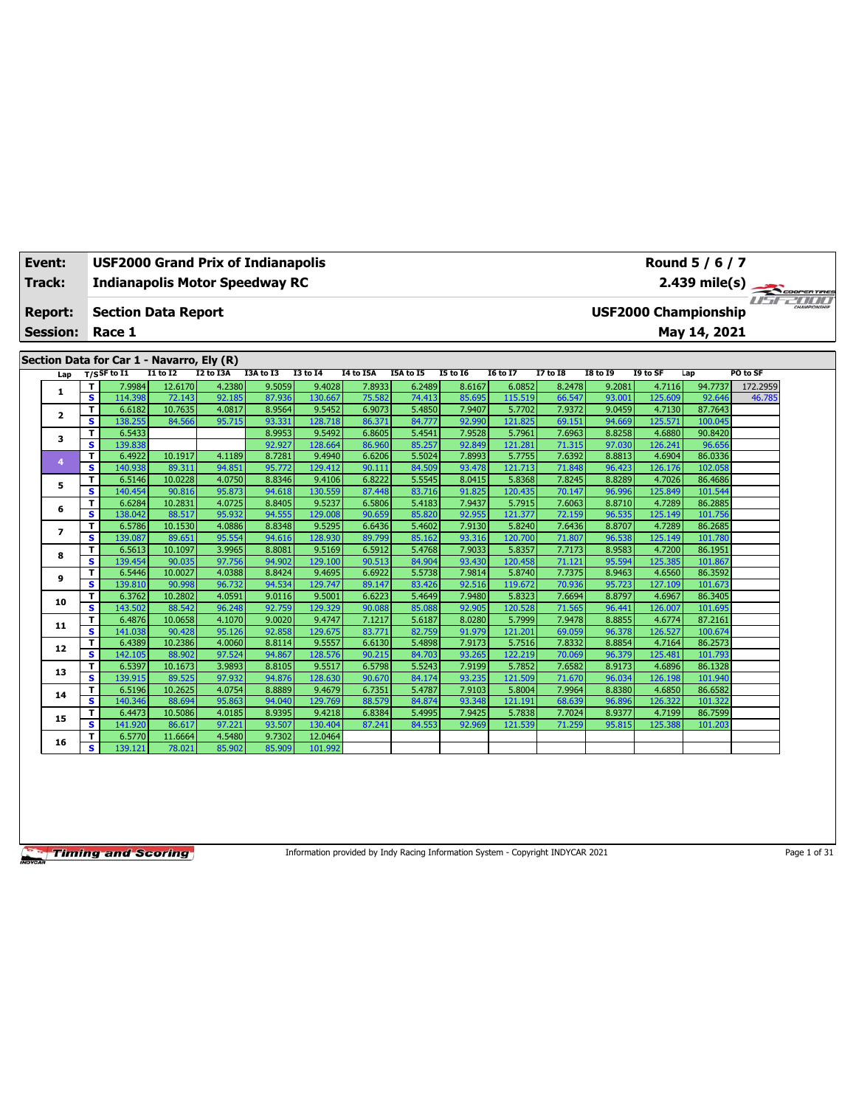| Event:          |                         | <b>USF2000 Grand Prix of Indianapolis</b> |                   |                  |                  |                   |                  |                  |                  |                   |                  |                  |                   | Round 5 / 6 / 7             |               |  |
|-----------------|-------------------------|-------------------------------------------|-------------------|------------------|------------------|-------------------|------------------|------------------|------------------|-------------------|------------------|------------------|-------------------|-----------------------------|---------------|--|
| Track:          |                         | <b>Indianapolis Motor Speedway RC</b>     |                   |                  |                  |                   |                  |                  |                  |                   |                  |                  |                   |                             |               |  |
|                 |                         |                                           |                   |                  |                  |                   |                  |                  |                  |                   |                  |                  |                   |                             | 2.439 mile(s) |  |
| Report:         |                         | <b>Section Data Report</b>                |                   |                  |                  |                   |                  |                  |                  |                   |                  |                  |                   | <b>USF2000 Championship</b> |               |  |
| <b>Session:</b> |                         | Race 1                                    |                   |                  |                  |                   |                  |                  |                  |                   |                  |                  |                   | May 14, 2021                |               |  |
|                 |                         |                                           |                   |                  |                  |                   |                  |                  |                  |                   |                  |                  |                   |                             |               |  |
|                 |                         | Section Data for Car 1 - Navarro, Ely (R) |                   |                  |                  |                   |                  |                  |                  |                   |                  |                  |                   |                             |               |  |
| Lap             |                         | $T/S$ SF to I1                            | <b>I1 to I2</b>   | I2 to I3A        | I3A to I3        | <b>I3 to 14</b>   | I4 to I5A        | I5A to I5        | <b>15 to 16</b>  | <b>16 to 17</b>   | 17 to 18         | <b>I8 to 19</b>  | I9 to SF          | Lap                         | PO to SF      |  |
| 1               | т                       | 7.9984                                    | 12.6170           | 4.2380           | 9.5059           | 9.4028            | 7.8933           | 6.2489           | 8.6167           | 6.0852            | 8.2478           | 9.2081           | 4.7116            | 94.7737                     | 172.2959      |  |
|                 | s                       | 114.398                                   | 72.143            | 92.185           | 87.936           | 130.667           | 75.582           | 74.413           | 85.695           | 115.519           | 66.547           | 93.001           | 125.609           | 92.646                      | 46.785        |  |
| 2               | T                       | 6.6182                                    | 10.7635           | 4.0817           | 8.9564           | 9.5452            | 6.9073           | 5.4850           | 7.9407           | 5.7702            | 7.9372           | 9.0459           | 4.7130            | 87.7643                     |               |  |
|                 | s                       | 138.255                                   | 84.566            | 95.715           | 93.331           | 128.718           | 86.371           | 84.777           | 92.990           | 121.825           | 69.151           | 94.669           | 125.571           | 100.045                     |               |  |
| 3               | т                       | 6.5433                                    |                   |                  | 8.9953           | 9.5492            | 6.8605           | 5.4541           | 7.9528           | 5.7961            | 7.6963           | 8.8258           | 4.6880            | 90.8420                     |               |  |
|                 | s                       | 139.838                                   |                   |                  | 92.927           | 128.664           | 86.960           | 85.257           | 92.849           | 121.281           | 71.315           | 97.030           | 126.241           | 96.656                      |               |  |
| 4               | T                       | 6.4922                                    | 10.1917           | 4.1189           | 8.7281           | 9.4940            | 6.6206           | 5.5024           | 7.8993           | 5.7755            | 7.6392           | 8.8813           | 4.6904            | 86.0336                     |               |  |
|                 | s                       | 140.938                                   | 89.311            | 94.851           | 95.772           | 129.412           | 90.111           | 84.509           | 93.478           | 121.713           | 71.848           | 96.423           | 126.176           | 102.058                     |               |  |
| 5               | T                       | 6.5146                                    | 10.0228           | 4.0750           | 8.8346           | 9.4106            | 6.8222           | 5.5545           | 8.0415           | 5.8368            | 7.8245           | 8.8289           | 4.7026            | 86.4686                     |               |  |
|                 | s                       | 140.454                                   | 90.816            | 95.873           | 94.618           | 130.559           | 87,448           | 83.716           | 91.825           | 120.435           | 70.147           | 96.996           | 125.849           | 101.544                     |               |  |
| 6               | T                       | 6.6284                                    | 10.2831           | 4.0725           | 8.8405           | 9.5237            | 6.5806           | 5.4183           | 7.9437           | 5.7915            | 7.6063           | 8.8710           | 4.7289            | 86.2885                     |               |  |
|                 | s                       | 138.042                                   | 88.517            | 95.932           | 94.555           | 129.008           | 90.659           | 85.820           | 92.955           | 121.377           | 72.159           | 96.535           | 125.149           | 101.756                     |               |  |
| $\overline{ }$  | т                       | 6.5786                                    | 10.1530           | 4.0886           | 8.8348           | 9.5295            | 6.6436           | 5.4602           | 7.9130           | 5.8240            | 7.6436           | 8.8707           | 4.7289            | 86.2685                     |               |  |
|                 | s                       | 139.087                                   | 89.651            | 95.554           | 94.616           | 128.930           | 89.799           | 85.162           | 93.316           | 120,700           | 71.807           | 96.538           | 125.149           | 101.780                     |               |  |
| 8               | т                       | 6.5613                                    | 10.1097           | 3.9965           | 8.8081           | 9.5169            | 6.5912           | 5.4768           | 7.9033           | 5.8357            | 7.7173           | 8.9583           | 4.7200            | 86.1951                     |               |  |
|                 | s                       | 139.454                                   | 90.035            | 97.756           | 94.902           | 129.100           | 90.513           | 84.904           | 93.430           | 120.458           | 71.121           | 95.594           | 125.385           | 101.867                     |               |  |
| 9               | T<br>s                  | 6.5446<br>139.810                         | 10.0027<br>90.998 | 4.0388<br>96.732 | 8.8424<br>94.534 | 9.4695<br>129,747 | 6.6922<br>89.147 | 5.5738<br>83.426 | 7.9814<br>92.516 | 5.8740<br>119.672 | 7.7375<br>70.936 | 8.9463<br>95.723 | 4.6560<br>127.109 | 86.3592<br>101.673          |               |  |
|                 |                         | 6.3762                                    | 10.2802           | 4.0591           | 9.0116           | 9.5001            | 6.6223           | 5.4649           | 7.9480           | 5.8323            | 7.6694           | 8.8797           | 4.6967            | 86.3405                     |               |  |
| 10              | т<br>s                  | 143.502                                   | 88.542            | 96.248           | 92.759           | 129.329           | 90.088           | 85.088           | 92.905           | 120.528           | 71.565           | 96.441           | 126.007           | 101.695                     |               |  |
|                 | т                       | 6.4876                                    | 10.0658           | 4.1070           | 9.0020           | 9.4747            | 7.1217           | 5.6187           | 8.0280           | 5.7999            | 7.9478           | 8.8855           | 4.6774            | 87.2161                     |               |  |
| 11              | $\overline{\mathbf{s}}$ | 141.038                                   | 90.428            | 95.126           | 92.858           | 129.675           | 83.771           | 82.759           | 91.979           | 121.201           | 69.059           | 96.378           | 126.527           | 100.674                     |               |  |
|                 | т                       | 6.4389                                    | 10.2386           | 4.0060           | 8.8114           | 9.5557            | 6.6130           | 5.4898           | 7.9173           | 5.7516            | 7.8332           | 8.8854           | 4.7164            | 86.2573                     |               |  |
| 12              | s                       | 142.105                                   | 88.902            | 97.524           | 94.867           | 128.576           | 90.215           | 84.703           | 93.265           | 122.219           | 70.069           | 96.379           | 125.481           | 101.793                     |               |  |
|                 | T                       | 6.5397                                    | 10.1673           | 3.9893           | 8.8105           | 9.5517            | 6.5798           | 5.5243           | 7.9199           | 5.7852            | 7.6582           | 8.9173           | 4.6896            | 86.1328                     |               |  |
| 13              | s                       | 139.915                                   | 89.525            | 97.932           | 94.876           | 128.630           | 90.670           | 84.174           | 93.235           | 121.509           | 71.670           | 96.034           | 126.198           | 101.940                     |               |  |
|                 | т                       | 6.5196                                    | 10.2625           | 4.0754           | 8.8889           | 9.4679            | 6.7351           | 5.4787           | 7.9103           | 5.8004            | 7.9964           | 8.8380           | 4.6850            | 86.6582                     |               |  |
| 14              | s                       | 140.346                                   | 88.694            | 95.863           | 94.040           | 129.769           | 88.579           | 84.874           | 93.348           | 121.191           | 68.639           | 96.896           | 126.322           | 101.322                     |               |  |
|                 | T                       | 6.4473                                    | 10.5086           | 4.0185           | 8.9395           | 9.4218            | 6.8384           | 5.4995           | 7.9425           | 5.7838            | 7.7024           | 8.9377           | 4.7199            | 86.7599                     |               |  |
| 15              | s                       | 141.920                                   | 86.617            | 97.221           | 93.507           | 130.404           | 87.241           | 84.553           | 92.969           | 121.539           | 71.259           | 95.815           | 125.388           | 101.203                     |               |  |
|                 | т                       | 6.5770                                    | 11.6664           | 4.5480           | 9.7302           | 12.0464           |                  |                  |                  |                   |                  |                  |                   |                             |               |  |
| 16              | s                       | 139.121                                   | 78.021            | 85.902           | 85.909           | 101.992           |                  |                  |                  |                   |                  |                  |                   |                             |               |  |
|                 |                         |                                           |                   |                  |                  |                   |                  |                  |                  |                   |                  |                  |                   |                             |               |  |

Information provided by Indy Racing Information System - Copyright INDYCAR 2021 Page 1 of 31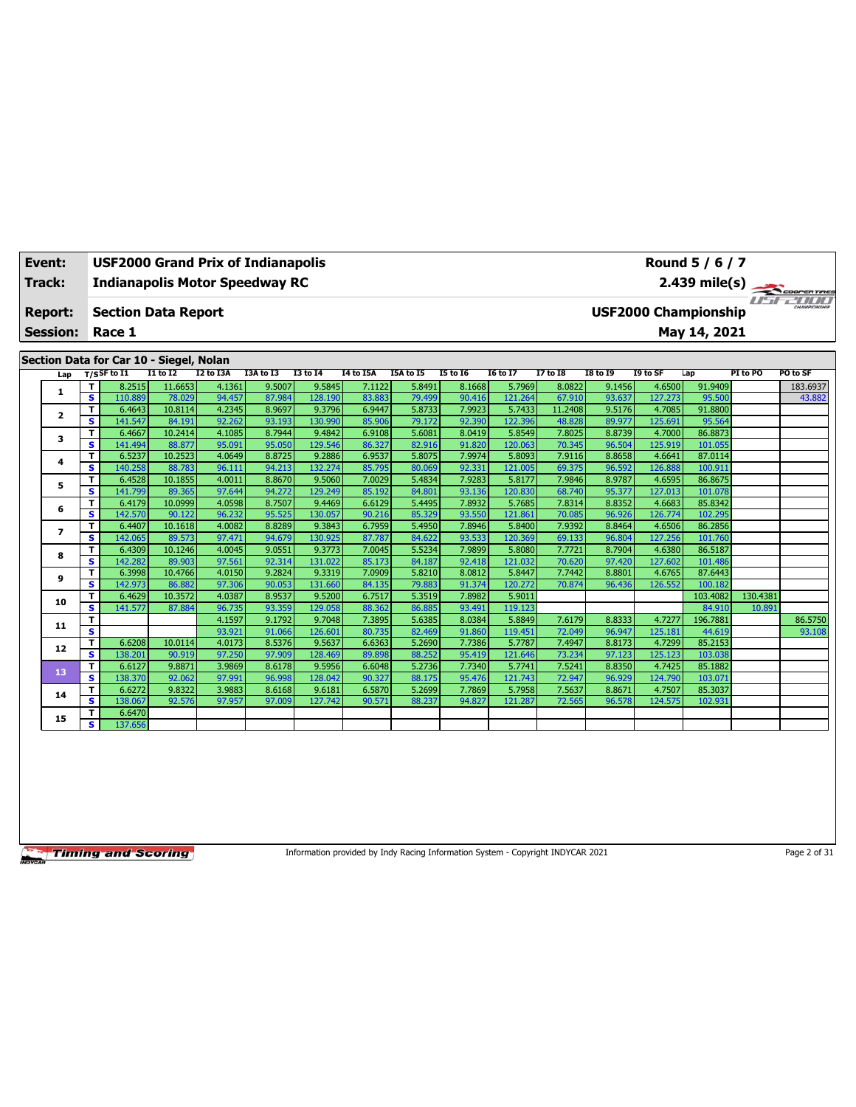| Event:                            |                         | <b>USF2000 Grand Prix of Indianapolis</b> |                   |                  |                  |                   |                  |                  |                  |                   |                  |                  |                   | Round 5 / 6 / 7                             |          |            |
|-----------------------------------|-------------------------|-------------------------------------------|-------------------|------------------|------------------|-------------------|------------------|------------------|------------------|-------------------|------------------|------------------|-------------------|---------------------------------------------|----------|------------|
| <b>Track:</b>                     |                         | <b>Indianapolis Motor Speedway RC</b>     |                   |                  |                  |                   |                  |                  |                  |                   |                  |                  |                   | $2.439$ mile(s)                             |          | COOPERTIRE |
| <b>Report:</b><br><b>Session:</b> |                         | <b>Section Data Report</b><br>Race 1      |                   |                  |                  |                   |                  |                  |                  |                   |                  |                  |                   | <b>USF2000 Championship</b><br>May 14, 2021 |          |            |
|                                   |                         |                                           |                   |                  |                  |                   |                  |                  |                  |                   |                  |                  |                   |                                             |          |            |
|                                   |                         | Section Data for Car 10 - Siegel, Nolan   |                   |                  |                  |                   |                  |                  |                  |                   |                  |                  |                   |                                             |          |            |
| Lap                               |                         | $T/S$ SF to $I1$                          | <b>I1 to I2</b>   | I2 to I3A        | I3A to I3        | <b>I3 to 14</b>   | I4 to I5A        | I5A to I5        | <b>I5 to 16</b>  | <b>I6 to I7</b>   | <b>I7 to I8</b>  | <b>I8 to 19</b>  | I9 to SF          | Lap                                         | PI to PO | PO to SF   |
| 1                                 | T                       | 8.2515                                    | 11.6653           | 4.1361           | 9.5007           | 9.5845            | 7.1122           | 5.8491           | 8.1668           | 5.7969            | 8.0822           | 9.1456           | 4.6500            | 91.9409                                     |          | 183.6937   |
|                                   | $\overline{\mathbf{s}}$ | 110.889                                   | 78.029            | 94.457           | 87.984           | 128.190           | 83.883           | 79.499           | 90.416           | 121.264           | 67.910           | 93.637           | 127.273           | 95.500                                      |          | 43.882     |
| $\mathbf{2}$                      | T                       | 6.4643                                    | 10.8114           | 4.2345           | 8.9697           | 9.3796            | 6.9447           | 5.8733           | 7.9923           | 5.7433            | 11.2408          | 9.5176           | 4.7085            | 91.8800                                     |          |            |
|                                   | s                       | 141.547                                   | 84.191            | 92.262           | 93.193           | 130.990           | 85.906           | 79.172           | 92.390           | 122.396           | 48.828           | 89.977           | 125.691           | 95.564                                      |          |            |
| 3                                 | T                       | 6.4667                                    | 10.2414           | 4.1085           | 8.7944           | 9.4842            | 6.9108           | 5.6081           | 8.0419           | 5.8549            | 7.8025           | 8.8739           | 4.7000            | 86.8873                                     |          |            |
|                                   | s.                      | 141.494                                   | 88,877            | 95.091           | 95.050           | 129.546           | 86.327           | 82.916           | 91.820           | 120.063           | 70.345           | 96.504           | 125.919           | 101.055                                     |          |            |
| 4                                 | т<br>s                  | 6.5237                                    | 10.2523           | 4.0649           | 8.8725           | 9.2886            | 6.9537           | 5.8075           | 7.9974           | 5.8093            | 7.9116           | 8.8658           | 4.6641            | 87.0114                                     |          |            |
|                                   |                         | 140.258                                   | 88.783            | 96.111           | 94.213           | 132.274           | 85.795           | 80.069           | 92.331           | 121.005           | 69.375           | 96.592           | 126.888           | 100.911                                     |          |            |
| 5                                 | т<br>s.                 | 6.4528<br>141.799                         | 10.1855<br>89.365 | 4.0011<br>97.644 | 8.8670<br>94.272 | 9.5060<br>129.249 | 7.0029<br>85.192 | 5.4834<br>84.801 | 7.9283<br>93.136 | 5.8177<br>120.830 | 7.9846<br>68.740 | 8.9787<br>95.377 | 4.6595<br>127.013 | 86.8675<br>101.078                          |          |            |
|                                   | T                       | 6.4179                                    | 10.0999           | 4.0598           | 8.7507           | 9.4469            | 6.6129           | 5.4495           | 7.8932           | 5.7685            | 7.8314           | 8.8352           | 4.6683            | 85.8342                                     |          |            |
| 6                                 | s                       | 142.570                                   | 90.122            | 96.232           | 95.525           | 130.057           | 90.216           | 85.329           | 93.550           | 121.861           | 70.085           | 96.926           | 126,774           | 102.295                                     |          |            |
|                                   | T                       | 6.4407                                    | 10.1618           | 4.0082           | 8.8289           | 9.3843            | 6.7959           | 5.4950           | 7.8946           | 5.8400            | 7.9392           | 8.8464           | 4.6506            | 86.2856                                     |          |            |
| $\overline{ }$                    | s                       | 142.065                                   | 89.573            | 97.471           | 94.679           | 130.925           | 87.787           | 84.622           | 93.533           | 120.369           | 69.133           | 96.804           | 127.256           | 101.760                                     |          |            |
|                                   | T                       | 6.4309                                    | 10.1246           | 4.0045           | 9.0551           | 9.3773            | 7.0045           | 5.5234           | 7.9899           | 5.8080            | 7.7721           | 8.7904           | 4.6380            | 86.5187                                     |          |            |
| 8                                 | s.                      | 142.282                                   | 89.903            | 97.561           | 92.314           | 131.022           | 85.173           | 84.187           | 92.418           | 121.032           | 70.620           | 97.420           | 127.602           | 101.486                                     |          |            |
|                                   | т                       | 6.3998                                    | 10.4766           | 4.0150           | 9.2824           | 9.3319            | 7.0909           | 5.8210           | 8.0812           | 5.8447            | 7.7442           | 8.8801           | 4.6765            | 87.6443                                     |          |            |
| 9                                 | s.                      | 142.973                                   | 86.882            | 97.306           | 90.053           | 131.660           | 84.135           | 79.883           | 91.374           | 120.272           | 70.874           | 96.436           | 126.552           | 100.182                                     |          |            |
|                                   | т                       | 6.4629                                    | 10.3572           | 4.0387           | 8.9537           | 9.5200            | 6.7517           | 5.3519           | 7.8982           | 5.9011            |                  |                  |                   | 103.4082                                    | 130.4381 |            |
| 10                                | s                       | 141.577                                   | 87.884            | 96.735           | 93.359           | 129.058           | 88.362           | 86.885           | 93.491           | 119.123           |                  |                  |                   | 84.910                                      | 10.891   |            |
| 11                                | T                       |                                           |                   | 4.1597           | 9.1792           | 9.7048            | 7.3895           | 5.6385           | 8.0384           | 5.8849            | 7.6179           | 8.8333           | 4.7277            | 196.7881                                    |          | 86.5750    |
|                                   | s                       |                                           |                   | 93.921           | 91.066           | 126.601           | 80.735           | 82.469           | 91.860           | 119.451           | 72.049           | 96.947           | 125.181           | 44.619                                      |          | 93.108     |
| 12                                | T                       | 6.6208                                    | 10.0114           | 4.0173           | 8.5376           | 9.5637            | 6.6363           | 5.2690           | 7.7386           | 5.7787            | 7.4947           | 8.8173           | 4.7299            | 85.2153                                     |          |            |
|                                   | S                       | 138.201                                   | 90.919            | 97.250           | 97.909           | 128.469           | 89.898           | 88.252           | 95.419           | 121.646           | 73.234           | 97.123           | 125.123           | 103.038                                     |          |            |
| 13                                | T                       | 6.6127                                    | 9.8871            | 3.9869           | 8.6178           | 9.5956            | 6.6048           | 5.2736           | 7.7340           | 5.7741            | 7.5241           | 8.8350           | 4.7425            | 85.1882                                     |          |            |
|                                   | s                       | 138.370                                   | 92.062            | 97.991           | 96.998           | 128.042           | 90.327           | 88.175           | 95.476           | 121.743           | 72.947           | 96.929           | 124,790           | 103.071                                     |          |            |
| 14                                | T                       | 6.6272                                    | 9.8322            | 3.9883           | 8.6168           | 9.6181            | 6.5870           | 5.2699           | 7.7869           | 5.7958            | 7.5637           | 8.8671           | 4.7507            | 85.3037                                     |          |            |
|                                   | s                       | 138.067                                   | 92.576            | 97.957           | 97.009           | 127.742           | 90.571           | 88.237           | 94.827           | 121.287           | 72.565           | 96.578           | 124.575           | 102.931                                     |          |            |
| 15                                | т                       | 6.6470                                    |                   |                  |                  |                   |                  |                  |                  |                   |                  |                  |                   |                                             |          |            |
|                                   | s                       | 137.656                                   |                   |                  |                  |                   |                  |                  |                  |                   |                  |                  |                   |                                             |          |            |

Information provided by Indy Racing Information System - Copyright INDYCAR 2021 Page 2 of 31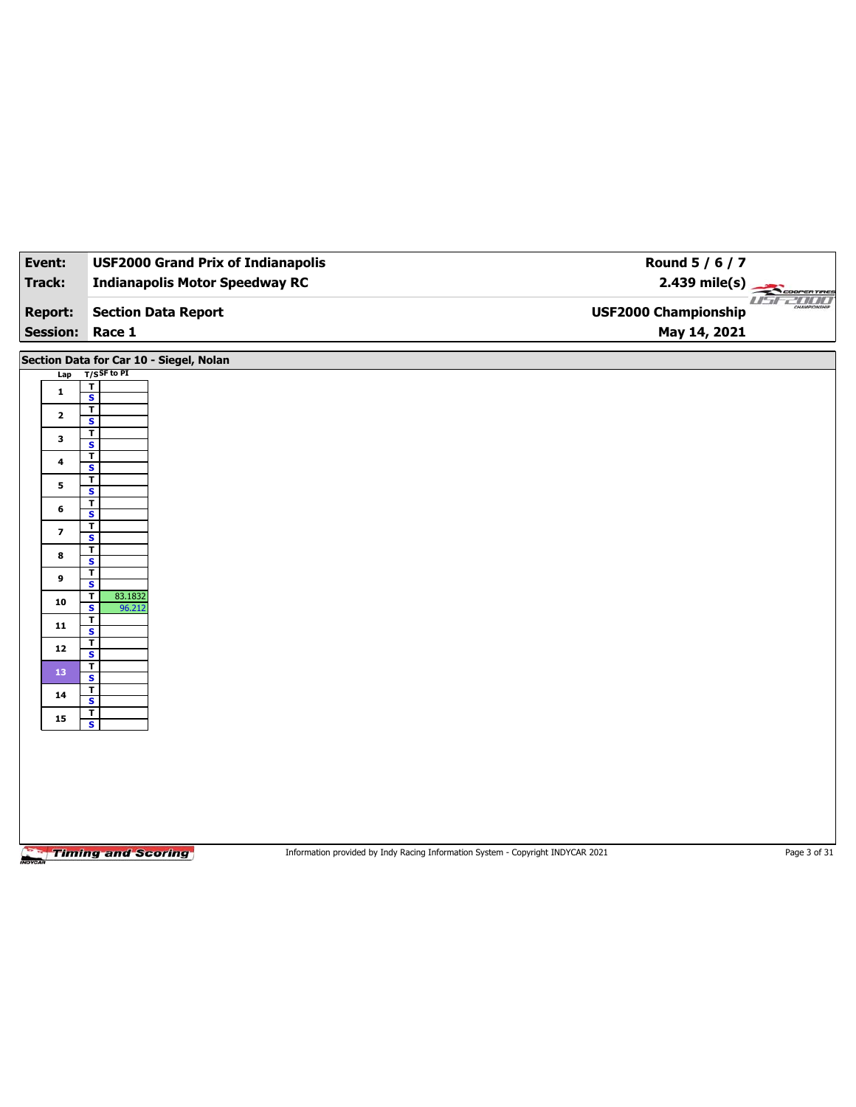| Event:                   | <b>USF2000 Grand Prix of Indianapolis</b>                    | Round 5 / 6 / 7                                                                 |              |
|--------------------------|--------------------------------------------------------------|---------------------------------------------------------------------------------|--------------|
| <b>Track:</b>            | <b>Indianapolis Motor Speedway RC</b>                        | $2.439$ mile(s)                                                                 |              |
| <b>Report:</b>           | <b>Section Data Report</b>                                   | <b>USF2000 Championship</b>                                                     | Cooren Tines |
| <b>Session:</b>          | Race 1                                                       | May 14, 2021                                                                    |              |
|                          | Section Data for Car 10 - Siegel, Nolan                      |                                                                                 |              |
| Lap                      | $T/S$ SF to PI                                               |                                                                                 |              |
| $\mathbf{1}$             | $\overline{\mathbf{I}}$<br>$\overline{\mathbf{s}}$           |                                                                                 |              |
| $\mathbf{2}$             | $\overline{\mathbf{r}}$<br>$\overline{\mathbf{s}}$           |                                                                                 |              |
| 3                        | T<br>$\overline{\mathbf{s}}$                                 |                                                                                 |              |
| $\overline{\mathbf{4}}$  | $\overline{\mathbf{r}}$                                      |                                                                                 |              |
| 5                        | $\overline{\mathbf{s}}$<br>$\overline{\mathbf{r}}$           |                                                                                 |              |
| 6                        | $\overline{\mathbf{s}}$<br>$\overline{\mathbf{r}}$           |                                                                                 |              |
| $\overline{\phantom{a}}$ | $\overline{\mathbf{s}}$<br>$\overline{\mathbf{r}}$           |                                                                                 |              |
| 8                        | $\overline{\mathbf{s}}$<br>$\overline{\mathbf{r}}$           |                                                                                 |              |
| 9                        | $\overline{\mathbf{s}}$<br>$\overline{\mathbf{r}}$           |                                                                                 |              |
| 10                       | $\overline{\mathbf{s}}$<br>83.1832<br>$\mathbf{T}$           |                                                                                 |              |
|                          | $\overline{\mathbf{s}}$<br>96.212<br>$\overline{\mathbf{r}}$ |                                                                                 |              |
| 11                       | $\overline{\mathbf{s}}$<br>$\overline{\mathbf{r}}$           |                                                                                 |              |
| 12                       | $\overline{\mathbf{s}}$<br>$\overline{\mathbf{r}}$           |                                                                                 |              |
| 13                       | $\overline{\mathbf{s}}$<br>$\overline{\mathbf{r}}$           |                                                                                 |              |
| 14                       | $\overline{\mathbf{s}}$<br>$\overline{\mathbf{r}}$           |                                                                                 |              |
| 15                       | $\overline{\mathbf{s}}$                                      |                                                                                 |              |
|                          |                                                              |                                                                                 |              |
|                          |                                                              |                                                                                 |              |
|                          |                                                              |                                                                                 |              |
|                          |                                                              |                                                                                 |              |
|                          | <b>Timing and Scoring</b>                                    | Information provided by Indy Racing Information System - Copyright INDYCAR 2021 | Page 3 of 31 |

mov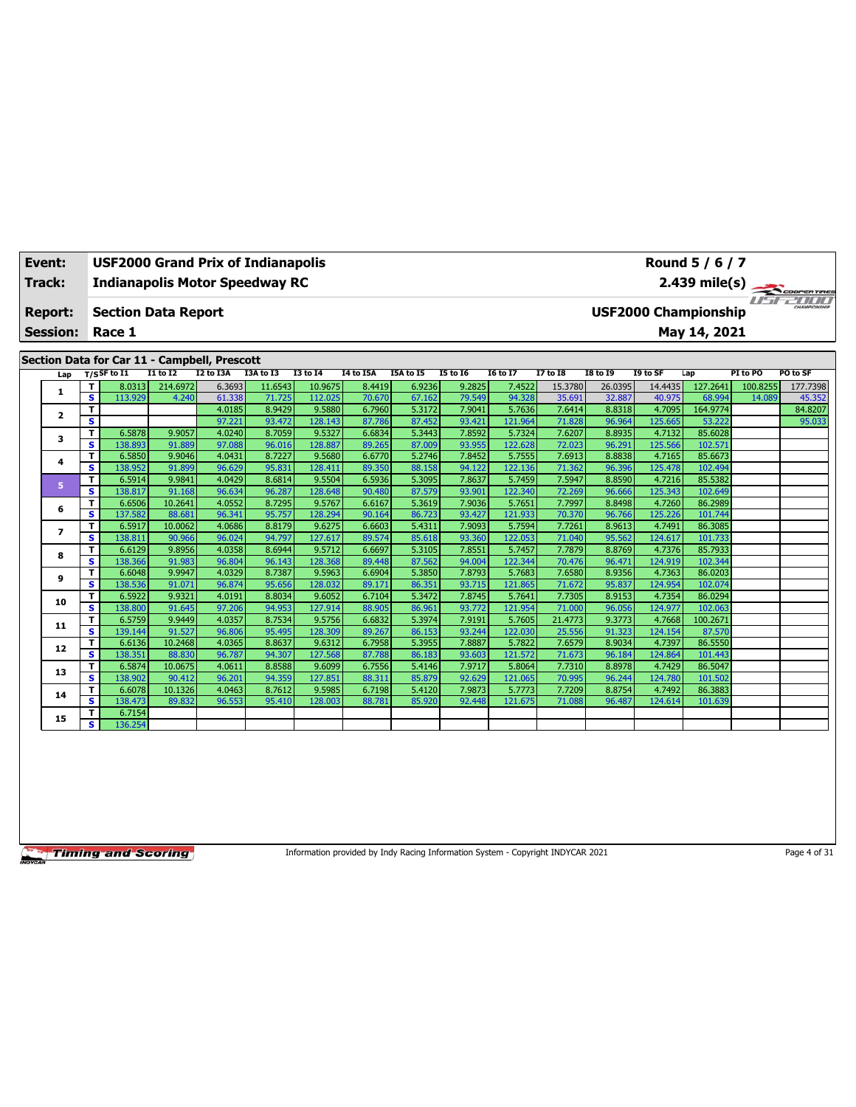| Event:          |         | <b>USF2000 Grand Prix of Indianapolis</b>                      |                  |                  |                  |                   |                  |                  |                  |                   |                  |                  |                   | Round 5 / 6 / 7             |          |            |
|-----------------|---------|----------------------------------------------------------------|------------------|------------------|------------------|-------------------|------------------|------------------|------------------|-------------------|------------------|------------------|-------------------|-----------------------------|----------|------------|
| <b>Track:</b>   |         | <b>Indianapolis Motor Speedway RC</b>                          |                  |                  |                  |                   |                  |                  |                  |                   |                  |                  |                   | $2.439$ mile(s)             |          | COOPERTIRE |
| <b>Report:</b>  |         | <b>Section Data Report</b>                                     |                  |                  |                  |                   |                  |                  |                  |                   |                  |                  |                   | <b>USF2000 Championship</b> |          |            |
| <b>Session:</b> |         | Race 1                                                         |                  |                  |                  |                   |                  |                  |                  |                   |                  |                  |                   | May 14, 2021                |          |            |
|                 |         |                                                                |                  |                  |                  |                   |                  |                  |                  |                   |                  |                  |                   |                             |          |            |
|                 |         | Section Data for Car 11 - Campbell, Prescott<br>$T/S$ SF to I1 | $I1$ to $I2$     | I2 to I3A        | I3A to I3        | <b>I3 to 14</b>   | <b>I4 to I5A</b> | I5A to I5        | <b>I5 to 16</b>  | <b>I6 to I7</b>   | <b>I7 to I8</b>  | <b>I8 to 19</b>  | I9 to SF          | Lap                         | PI to PO | PO to SF   |
| Lap             | T       | 8.0313                                                         | 214.6972         | 6.3693           | 11.6543          | 10.9675           | 8.4419           | 6.9236           | 9.2825           | 7.4522            | 15.3780          | 26.0395          | 14.4435           | 127.2641                    | 100.8255 | 177.7398   |
| 1               | s       | 113.929                                                        | 4.240            | 61.338           | 71.725           | 112.025           | 70.670           | 67.162           | 79.549           | 94.328            | 35.691           | 32.887           | 40.975            | 68.994                      | 14.089   | 45.352     |
|                 | T       |                                                                |                  | 4.0185           | 8.9429           | 9.5880            | 6.7960           | 5.3172           | 7.9041           | 5.7636            | 7.6414           | 8.8318           | 4.7095            | 164.9774                    |          | 84.8207    |
| $\mathbf{2}$    | s       |                                                                |                  | 97.221           | 93.472           | 128.143           | 87.786           | 87.452           | 93.421           | 121.964           | 71.828           | 96.964           | 125.665           | 53.222                      |          | 95.033     |
|                 | т       | 6.5878                                                         | 9.9057           | 4.0240           | 8.7059           | 9.5327            | 6.6834           | 5.3443           | 7.8592           | 5.7324            | 7.6207           | 8.8935           | 4.7132            | 85.6028                     |          |            |
| 3               | s.      | 138.893                                                        | 91.889           | 97.088           | 96.016           | 128.887           | 89.265           | 87.009           | 93.955           | 122.628           | 72.023           | 96.291           | 125.566           | 102.571                     |          |            |
| 4               | т       | 6.5850                                                         | 9.9046           | 4.0431           | 8.7227           | 9.5680            | 6.6770           | 5.2746           | 7.8452           | 5.7555            | 7.6913           | 8.8838           | 4.7165            | 85.6673                     |          |            |
|                 | s       | 138.952                                                        | 91.899           | 96.629           | 95.831           | 128.411           | 89.350           | 88.158           | 94.122           | 122.136           | 71.362           | 96.396           | 125.478           | 102.494                     |          |            |
| 5               | T       | 6.5914                                                         | 9.9841           | 4.0429           | 8.6814           | 9.5504            | 6.5936           | 5.3095           | 7.8637           | 5.7459            | 7.5947           | 8.8590           | 4.7216            | 85.5382                     |          |            |
|                 | s       | 138.817                                                        | 91.168           | 96.634           | 96.287           | 128.648           | 90.480           | 87.579           | 93.901           | 122.340           | 72.269           | 96.666           | 125.343           | 102.649                     |          |            |
| 6               | T       | 6.6506                                                         | 10.2641          | 4.0552           | 8.7295           | 9.5767            | 6.6167           | 5.3619           | 7.9036           | 5.7651            | 7.7997           | 8.8498           | 4.7260            | 86.2989                     |          |            |
|                 | s       | 137.582                                                        | 88.681           | 96.341           | 95.757           | 128.294           | 90.164           | 86.723           | 93.427           | 121.933           | 70.370           | 96.766           | 125.226           | 101.744                     |          |            |
| $\overline{ }$  | T       | 6.5917                                                         | 10.0062          | 4.0686           | 8.8179           | 9.6275            | 6.6603           | 5.4311           | 7.9093           | 5.7594            | 7.7261           | 8.9613           | 4.7491            | 86.3085                     |          |            |
|                 | s       | 138.811                                                        | 90.966           | 96.024           | 94.797           | 127.617           | 89.574           | 85.618           | 93.360           | 122.053           | 71.040           | 95.562           | 124.617           | 101.733                     |          |            |
| 8               | T       | 6.6129                                                         | 9.8956           | 4.0358           | 8.6944           | 9.5712            | 6.6697           | 5.3105           | 7.8551           | 5.7457            | 7.7879           | 8.8769           | 4.7376            | 85.7933                     |          |            |
|                 | s.      | 138.366                                                        | 91.983           | 96.804           | 96.143           | 128.368           | 89.448           | 87.562           | 94.004           | 122.344           | 70.476           | 96.471           | 124.919           | 102.344                     |          |            |
| 9               | т<br>s. | 6.6048<br>138.536                                              | 9.9947<br>91.071 | 4.0329<br>96.874 | 8.7387<br>95.656 | 9.5963<br>128.032 | 6.6904<br>89.171 | 5.3850<br>86.351 | 7.8793<br>93.715 | 5.7683<br>121.865 | 7.6580<br>71.672 | 8.9356<br>95.837 | 4.7363<br>124.954 | 86.0203<br>102.074          |          |            |
|                 | T       | 6.5922                                                         | 9.9321           | 4.0191           | 8.8034           | 9.6052            | 6.7104           | 5.3472           | 7.8745           | 5.7641            | 7.7305           | 8.9153           | 4.7354            | 86.0294                     |          |            |
| 10              | s       | 138.800                                                        | 91.645           | 97.206           | 94.953           | 127.914           | 88.905           | 86.961           | 93.772           | 121.954           | 71.000           | 96.056           | 124.977           | 102.063                     |          |            |
|                 | T       | 6.5759                                                         | 9.9449           | 4.0357           | 8.7534           | 9.5756            | 6.6832           | 5.3974           | 7.9191           | 5.7605            | 21.4773          | 9.3773           | 4.7668            | 100.2671                    |          |            |
| 11              | s       | 139.144                                                        | 91.527           | 96.806           | 95.495           | 128.309           | 89.267           | 86.153           | 93.244           | 122.030           | 25.556           | 91.323           | 124.154           | 87.570                      |          |            |
|                 | T       | 6.6136                                                         | 10.2468          | 4.0365           | 8.8637           | 9.6312            | 6.7958           | 5.3955           | 7.8887           | 5.7822            | 7.6579           | 8.9034           | 4.7397            | 86.5550                     |          |            |
| 12              | S       | 138.351                                                        | 88.830           | 96.787           | 94.307           | 127.568           | 87.788           | 86.183           | 93.603           | 121.572           | 71.673           | 96.184           | 124.864           | 101.443                     |          |            |
|                 | т       | 6.5874                                                         | 10.0675          | 4.0611           | 8.8588           | 9.6099            | 6.7556           | 5.4146           | 7.9717           | 5.8064            | 7.7310           | 8.8978           | 4.7429            | 86.5047                     |          |            |
| 13              | s       | 138,902                                                        | 90.412           | 96.201           | 94.359           | 127.851           | 88.311           | 85.879           | 92.629           | 121.065           | 70.995           | 96.244           | 124.780           | 101.502                     |          |            |
| 14              | T       | 6.6078                                                         | 10.1326          | 4.0463           | 8.7612           | 9.5985            | 6.7198           | 5.4120           | 7.9873           | 5.7773            | 7.7209           | 8.8754           | 4.7492            | 86.3883                     |          |            |
|                 | s       | 138.473                                                        | 89.832           | 96.553           | 95.410           | 128,003           | 88.781           | 85.920           | 92.448           | 121.675           | 71.088           | 96.487           | 124.614           | 101.639                     |          |            |
| 15              | т       | 6.7154                                                         |                  |                  |                  |                   |                  |                  |                  |                   |                  |                  |                   |                             |          |            |
|                 | s       | 136.254                                                        |                  |                  |                  |                   |                  |                  |                  |                   |                  |                  |                   |                             |          |            |

Information provided by Indy Racing Information System - Copyright INDYCAR 2021 Page 4 of 31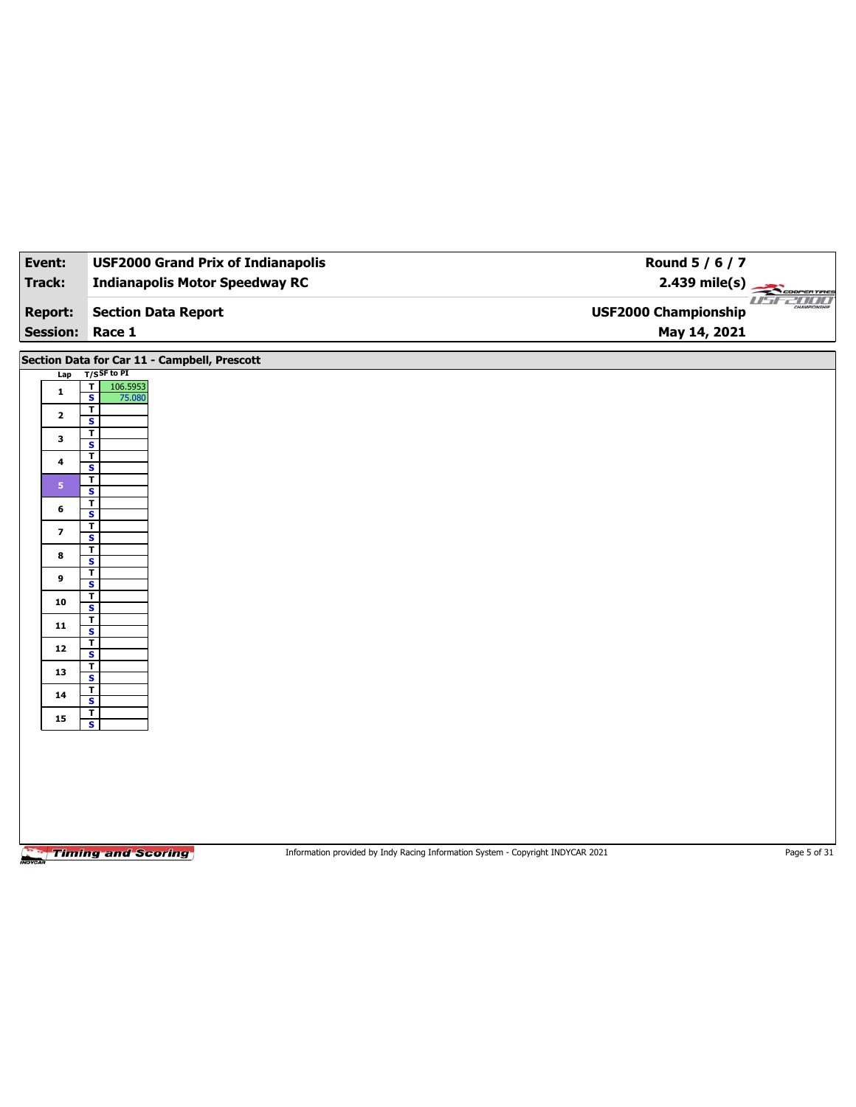| Event:                  | <b>USF2000 Grand Prix of Indianapolis</b>                                | Round 5 / 6 / 7                                                                 |              |
|-------------------------|--------------------------------------------------------------------------|---------------------------------------------------------------------------------|--------------|
| Track:                  | <b>Indianapolis Motor Speedway RC</b>                                    | $2.439$ mile(s)                                                                 | COOPERTIRES  |
|                         |                                                                          |                                                                                 | usr2000      |
| <b>Report:</b>          | <b>Section Data Report</b>                                               | <b>USF2000 Championship</b>                                                     |              |
| <b>Session:</b>         | Race 1                                                                   | May 14, 2021                                                                    |              |
|                         | Section Data for Car 11 - Campbell, Prescott                             |                                                                                 |              |
| Lap                     | $T/S$ SF to PI                                                           |                                                                                 |              |
| $\mathbf{1}$            | $\overline{\mathbf{r}}$<br>106.5953<br>$\overline{\mathbf{s}}$<br>75.080 |                                                                                 |              |
| $\mathbf{2}$            | T<br>S                                                                   |                                                                                 |              |
| 3                       | T                                                                        |                                                                                 |              |
|                         | $\overline{\mathbf{s}}$<br>T                                             |                                                                                 |              |
| 4                       | S                                                                        |                                                                                 |              |
| 5 <sup>1</sup>          | T<br>$\overline{\mathbf{s}}$                                             |                                                                                 |              |
| 6                       | T<br>S                                                                   |                                                                                 |              |
| $\overline{\mathbf{z}}$ | T                                                                        |                                                                                 |              |
|                         | $\overline{\mathbf{s}}$<br>T                                             |                                                                                 |              |
| 8                       | S                                                                        |                                                                                 |              |
| 9                       | T.<br>$\overline{\mathbf{s}}$                                            |                                                                                 |              |
| 10                      | T<br>S                                                                   |                                                                                 |              |
| 11                      | T                                                                        |                                                                                 |              |
|                         | $\overline{\mathbf{s}}$<br>$\overline{\mathbf{r}}$                       |                                                                                 |              |
| 12                      | S<br>T                                                                   |                                                                                 |              |
| 13                      | $\overline{\mathbf{s}}$                                                  |                                                                                 |              |
| 14                      | T<br>S                                                                   |                                                                                 |              |
| 15                      | T<br>$\overline{\mathbf{s}}$                                             |                                                                                 |              |
|                         |                                                                          |                                                                                 |              |
|                         |                                                                          |                                                                                 |              |
|                         |                                                                          |                                                                                 |              |
|                         |                                                                          |                                                                                 |              |
|                         |                                                                          |                                                                                 |              |
|                         |                                                                          |                                                                                 |              |
|                         | <b>Timing and Scoring</b>                                                | Information provided by Indy Racing Information System - Copyright INDYCAR 2021 | Page 5 of 31 |

**MOV**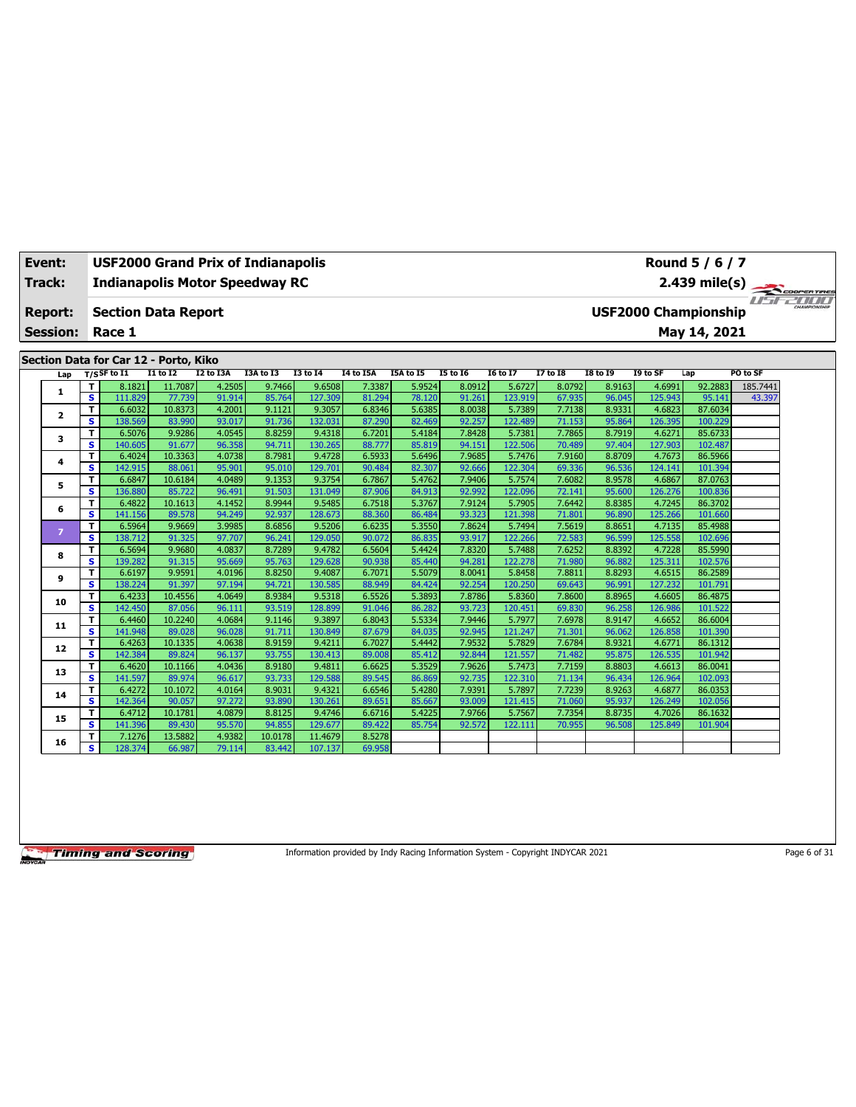| Event:                            |         | <b>USF2000 Grand Prix of Indianapolis</b><br>Round 5 / 6 / 7<br><b>Indianapolis Motor Speedway RC</b><br>$2.439$ mile(s) |                  |                  |                  |                   |                  |                  |                  |                   |                  |                  |                   |                                             |             |  |
|-----------------------------------|---------|--------------------------------------------------------------------------------------------------------------------------|------------------|------------------|------------------|-------------------|------------------|------------------|------------------|-------------------|------------------|------------------|-------------------|---------------------------------------------|-------------|--|
| <b>Track:</b>                     |         |                                                                                                                          |                  |                  |                  |                   |                  |                  |                  |                   |                  |                  |                   |                                             | COOPERTIRES |  |
| <b>Report:</b><br><b>Session:</b> |         | <b>Section Data Report</b><br>Race 1                                                                                     |                  |                  |                  |                   |                  |                  |                  |                   |                  |                  |                   | <b>USF2000 Championship</b><br>May 14, 2021 |             |  |
|                                   |         | Section Data for Car 12 - Porto, Kiko                                                                                    |                  |                  |                  |                   |                  |                  |                  |                   |                  |                  |                   |                                             |             |  |
| Lap                               |         | $T/S$ SF to I1                                                                                                           | $I1$ to $I2$     | I2 to I3A        | I3A to I3        | 13 to 14          | I4 to I5A        | <b>I5A to 15</b> | 15 to 16         | <b>16 to 17</b>   | 17 to 18         | <b>18 to 19</b>  | I9 to SF          | Lap                                         | PO to SF    |  |
| 1                                 |         | T.<br>8.1821                                                                                                             | 11.7087          | 4.2505           | 9.7466           | 9.6508            | 7.3387           | 5.9524           | 8.0912           | 5.6727            | 8.0792           | 8.9163           | 4.6991            | 92.2883                                     | 185.7441    |  |
|                                   |         | s.<br>111.829                                                                                                            | 77.739           | 91.914           | 85.764           | 127.309           | 81.294           | 78.120           | 91.261           | 123.919           | 67.935           | 96.045           | 125.943           | 95.141                                      | 43.397      |  |
| $\overline{2}$                    | T.      | 6.6032                                                                                                                   | 10.8373          | 4.2001           | 9.1121           | 9.3057            | 6.8346           | 5.6385           | 8.0038           | 5.7389            | 7.7138           | 8.9331           | 4.6823            | 87.6034                                     |             |  |
|                                   | s       | 138.569<br>6.5076                                                                                                        | 83.990<br>9.9286 | 93.017<br>4.0545 | 91.736<br>8.8259 | 132.031<br>9.4318 | 87.290<br>6.7201 | 82.469<br>5.4184 | 92.257<br>7.8428 | 122.489<br>5.7381 | 71.153<br>7.7865 | 95.864<br>8.7919 | 126.395<br>4.6271 | 100.229<br>85.6733                          |             |  |
| з                                 | T.<br>s | 140.605                                                                                                                  | 91.677           | 96.358           | 94.711           | 130.265           | 88.777           | 85.819           | 94.151           | 122.506           | 70.489           | 97.404           | 127.903           | 102.487                                     |             |  |
|                                   | T.      | 6.4024                                                                                                                   | 10.3363          | 4.0738           | 8.7981           | 9.4728            | 6.5933           | 5.6496           | 7.9685           | 5.7476            | 7.9160           | 8.8709           | 4.7673            | 86.5966                                     |             |  |
| 4                                 | s       | 142.915                                                                                                                  | 88.061           | 95.901           | 95.010           | 129,701           | 90.484           | 82,307           | 92.666           | 122.304           | 69.336           | 96.536           | 124.141           | 101.394                                     |             |  |
|                                   | T       | 6.6847                                                                                                                   | 10.6184          | 4.0489           | 9.1353           | 9.3754            | 6.7867           | 5.4762           | 7.9406           | 5.7574            | 7.6082           | 8.9578           | 4.6867            | 87.0763                                     |             |  |
| 5                                 | s       | 136.880                                                                                                                  | 85.722           | 96.491           | 91.503           | 131.049           | 87.906           | 84.913           | 92.992           | 122.096           | 72.141           | 95.600           | 126.276           | 100.836                                     |             |  |
|                                   | T.      | 6.4822                                                                                                                   | 10.1613          | 4.1452           | 8.9944           | 9.5485            | 6.7518           | 5.3767           | 7.9124           | 5.7905            | 7.6442           | 8.8385           | 4.7245            | 86.3702                                     |             |  |
| 6                                 | s       | 141.156                                                                                                                  | 89.578           | 94.249           | 92.937           | 128.673           | 88.360           | 86.484           | 93.323           | 121.398           | 71.801           | 96.890           | 125.266           | 101.660                                     |             |  |
|                                   | T.      | 6.5964                                                                                                                   | 9.9669           | 3.9985           | 8.6856           | 9.5206            | 6.6235           | 5.3550           | 7.8624           | 5.7494            | 7.5619           | 8.8651           | 4.7135            | 85.4988                                     |             |  |
| $\overline{z}$                    | s       | 138.712                                                                                                                  | 91.325           | 97.707           | 96.241           | 129.050           | 90.072           | 86.835           | 93.917           | 122.266           | 72.583           | 96.599           | 125.558           | 102.696                                     |             |  |
|                                   | T.      | 6.5694                                                                                                                   | 9.9680           | 4.0837           | 8.7289           | 9.4782            | 6.5604           | 5.4424           | 7.8320           | 5.7488            | 7.6252           | 8.8392           | 4.7228            | 85.5990                                     |             |  |
| 8                                 | s       | 139.282                                                                                                                  | 91.315           | 95.669           | 95.763           | 129.628           | 90.938           | 85.440           | 94.281           | 122,278           | 71.980           | 96.882           | 125.311           | 102.576                                     |             |  |
| 9                                 |         | T.<br>6.6197                                                                                                             | 9.9591           | 4.0196           | 8.8250           | 9.4087            | 6.7071           | 5.5079           | 8.0041           | 5.8458            | 7.8811           | 8.8293           | 4.6515            | 86.2589                                     |             |  |
|                                   | s.      | 138.224                                                                                                                  | 91.397           | 97.194           | 94.721           | 130.585           | 88.949           | 84.424           | 92.254           | 120,250           | 69.643           | 96.991           | 127.232           | 101.791                                     |             |  |
| 10                                | T.      | 6.4233                                                                                                                   | 10.4556          | 4.0649           | 8.9384           | 9.5318            | 6.5526           | 5.3893           | 7.8786           | 5.8360            | 7.8600           | 8.8965           | 4.6605            | 86.4875                                     |             |  |
|                                   | s       | 142.450                                                                                                                  | 87.056           | 96.111           | 93.519           | 128.899           | 91.046           | 86.282           | 93.723           | 120.451           | 69.830           | 96.258           | 126.986           | 101.522                                     |             |  |
| 11                                | T.      | 6.4460                                                                                                                   | 10.2240          | 4.0684           | 9.1146           | 9.3897            | 6.8043           | 5.5334           | 7.9446           | 5.7977            | 7.6978           | 8.9147           | 4.6652            | 86.6004                                     |             |  |
|                                   | s.      | 141.948                                                                                                                  | 89.028           | 96.028           | 91.711           | 130.849           | 87.679           | 84.035           | 92.945           | 121.247           | 71.301           | 96.062           | 126.858           | 101.390                                     |             |  |
| 12                                | T.      | 6.4263                                                                                                                   | 10.1335          | 4.0638           | 8.9159           | 9.4211            | 6.7027           | 5.4442           | 7.9532           | 5.7829            | 7.6784           | 8.9321           | 4.6771            | 86.1312                                     |             |  |
|                                   | s.      | 142.384                                                                                                                  | 89.824           | 96.137           | 93.755           | 130.413           | 89.008           | 85.412           | 92.844           | 121.557           | 71.482           | 95.875           | 126.535           | 101.942                                     |             |  |
| 13                                | T.      | 6.4620                                                                                                                   | 10.1166          | 4.0436           | 8.9180           | 9.4811            | 6.6625           | 5.3529           | 7.9626           | 5.7473            | 7.7159           | 8.8803           | 4.6613            | 86.0041                                     |             |  |
|                                   | s.      | 141.597                                                                                                                  | 89.974           | 96.617           | 93.733           | 129.588           | 89.545           | 86.869           | 92.735           | 122.310           | 71.134           | 96.434           | 126.964           | 102.093                                     |             |  |
| 14                                | T.      | 6.4272                                                                                                                   | 10.1072          | 4.0164           | 8.9031           | 9.4321            | 6.6546           | 5.4280           | 7.9391           | 5.7897            | 7.7239           | 8.9263           | 4.6877            | 86.0353                                     |             |  |
|                                   | s       | 142.364                                                                                                                  | 90.057           | 97.272           | 93.890           | 130.261           | 89.651           | 85.667           | 93.009           | 121.415           | 71.060           | 95.937           | 126.249           | 102.056                                     |             |  |
| 15                                | T.      | 6.4712                                                                                                                   | 10.1781          | 4.0879           | 8.8125           | 9.4746            | 6.6716           | 5.4225           | 7.9766           | 5.7567            | 7.7354           | 8.8735           | 4.7026            | 86.1632                                     |             |  |
|                                   | s.      | 141.396                                                                                                                  | 89.430           | 95.570           | 94.855           | 129.677           | 89.422           | 85.754           | 92.572           | 122.111           | 70.955           | 96.508           | 125.849           | 101.904                                     |             |  |
| 16                                | T.      | 7.1276                                                                                                                   | 13.5882          | 4.9382           | 10.0178          | 11.4679           | 8.5278           |                  |                  |                   |                  |                  |                   |                                             |             |  |
|                                   |         | s.<br>128.374                                                                                                            | 66.987           | 79.114           | 83.442           | 107.137           | 69.958           |                  |                  |                   |                  |                  |                   |                                             |             |  |

Information provided by Indy Racing Information System - Copyright INDYCAR 2021 Page 6 of 31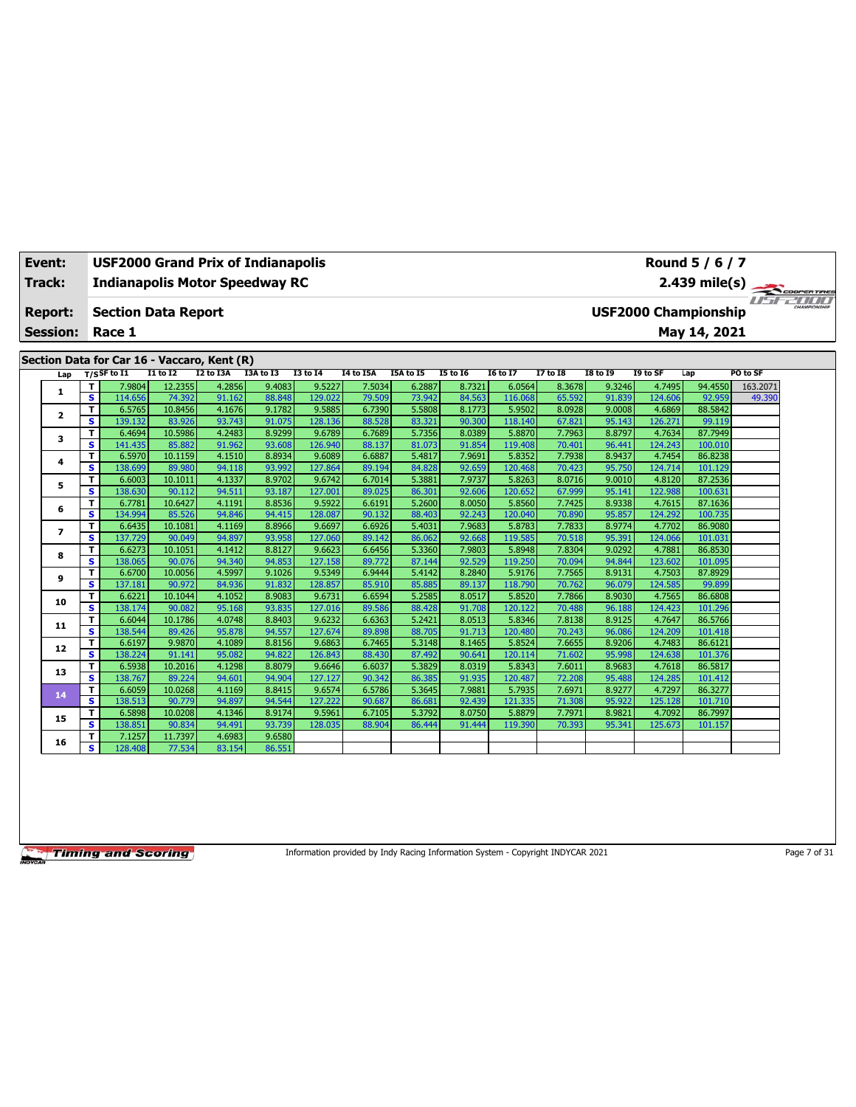| Event:                  |                         | <b>USF2000 Grand Prix of Indianapolis</b>   |                   |                  |                  |                   |                  |                  |                  |                   |                  |                  |                   | Round 5 / 6 / 7             |               |  |
|-------------------------|-------------------------|---------------------------------------------|-------------------|------------------|------------------|-------------------|------------------|------------------|------------------|-------------------|------------------|------------------|-------------------|-----------------------------|---------------|--|
| Track:                  |                         | <b>Indianapolis Motor Speedway RC</b>       |                   |                  |                  |                   |                  |                  |                  |                   |                  |                  |                   |                             |               |  |
| <b>Report:</b>          |                         | <b>Section Data Report</b>                  |                   |                  |                  |                   |                  |                  |                  |                   |                  |                  |                   | <b>USF2000 Championship</b> | 2.439 mile(s) |  |
| <b>Session:</b>         |                         | Race 1                                      |                   |                  |                  |                   |                  |                  |                  |                   |                  |                  |                   | May 14, 2021                |               |  |
|                         |                         | Section Data for Car 16 - Vaccaro, Kent (R) |                   |                  |                  |                   |                  |                  |                  |                   |                  |                  |                   |                             |               |  |
| Lap                     |                         | $T/S$ SF to $I1$                            | $I1$ to $I2$      | I2 to I3A        | I3A to I3        | <b>I3 to 14</b>   | <b>I4 to I5A</b> | I5A to I5        | <b>I5 to 16</b>  | <b>I6 to I7</b>   | <b>I7 to I8</b>  | <b>I8 to 19</b>  | I9 to SF          | Lap                         | PO to SF      |  |
|                         | т                       | 7.9804                                      | 12.2355           | 4.2856           | 9.4083           | 9.5227            | 7.5034           | 6.2887           | 8.7321           | 6.0564            | 8.3678           | 9.3246           | 4.7495            | 94.4550                     | 163.2071      |  |
| 1                       | s                       | 114.656                                     | 74.392            | 91.162           | 88.848           | 129.022           | 79.509           | 73.942           | 84.563           | 116,068           | 65.592           | 91.839           | 124.606           | 92.959                      | 49.390        |  |
| $\overline{\mathbf{2}}$ | T                       | 6.5765                                      | 10.8456           | 4.1676           | 9.1782           | 9.5885            | 6.7390           | 5.5808           | 8.1773           | 5.9502            | 8.0928           | 9.0008           | 4.6869            | 88.5842                     |               |  |
|                         | s                       | 139.132                                     | 83.926            | 93.743           | 91.075           | 128.136           | 88.528           | 83.321           | 90.300           | 118.140           | 67.821           | 95.143           | 126.271           | 99.119                      |               |  |
| 3                       | T                       | 6.4694                                      | 10.5986           | 4.2483           | 8.9299           | 9.6789            | 6.7689           | 5.7356           | 8.0389           | 5.8870            | 7.7963           | 8.8797           | 4.7634            | 87.7949                     |               |  |
|                         | s                       | 141.435                                     | 85.882            | 91.962           | 93.608           | 126.940           | 88.137           | 81.073           | 91.854           | 119.408           | 70.401           | 96.441           | 124.243           | 100.010                     |               |  |
| 4                       | T                       | 6.5970                                      | 10.1159           | 4.1510           | 8.8934           | 9.6089            | 6.6887           | 5.4817           | 7.9691           | 5.8352            | 7.7938           | 8.9437           | 4.7454            | 86.8238                     |               |  |
|                         | s                       | 138.699                                     | 89.980            | 94.118<br>4.1337 | 93.992<br>8.9702 | 127.864<br>9.6742 | 89.194           | 84.828<br>5.3881 | 92.659<br>7.9737 | 120.468<br>5.8263 | 70.423           | 95.750<br>9.0010 | 124.714<br>4.8120 | 101.129<br>87.2536          |               |  |
| 5                       | T<br>s.                 | 6.6003<br>138.630                           | 10.1011<br>90.112 | 94.511           | 93.187           | 127,001           | 6.7014<br>89.025 | 86.301           | 92.606           | 120.652           | 8.0716<br>67.999 | 95.141           | 122.988           | 100.631                     |               |  |
|                         | T                       | 6.7781                                      | 10.6427           | 4.1191           | 8.8536           | 9.5922            | 6.6191           | 5.2600           | 8.0050           | 5.8560            | 7.7425           | 8.9338           | 4.7615            | 87.1636                     |               |  |
| 6                       | s                       | 134.994                                     | 85.526            | 94.846           | 94.415           | 128.087           | 90.132           | 88.403           | 92.243           | 120.040           | 70.890           | 95.857           | 124.292           | 100.735                     |               |  |
|                         | T                       | 6.6435                                      | 10.1081           | 4.1169           | 8.8966           | 9.6697            | 6.6926           | 5.4031           | 7.9683           | 5.8783            | 7.7833           | 8.9774           | 4.7702            | 86.9080                     |               |  |
| $\overline{ }$          | s                       | 137.729                                     | 90.049            | 94.897           | 93.958           | 127.060           | 89.142           | 86.062           | 92.668           | 119.585           | 70.518           | 95.391           | 124.066           | 101.031                     |               |  |
|                         | T                       | 6.6273                                      | 10.1051           | 4.1412           | 8.8127           | 9.6623            | 6.6456           | 5.3360           | 7.9803           | 5.8948            | 7.8304           | 9.0292           | 4.7881            | 86.8530                     |               |  |
| 8                       | $\overline{\mathbf{s}}$ | 138.065                                     | 90.076            | 94.340           | 94.853           | 127.158           | 89.772           | 87.144           | 92.529           | 119.250           | 70.094           | 94.844           | 123.602           | 101.095                     |               |  |
|                         | T                       | 6.6700                                      | 10.0056           | 4.5997           | 9.1026           | 9.5349            | 6.9444           | 5.4142           | 8.2840           | 5.9176            | 7.7565           | 8.9131           | 4.7503            | 87.8929                     |               |  |
| 9                       | s                       | 137.181                                     | 90.972            | 84.936           | 91.832           | 128.857           | 85.910           | 85.885           | 89.137           | 118.790           | 70.762           | 96.079           | 124.585           | 99.899                      |               |  |
| 10                      | т                       | 6.6221                                      | 10.1044           | 4.1052           | 8.9083           | 9.6731            | 6.6594           | 5.2585           | 8.0517           | 5.8520            | 7.7866           | 8.9030           | 4.7565            | 86.6808                     |               |  |
|                         | s                       | 138.174                                     | 90.082            | 95.168           | 93.835           | 127.016           | 89.586           | 88.428           | 91.708           | 120.122           | 70.488           | 96.188           | 124.423           | 101.296                     |               |  |
| 11                      | T                       | 6.6044                                      | 10.1786           | 4.0748           | 8.8403           | 9.6232            | 6.6363           | 5.2421           | 8.0513           | 5.8346            | 7.8138           | 8.9125           | 4.7647            | 86.5766                     |               |  |
|                         | s                       | 138.544                                     | 89.426            | 95.878           | 94.557           | 127.674           | 89.898           | 88.705           | 91.713           | 120.480           | 70.243           | 96.086           | 124.209           | 101.418                     |               |  |
| 12                      | т                       | 6.6197                                      | 9.9870            | 4.1089           | 8.8156           | 9.6863            | 6.7465           | 5.3148           | 8.1465           | 5.8524            | 7.6655           | 8.9206           | 4.7483            | 86.6121                     |               |  |
|                         | $\overline{\mathbf{s}}$ | 138.224                                     | 91.141            | 95.082           | 94.822           | 126.843           | 88.430           | 87.492           | 90.641           | 120.114           | 71.602           | 95.998           | 124.638           | 101.376                     |               |  |
| 13                      | T                       | 6.5938                                      | 10.2016           | 4.1298           | 8.8079           | 9.6646            | 6.6037           | 5.3829           | 8.0319           | 5.8343            | 7.6011           | 8.9683           | 4.7618            | 86.5817                     |               |  |
|                         | s                       | 138.767                                     | 89.224            | 94.601           | 94.904           | 127.127           | 90.342           | 86.385           | 91.935           | 120.487           | 72.208           | 95.488           | 124.285           | 101.412                     |               |  |
| 14                      | T                       | 6.6059                                      | 10.0268           | 4.1169           | 8.8415           | 9.6574            | 6.5786           | 5.3645           | 7.9881           | 5.7935            | 7.6971           | 8.9277           | 4.7297            | 86.3277                     |               |  |
|                         | s                       | 138.513                                     | 90.779            | 94.897           | 94.544           | 127.222           | 90.687           | 86.681<br>5.3792 | 92.439           | 121.335           | 71.308           | 95.922           | 125.128<br>4.7092 | 101.710                     |               |  |
| 15                      | T<br>s                  | 6.5898<br>138.851                           | 10.0208<br>90.834 | 4.1346<br>94.491 | 8.9174<br>93.739 | 9.5961<br>128.035 | 6.7105<br>88.904 | 86.444           | 8.0750<br>91.444 | 5.8879<br>119.390 | 7.7971<br>70.393 | 8.9821<br>95.341 | 125.673           | 86.7997<br>101.157          |               |  |
|                         | T                       | 7.1257                                      | 11.7397           | 4.6983           | 9.6580           |                   |                  |                  |                  |                   |                  |                  |                   |                             |               |  |
| 16                      | s                       | 128.408                                     | 77.534            | 83.154           | 86.551           |                   |                  |                  |                  |                   |                  |                  |                   |                             |               |  |
|                         |                         |                                             |                   |                  |                  |                   |                  |                  |                  |                   |                  |                  |                   |                             |               |  |

Information provided by Indy Racing Information System - Copyright INDYCAR 2021 Page 7 of 31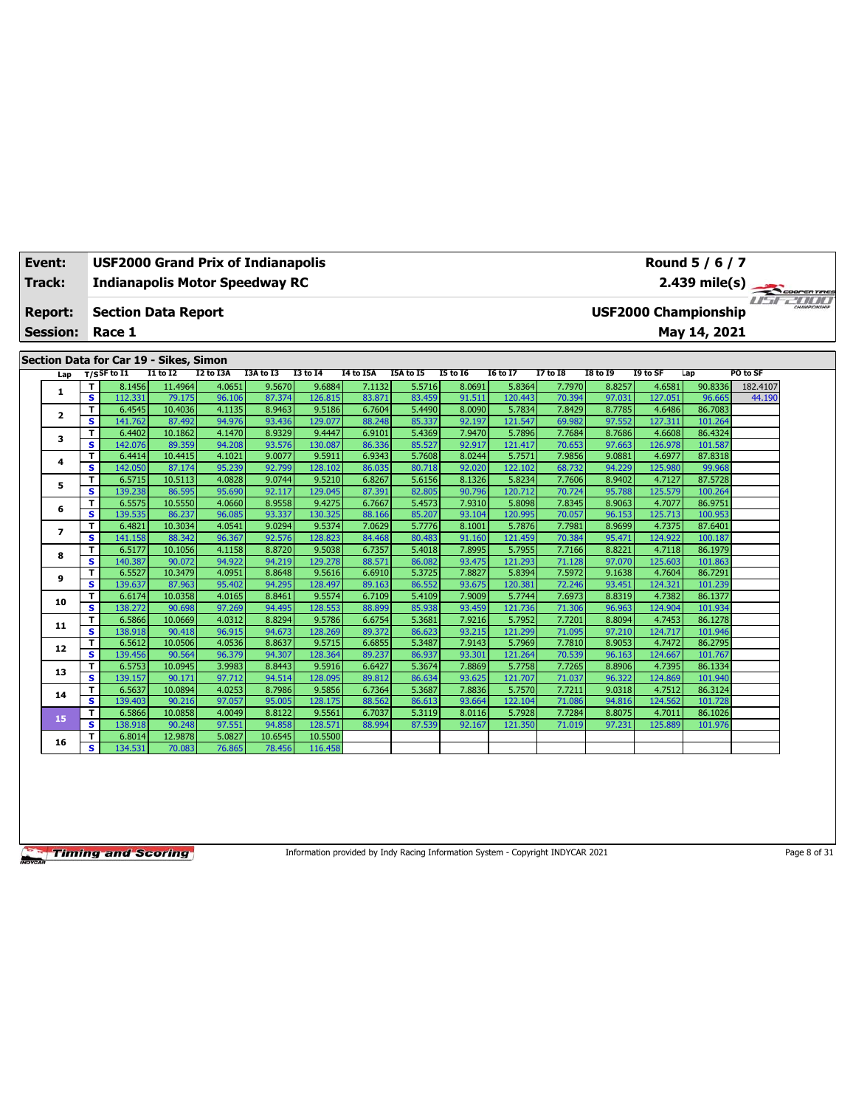| Event:          |                              | <b>USF2000 Grand Prix of Indianapolis</b><br>Round 5 / 6 / 7<br>2.439 mile(s)<br><b>Indianapolis Motor Speedway RC</b> |                   |                  |                  |                   |                  |                  |                  |                   |                  |                  |                   |                             |          |  |
|-----------------|------------------------------|------------------------------------------------------------------------------------------------------------------------|-------------------|------------------|------------------|-------------------|------------------|------------------|------------------|-------------------|------------------|------------------|-------------------|-----------------------------|----------|--|
| <b>Track:</b>   |                              |                                                                                                                        |                   |                  |                  |                   |                  |                  |                  |                   |                  |                  |                   |                             |          |  |
|                 |                              |                                                                                                                        |                   |                  |                  |                   |                  |                  |                  |                   |                  |                  |                   |                             |          |  |
| Report:         |                              | <b>Section Data Report</b>                                                                                             |                   |                  |                  |                   |                  |                  |                  |                   |                  |                  |                   | <b>USF2000 Championship</b> |          |  |
| <b>Session:</b> |                              | Race 1                                                                                                                 |                   |                  |                  |                   |                  |                  |                  |                   |                  |                  |                   | May 14, 2021                |          |  |
|                 |                              |                                                                                                                        |                   |                  |                  |                   |                  |                  |                  |                   |                  |                  |                   |                             |          |  |
|                 |                              | Section Data for Car 19 - Sikes, Simon                                                                                 |                   |                  |                  |                   |                  |                  |                  |                   |                  |                  |                   |                             |          |  |
| Lap             |                              | $T/S$ SF to I1                                                                                                         | <b>I1 to I2</b>   | I2 to I3A        | I3A to I3        | <b>I3 to 14</b>   | I4 to I5A        | I5A to I5        | <b>I5 to 16</b>  | <b>16 to 17</b>   | 17 to 18         | <b>18 to 19</b>  | I9 to SF          | Lap                         | PO to SF |  |
| 1               | т                            | 8.1456                                                                                                                 | 11.4964           | 4.0651           | 9.5670           | 9.6884            | 7.1132           | 5.5716           | 8.0691           | 5.8364            | 7.7970           | 8.8257           | 4.6581            | 90.8336                     | 182.4107 |  |
|                 | $\overline{\mathbf{s}}$      | 112.331                                                                                                                | 79.175            | 96.106           | 87.374           | 126.815           | 83.871           | 83.459           | 91.511           | 120.443           | 70.394           | 97.031           | 127.051           | 96.665                      | 44.190   |  |
| $\mathbf{2}$    | T.                           | 6.4545                                                                                                                 | 10.4036           | 4.1135           | 8.9463           | 9.5186            | 6.7604           | 5.4490           | 8.0090           | 5.7834            | 7.8429           | 8.7785           | 4.6486            | 86.7083                     |          |  |
|                 | s                            | 141.762                                                                                                                | 87.492            | 94.976           | 93.436           | 129.077           | 88.248           | 85.337           | 92.197           | 121.547           | 69.982           | 97.552           | 127.311           | 101.264                     |          |  |
| 3               | т                            | 6.4402                                                                                                                 | 10.1862           | 4.1470           | 8.9329           | 9.4447            | 6.9101           | 5.4369           | 7.9470           | 5.7896            | 7.7684           | 8.7686           | 4.6608            | 86.4324                     |          |  |
|                 | s                            | 142.076                                                                                                                | 89.359            | 94.208<br>4.1021 | 93.576<br>9.0077 | 130.087<br>9.5911 | 86.336<br>6.9343 | 85.527<br>5.7608 | 92.917<br>8.0244 | 121.417           | 70.653           | 97.663<br>9.0881 | 126.978<br>4.6977 | 101.587<br>87.8318          |          |  |
| 4               | т<br>s.                      | 6.4414<br>142.050                                                                                                      | 10.4415<br>87.174 | 95.239           | 92.799           | 128.102           | 86.035           | 80.718           | 92.020           | 5.7571<br>122.102 | 7.9856<br>68.732 | 94.229           | 125.980           | 99.968                      |          |  |
|                 | т                            | 6.5715                                                                                                                 | 10.5113           | 4.0828           | 9.0744           | 9.5210            | 6.8267           | 5.6156           | 8.1326           | 5.8234            | 7.7606           | 8.9402           | 4.7127            | 87.5728                     |          |  |
| 5               | $\overline{\mathbf{s}}$      | 139.238                                                                                                                | 86.595            | 95.690           | 92.117           | 129.045           | 87.391           | 82.805           | 90.796           | 120.712           | 70.724           | 95.788           | 125.579           | 100.264                     |          |  |
|                 | T                            | 6.5575                                                                                                                 | 10.5550           | 4.0660           | 8.9558           | 9.4275            | 6.7667           | 5.4573           | 7.9310           | 5.8098            | 7.8345           | 8.9063           | 4.7077            | 86.9751                     |          |  |
| 6               | s                            | 139.535                                                                                                                | 86.237            | 96.085           | 93.337           | 130.325           | 88.166           | 85.207           | 93.104           | 120.995           | 70.057           | 96.153           | 125.713           | 100.953                     |          |  |
|                 | т                            | 6.4821                                                                                                                 | 10.3034           | 4.0541           | 9.0294           | 9.5374            | 7.0629           | 5.7776           | 8.1001           | 5.7876            | 7.7981           | 8.9699           | 4.7375            | 87.6401                     |          |  |
| $\overline{ }$  | s.                           | 141.158                                                                                                                | 88.342            | 96.367           | 92.576           | 128,823           | 84.468           | 80.483           | 91.160           | 121.459           | 70.384           | 95.471           | 124.922           | 100.187                     |          |  |
|                 | Τ                            | 6.5177                                                                                                                 | 10.1056           | 4.1158           | 8.8720           | 9.5038            | 6.7357           | 5.4018           | 7.8995           | 5.7955            | 7.7166           | 8.8221           | 4.7118            | 86.1979                     |          |  |
| 8               | s                            | 140.387                                                                                                                | 90.072            | 94.922           | 94.219           | 129.278           | 88.571           | 86.082           | 93.475           | 121.293           | 71.128           | 97.070           | 125.603           | 101.863                     |          |  |
| 9               | T                            | 6.5527                                                                                                                 | 10.3479           | 4.0951           | 8.8648           | 9.5616            | 6.6910           | 5.3725           | 7.8827           | 5.8394            | 7.5972           | 9.1638           | 4.7604            | 86.7291                     |          |  |
|                 | s                            | 139.637                                                                                                                | 87.963            | 95.402           | 94.295           | 128,497           | 89.163           | 86.552           | 93.675           | 120.381           | 72.246           | 93.451           | 124.321           | 101.239                     |          |  |
| 10              | T                            | 6.6174                                                                                                                 | 10.0358           | 4.0165           | 8.8461           | 9.5574            | 6.7109           | 5.4109           | 7.9009           | 5.7744            | 7.6973           | 8.8319           | 4.7382            | 86.1377                     |          |  |
|                 | s                            | 138.272                                                                                                                | 90.698            | 97.269           | 94.495           | 128.553           | 88.899           | 85.938           | 93.459           | 121.736           | 71.306           | 96.963           | 124.904           | 101.934                     |          |  |
| 11              | T                            | 6.5866                                                                                                                 | 10.0669           | 4.0312           | 8.8294           | 9.5786            | 6.6754           | 5.3681           | 7.9216           | 5.7952            | 7.7201           | 8.8094           | 4.7453            | 86.1278                     |          |  |
|                 | $\overline{\mathbf{s}}$      | 138.918                                                                                                                | 90.418            | 96.915           | 94.673           | 128.269           | 89.372           | 86.623           | 93.215           | 121.299           | 71.095           | 97.210           | 124.717           | 101.946                     |          |  |
| 12              | Τ                            | 6.5612                                                                                                                 | 10.0506           | 4.0536           | 8.8637           | 9.5715            | 6.6855           | 5.3487           | 7.9143           | 5.7969            | 7.7810           | 8.9053           | 4.7472            | 86.2795                     |          |  |
|                 | s.                           | 139.456                                                                                                                | 90.564            | 96.379           | 94.307           | 128.364           | 89.237           | 86.937           | 93.301           | 121.264           | 70.539           | 96.163           | 124.667           | 101.767                     |          |  |
| 13              | T<br>$\overline{\mathbf{s}}$ | 6.5753<br>139.157                                                                                                      | 10.0945<br>90.171 | 3.9983<br>97.712 | 8.8443<br>94.514 | 9.5916<br>128.095 | 6.6427           | 5.3674           | 7.8869<br>93.625 | 5.7758            | 7.7265           | 8.8906           | 4.7395            | 86.1334                     |          |  |
|                 |                              | 6.5637                                                                                                                 | 10.0894           | 4.0253           | 8.7986           | 9.5856            | 89.812<br>6.7364 | 86.634<br>5.3687 | 7.8836           | 121.707<br>5.7570 | 71.037<br>7.7211 | 96.322<br>9.0318 | 124.869<br>4.7512 | 101.940<br>86.3124          |          |  |
| 14              | т<br>s                       | 139.403                                                                                                                | 90.216            | 97.057           | 95.005           | 128.175           | 88.562           | 86.613           | 93.664           | 122.104           | 71.086           | 94.816           | 124.562           | 101.728                     |          |  |
|                 | T                            | 6.5866                                                                                                                 | 10.0858           | 4.0049           | 8.8122           | 9.5561            | 6.7037           | 5.3119           | 8.0116           | 5.7928            | 7.7284           | 8.8075           | 4.7011            | 86.1026                     |          |  |
| 15              | s.                           | 138.918                                                                                                                | 90.248            | 97.551           | 94.858           | 128.571           | 88.994           | 87.539           | 92.167           | 121.350           | 71.019           | 97.231           | 125.889           | 101.976                     |          |  |
|                 | Τ                            | 6.8014                                                                                                                 | 12.9878           | 5.0827           | 10.6545          | 10.5500           |                  |                  |                  |                   |                  |                  |                   |                             |          |  |
| 16              | s.                           | 134.531                                                                                                                | 70.083            | 76.865           | 78.456           | 116.458           |                  |                  |                  |                   |                  |                  |                   |                             |          |  |
|                 |                              |                                                                                                                        |                   |                  |                  |                   |                  |                  |                  |                   |                  |                  |                   |                             |          |  |

Information provided by Indy Racing Information System - Copyright INDYCAR 2021 Page 8 of 31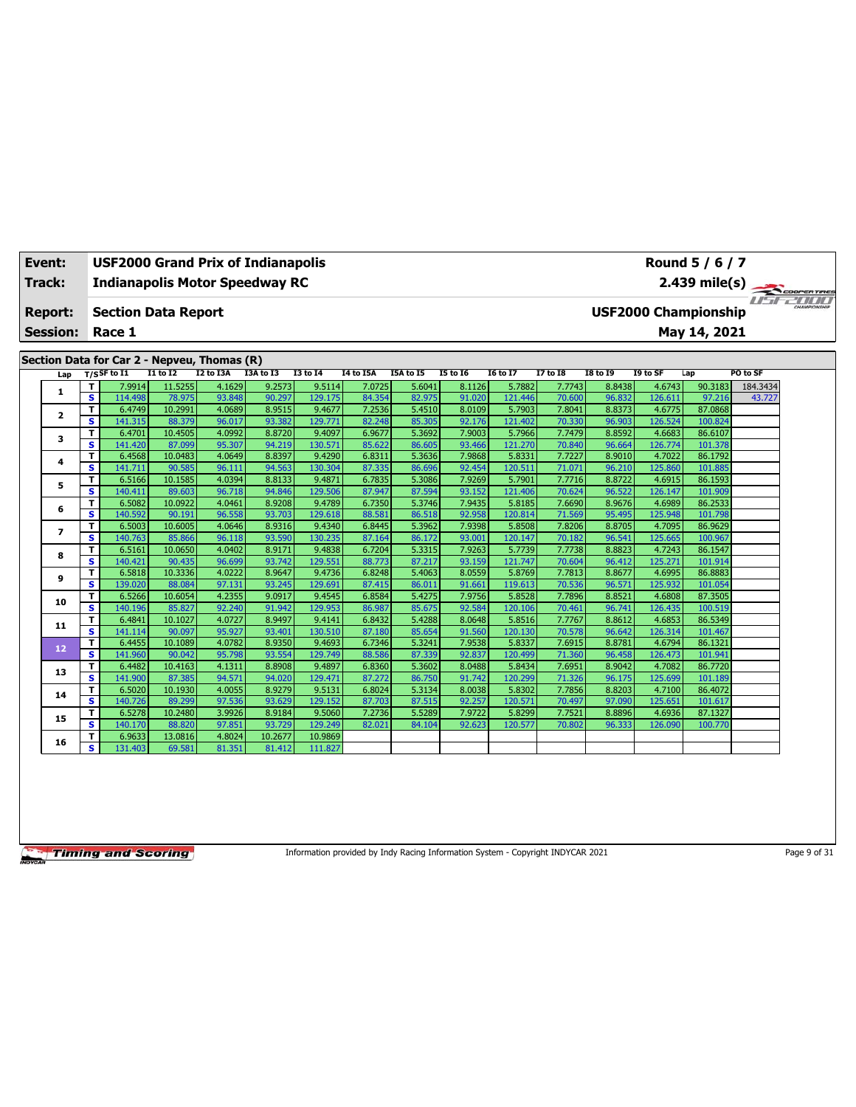| Event:          |                              | <b>USF2000 Grand Prix of Indianapolis</b>   |                   |                  |                  |                   |                  |                  |                  |                   |                  |                  |                   | Round 5 / 6 / 7             |          |  |
|-----------------|------------------------------|---------------------------------------------|-------------------|------------------|------------------|-------------------|------------------|------------------|------------------|-------------------|------------------|------------------|-------------------|-----------------------------|----------|--|
| Track:          |                              | <b>Indianapolis Motor Speedway RC</b>       |                   |                  |                  |                   |                  |                  |                  |                   |                  |                  |                   | 2.439 mile(s)               |          |  |
| <b>Report:</b>  |                              | <b>Section Data Report</b>                  |                   |                  |                  |                   |                  |                  |                  |                   |                  |                  |                   | <b>USF2000 Championship</b> |          |  |
| <b>Session:</b> |                              | Race 1                                      |                   |                  |                  |                   |                  |                  |                  |                   |                  |                  |                   | May 14, 2021                |          |  |
|                 |                              | Section Data for Car 2 - Nepveu, Thomas (R) |                   |                  |                  |                   |                  |                  |                  |                   |                  |                  |                   |                             |          |  |
| Lap             |                              | $T/S$ SF to I1                              | $I1$ to $I2$      | I2 to I3A        | I3A to I3        | <b>I3 to I4</b>   | <b>I4 to I5A</b> | I5A to I5        | <b>I5 to 16</b>  | <b>I6 to I7</b>   | <b>I7 to I8</b>  | <b>I8 to 19</b>  | I9 to SF          | Lap                         | PO to SF |  |
|                 | т                            | 7.9914                                      | 11.5255           | 4.1629           | 9.2573           | 9.5114            | 7.0725           | 5.6041           | 8.1126           | 5.7882            | 7.7743           | 8.8438           | 4.6743            | 90.3183                     | 184.3434 |  |
| 1               | $\overline{\mathbf{s}}$      | 114.498                                     | 78.975            | 93.848           | 90.297           | 129.175           | 84.354           | 82.975           | 91.020           | 121.446           | 70.600           | 96.832           | 126.611           | 97.216                      | 43.727   |  |
| $\mathbf{z}$    | T                            | 6.4749                                      | 10.2991           | 4.0689           | 8.9515           | 9.4677            | 7.2536           | 5.4510           | 8.0109           | 5.7903            | 7.8041           | 8.8373           | 4.6775            | 87.0868                     |          |  |
|                 | s                            | 141.315                                     | 88.379            | 96.017           | 93.382           | 129.771           | 82.248           | 85.305           | 92.176           | 121.402           | 70.330           | 96.903           | 126.524           | 100.824                     |          |  |
| 3               | т                            | 6.4701                                      | 10.4505           | 4.0992           | 8.8720           | 9.4097            | 6.9677           | 5.3692           | 7.9003           | 5.7966            | 7.7479           | 8.8592           | 4.6683            | 86.6107                     |          |  |
|                 | s.                           | 141.420                                     | 87.099            | 95.307           | 94.219           | 130.571           | 85.622           | 86.605           | 93.466           | 121.270           | 70.840           | 96.664           | 126.774           | 101.378                     |          |  |
| 4               | T.<br>s                      | 6.4568<br>141.711                           | 10.0483<br>90.585 | 4.0649<br>96.111 | 8.8397<br>94.563 | 9.4290<br>130.304 | 6.8311<br>87.335 | 5.3636<br>86.696 | 7.9868<br>92.454 | 5.8331<br>120.511 | 7.7227<br>71.071 | 8.9010<br>96.210 | 4.7022<br>125.860 | 86.1792<br>101.885          |          |  |
|                 | T                            | 6.5166                                      | 10.1585           | 4.0394           | 8.8133           | 9.4871            | 6.7835           | 5.3086           | 7.9269           | 5.7901            | 7.7716           | 8.8722           | 4.6915            | 86.1593                     |          |  |
| 5               | s.                           | 140.411                                     | 89.603            | 96.718           | 94.846           | 129.506           | 87.947           | 87.594           | 93.152           | 121.406           | 70.624           | 96.522           | 126.147           | 101.909                     |          |  |
|                 | T                            | 6.5082                                      | 10.0922           | 4.0461           | 8.9208           | 9.4789            | 6.7350           | 5.3746           | 7.9435           | 5.8185            | 7.6690           | 8.9676           | 4.6989            | 86.2533                     |          |  |
| 6               | S                            | 140.592                                     | 90.191            | 96.558           | 93.703           | 129.618           | 88.581           | 86.518           | 92.958           | 120.814           | 71.569           | 95.495           | 125.948           | 101.798                     |          |  |
|                 | T                            | 6.5003                                      | 10.6005           | 4.0646           | 8.9316           | 9.4340            | 6.8445           | 5.3962           | 7.9398           | 5.8508            | 7.8206           | 8.8705           | 4.7095            | 86.9629                     |          |  |
| $\overline{ }$  | $\overline{\mathbf{s}}$      | 140.763                                     | 85.866            | 96.118           | 93.590           | 130.235           | 87.164           | 86.172           | 93.001           | 120.147           | 70.182           | 96.541           | 125.665           | 100.967                     |          |  |
| 8               | T                            | 6.5161                                      | 10.0650           | 4.0402           | 8.9171           | 9.4838            | 6.7204           | 5.3315           | 7.9263           | 5.7739            | 7.7738           | 8.8823           | 4.7243            | 86.1547                     |          |  |
|                 | s                            | 140.421                                     | 90.435            | 96.699           | 93.742           | 129.551           | 88.773           | 87.217           | 93.159           | 121,747           | 70.604           | 96.412           | 125.271           | 101.914                     |          |  |
| 9               | T                            | 6.5818                                      | 10.3336           | 4.0222           | 8.9647           | 9.4736            | 6.8248           | 5.4063           | 8.0559           | 5.8769            | 7.7813           | 8.8677           | 4.6995            | 86.8883                     |          |  |
|                 | s.                           | 139.020                                     | 88.084            | 97.131           | 93.245           | 129.691           | 87.415           | 86.011           | 91.661           | 119.613           | 70.536           | 96.571           | 125.932           | 101.054                     |          |  |
| 10              | т                            | 6.5266                                      | 10.6054           | 4.2355           | 9.0917           | 9.4545            | 6.8584           | 5.4275           | 7.9756           | 5.8528            | 7.7896           | 8.8521           | 4.6808            | 87.3505                     |          |  |
|                 | s.                           | 140.196                                     | 85.827            | 92.240           | 91.942           | 129.953           | 86.987           | 85.675           | 92.584           | 120.106           | 70.461           | 96.741           | 126.435           | 100.519                     |          |  |
| 11              | T                            | 6.4841                                      | 10.1027           | 4.0727           | 8.9497           | 9.4141            | 6.8432           | 5.4288           | 8.0648           | 5.8516            | 7.7767           | 8.8612           | 4.6853            | 86.5349                     |          |  |
|                 | $\overline{\mathbf{s}}$<br>T | 141.114<br>6.4455                           | 90.097<br>10.1089 | 95.927<br>4.0782 | 93.401<br>8.9350 | 130.510<br>9.4693 | 87.180<br>6.7346 | 85.654<br>5.3241 | 91.560<br>7.9538 | 120.130<br>5.8337 | 70.578<br>7.6915 | 96.642<br>8.8781 | 126.314<br>4.6794 | 101.467<br>86.1321          |          |  |
| 12              | s                            | 141.960                                     | 90.042            | 95.798           | 93.554           | 129.749           | 88.586           | 87.339           | 92.837           | 120.499           | 71.360           | 96.458           | 126.473           | 101.941                     |          |  |
|                 | T                            | 6.4482                                      | 10.4163           | 4.1311           | 8.8908           | 9.4897            | 6.8360           | 5.3602           | 8.0488           | 5.8434            | 7.6951           | 8.9042           | 4.7082            | 86.7720                     |          |  |
| 13              | s                            | 141.900                                     | 87.385            | 94.571           | 94.020           | 129.471           | 87.272           | 86.750           | 91.742           | 120.299           | 71.326           | 96.175           | 125.699           | 101.189                     |          |  |
|                 | т                            | 6.5020                                      | 10.1930           | 4.0055           | 8.9279           | 9.5131            | 6.8024           | 5.3134           | 8.0038           | 5.8302            | 7.7856           | 8.8203           | 4.7100            | 86.4072                     |          |  |
| 14              | s                            | 140.726                                     | 89.299            | 97.536           | 93.629           | 129.152           | 87.703           | 87.515           | 92.257           | 120.571           | 70.497           | 97.090           | 125.651           | 101.617                     |          |  |
|                 | T                            | 6.5278                                      | 10.2480           | 3.9926           | 8.9184           | 9.5060            | 7.2736           | 5.5289           | 7.9722           | 5.8299            | 7.7521           | 8.8896           | 4.6936            | 87.1327                     |          |  |
| 15              | s                            | 140.170                                     | 88.820            | 97.851           | 93.729           | 129.249           | 82.021           | 84.104           | 92.623           | 120.577           | 70.802           | 96.333           | 126.090           | 100.770                     |          |  |
| 16              | T                            | 6.9633                                      | 13.0816           | 4.8024           | 10.2677          | 10.9869           |                  |                  |                  |                   |                  |                  |                   |                             |          |  |
|                 | s                            | 131.403                                     | 69.581            | 81.351           | 81.412           | 111.827           |                  |                  |                  |                   |                  |                  |                   |                             |          |  |

Information provided by Indy Racing Information System - Copyright INDYCAR 2021 Page 9 of 31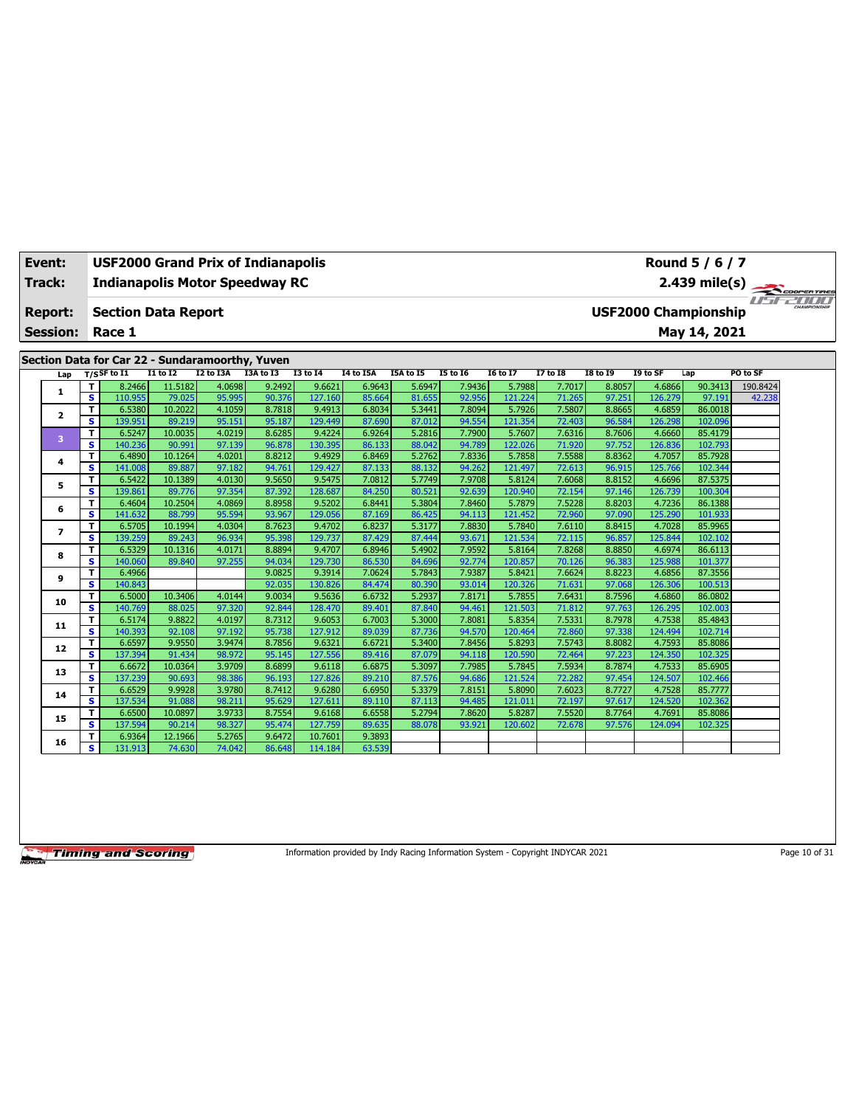| Event:          | Round 5 / 6 / 7<br><b>USF2000 Grand Prix of Indianapolis</b><br>2.439 mile(s)<br><b>Indianapolis Motor Speedway RC</b> |                                                 |                   |                  |                  |                   |                  |                  |                  |                   |                  |                  |                   |                             |          |  |
|-----------------|------------------------------------------------------------------------------------------------------------------------|-------------------------------------------------|-------------------|------------------|------------------|-------------------|------------------|------------------|------------------|-------------------|------------------|------------------|-------------------|-----------------------------|----------|--|
| <b>Track:</b>   |                                                                                                                        |                                                 |                   |                  |                  |                   |                  |                  |                  |                   |                  |                  |                   |                             |          |  |
|                 |                                                                                                                        |                                                 |                   |                  |                  |                   |                  |                  |                  |                   |                  |                  |                   |                             |          |  |
| Report:         |                                                                                                                        | <b>Section Data Report</b>                      |                   |                  |                  |                   |                  |                  |                  |                   |                  |                  |                   | <b>USF2000 Championship</b> |          |  |
| <b>Session:</b> |                                                                                                                        | Race 1                                          |                   |                  |                  |                   |                  |                  |                  |                   |                  |                  |                   | May 14, 2021                |          |  |
|                 |                                                                                                                        |                                                 |                   |                  |                  |                   |                  |                  |                  |                   |                  |                  |                   |                             |          |  |
|                 |                                                                                                                        | Section Data for Car 22 - Sundaramoorthy, Yuven |                   |                  |                  |                   |                  |                  |                  |                   |                  |                  |                   |                             |          |  |
| Lap             |                                                                                                                        | $T/S$ SF to I1                                  | <b>I1 to I2</b>   | I2 to I3A        | I3A to I3        | <b>I3 to 14</b>   | I4 to I5A        | I5A to I5        | <b>I5 to 16</b>  | <b>16 to 17</b>   | <b>I7 to I8</b>  | <b>18 to 19</b>  | I9 to SF          | Lap                         | PO to SF |  |
|                 | т                                                                                                                      | 8.2466                                          | 11.5182           | 4.0698           | 9.2492           | 9.6621            | 6.9643           | 5.6947           | 7.9436           | 5.7988            | 7.7017           | 8.8057           | 4.6866            | 90.3413                     | 190.8424 |  |
| 1               | $\overline{\mathbf{s}}$                                                                                                | 110.955                                         | 79.025            | 95.995           | 90.376           | 127.160           | 85.664           | 81.655           | 92.956           | 121.224           | 71.265           | 97.251           | 126.279           | 97.191                      | 42.238   |  |
| $\mathbf{z}$    | T                                                                                                                      | 6.5380                                          | 10.2022           | 4.1059           | 8.7818           | 9.4913            | 6.8034           | 5.3441           | 7.8094           | 5.7926            | 7.5807           | 8.8665           | 4.6859            | 86.0018                     |          |  |
|                 | s                                                                                                                      | 139.951                                         | 89.219            | 95.151           | 95.187           | 129.449           | 87.690           | 87.012           | 94.554           | 121.354           | 72.403           | 96.584           | 126.298           | 102.096                     |          |  |
| 3               | T                                                                                                                      | 6.5247                                          | 10.0035           | 4.0219           | 8.6285           | 9.4224            | 6.9264           | 5.2816           | 7.7900           | 5.7607            | 7.6316           | 8.7606           | 4.6660            | 85.4179                     |          |  |
|                 | s                                                                                                                      | 140.236                                         | 90.991            | 97.139           | 96.878           | 130.395           | 86.133           | 88.042           | 94.789           | 122.026           | 71.920           | 97.752           | 126.836           | 102.793                     |          |  |
| 4               | T<br>s                                                                                                                 | 6.4890                                          | 10.1264           | 4.0201<br>97.182 | 8.8212<br>94.761 | 9.4929            | 6.8469           | 5.2762           | 7.8336<br>94.262 | 5.7858            | 7.5588           | 8.8362<br>96.915 | 4.7057<br>125.766 | 85.7928                     |          |  |
|                 | T                                                                                                                      | 141.008<br>6.5422                               | 89.887<br>10.1389 | 4.0130           | 9.5650           | 129.427<br>9.5475 | 87.133<br>7.0812 | 88.132<br>5.7749 | 7.9708           | 121.497<br>5.8124 | 72.613<br>7.6068 | 8.8152           | 4.6696            | 102.344<br>87.5375          |          |  |
| 5               | s                                                                                                                      | 139.861                                         | 89.776            | 97.354           | 87.392           | 128,687           | 84.250           | 80.521           | 92.639           | 120,940           | 72.154           | 97.146           | 126.739           | 100.304                     |          |  |
|                 | T                                                                                                                      | 6.4604                                          | 10.2504           | 4.0869           | 8.8958           | 9.5202            | 6.8441           | 5.3804           | 7.8460           | 5.7879            | 7.5228           | 8.8203           | 4.7236            | 86.1388                     |          |  |
| 6               | s                                                                                                                      | 141.632                                         | 88.799            | 95.594           | 93.967           | 129.056           | 87.169           | 86.425           | 94.113           | 121.452           | 72.960           | 97.090           | 125.290           | 101.933                     |          |  |
|                 | т                                                                                                                      | 6.5705                                          | 10.1994           | 4.0304           | 8.7623           | 9.4702            | 6.8237           | 5.3177           | 7.8830           | 5.7840            | 7.6110           | 8.8415           | 4.7028            | 85.9965                     |          |  |
| $\overline{ }$  | s                                                                                                                      | 139.259                                         | 89.243            | 96.934           | 95.398           | 129.737           | 87.429           | 87,444           | 93.671           | 121.534           | 72.115           | 96.857           | 125.844           | 102.102                     |          |  |
|                 | т                                                                                                                      | 6.5329                                          | 10.1316           | 4.0171           | 8.8894           | 9.4707            | 6.8946           | 5.4902           | 7.9592           | 5.8164            | 7.8268           | 8.8850           | 4.6974            | 86.6113                     |          |  |
| 8               | s                                                                                                                      | 140.060                                         | 89.840            | 97.255           | 94.034           | 129.730           | 86.530           | 84.696           | 92.774           | 120.857           | 70.126           | 96.383           | 125.988           | 101.377                     |          |  |
|                 | T                                                                                                                      | 6.4966                                          |                   |                  | 9.0825           | 9.3914            | 7.0624           | 5.7843           | 7.9387           | 5.8421            | 7.6624           | 8.8223           | 4.6856            | 87.3556                     |          |  |
| 9               | s                                                                                                                      | 140.843                                         |                   |                  | 92.035           | 130.826           | 84.474           | 80.390           | 93.014           | 120.326           | 71.631           | 97.068           | 126.306           | 100.513                     |          |  |
| 10              | T                                                                                                                      | 6.5000                                          | 10.3406           | 4.0144           | 9.0034           | 9.5636            | 6.6732           | 5.2937           | 7.8171           | 5.7855            | 7.6431           | 8.7596           | 4.6860            | 86.0802                     |          |  |
|                 | s                                                                                                                      | 140.769                                         | 88.025            | 97.320           | 92.844           | 128.470           | 89.401           | 87.840           | 94.461           | 121.503           | 71.812           | 97.763           | 126.295           | 102.003                     |          |  |
| 11              | T                                                                                                                      | 6.5174                                          | 9.8822            | 4.0197           | 8.7312           | 9.6053            | 6.7003           | 5.3000           | 7.8081           | 5.8354            | 7.5331           | 8.7978           | 4.7538            | 85.4843                     |          |  |
|                 | $\overline{\mathbf{s}}$                                                                                                | 140.393                                         | 92.108            | 97.192           | 95.738           | 127.912           | 89.039           | 87.736           | 94.570           | 120,464           | 72.860           | 97.338           | 124.494           | 102.714                     |          |  |
| 12              | т                                                                                                                      | 6.6597                                          | 9.9550            | 3.9474           | 8.7856           | 9.6321            | 6.6721           | 5.3400           | 7.8456           | 5.8293            | 7.5743           | 8.8082           | 4.7593            | 85.8086                     |          |  |
|                 | s.                                                                                                                     | 137.394                                         | 91.434            | 98.972           | 95.145           | 127.556           | 89.416           | 87.079           | 94.118           | 120.590           | 72.464           | 97.223           | 124.350           | 102.325                     |          |  |
| 13              | T                                                                                                                      | 6.6672                                          | 10.0364           | 3.9709           | 8.6899           | 9.6118            | 6.6875           | 5.3097           | 7.7985           | 5.7845            | 7.5934           | 8.7874           | 4.7533            | 85.6905                     |          |  |
|                 | $\overline{\mathbf{s}}$                                                                                                | 137.239                                         | 90.693            | 98.386           | 96.193           | 127.826           | 89.210           | 87.576           | 94.686           | 121.524           | 72.282           | 97.454           | 124.507           | 102.466                     |          |  |
| 14              | т<br>s                                                                                                                 | 6.6529                                          | 9.9928            | 3.9780           | 8.7412           | 9.6280<br>127.611 | 6.6950           | 5.3379           | 7.8151<br>94.485 | 5.8090<br>121.01: | 7.6023           | 8.7727           | 4.7528<br>124.520 | 85.7777<br>102.362          |          |  |
|                 | T                                                                                                                      | 137.534                                         | 91.088<br>10.0897 | 98.211<br>3.9733 | 95.629<br>8.7554 |                   | 89.110<br>6.6558 | 87.113<br>5.2794 | 7.8620           |                   | 72.197<br>7.5520 | 97.617           | 4.7691            |                             |          |  |
| 15              | s                                                                                                                      | 6.6500<br>137.594                               | 90.214            | 98.327           | 95.474           | 9.6168<br>127.759 | 89.635           | 88.078           | 93.921           | 5.8287<br>120.602 | 72.678           | 8.7764<br>97.576 | 124.094           | 85.8086<br>102.325          |          |  |
|                 | т                                                                                                                      | 6.9364                                          | 12.1966           | 5.2765           | 9.6472           | 10.7601           | 9.3893           |                  |                  |                   |                  |                  |                   |                             |          |  |
| 16              | s.                                                                                                                     | 131.913                                         | 74.630            | 74.042           | 86.648           | 114.184           | 63.539           |                  |                  |                   |                  |                  |                   |                             |          |  |
|                 |                                                                                                                        |                                                 |                   |                  |                  |                   |                  |                  |                  |                   |                  |                  |                   |                             |          |  |

Information provided by Indy Racing Information System - Copyright INDYCAR 2021 Page 10 of 31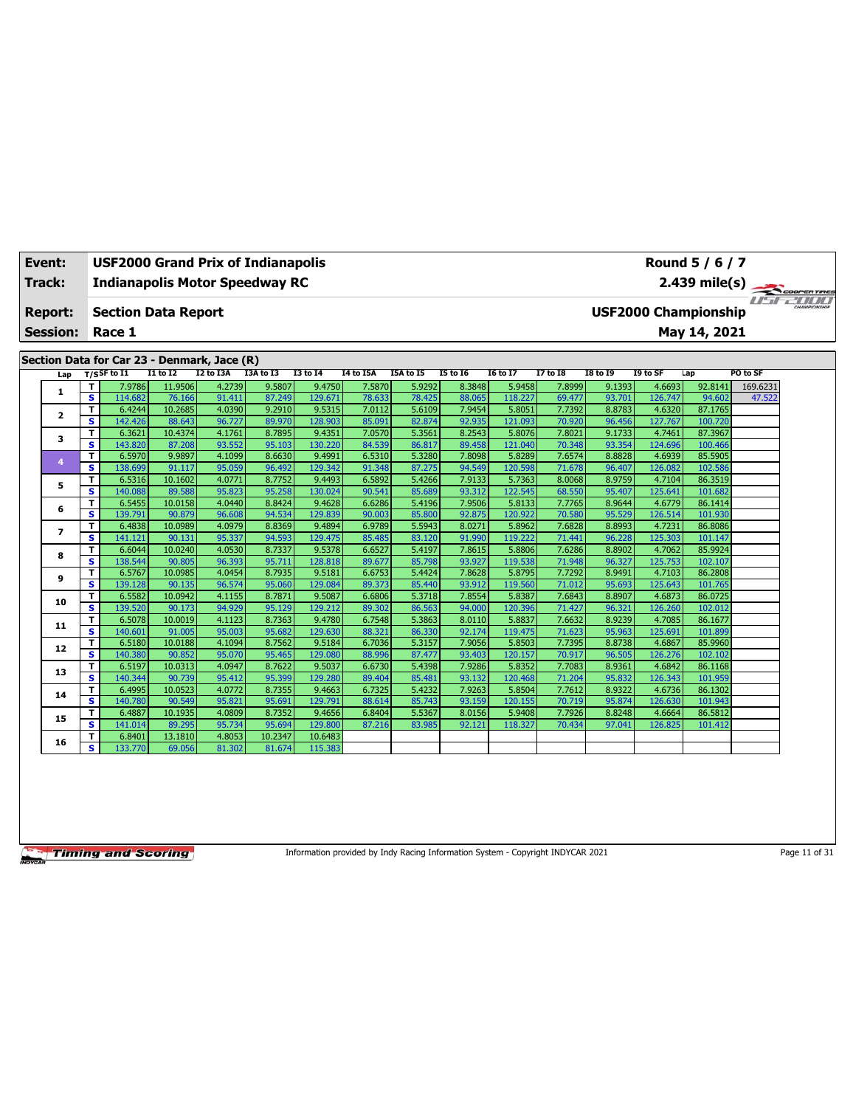| Event:          |        | <b>USF2000 Grand Prix of Indianapolis</b>   |                   |                  |                  |                   |                  |                  |                  |                   |                  |                  |                   | Round 5 / 6 / 7                              |          |  |
|-----------------|--------|---------------------------------------------|-------------------|------------------|------------------|-------------------|------------------|------------------|------------------|-------------------|------------------|------------------|-------------------|----------------------------------------------|----------|--|
| Track:          |        | <b>Indianapolis Motor Speedway RC</b>       |                   |                  |                  |                   |                  |                  |                  |                   |                  |                  |                   |                                              |          |  |
| <b>Report:</b>  |        | <b>Section Data Report</b>                  |                   |                  |                  |                   |                  |                  |                  |                   |                  |                  |                   | 2.439 mile(s)<br><b>USF2000 Championship</b> |          |  |
| <b>Session:</b> |        | Race 1                                      |                   |                  |                  |                   |                  |                  |                  |                   |                  |                  |                   | May 14, 2021                                 |          |  |
|                 |        |                                             |                   |                  |                  |                   |                  |                  |                  |                   |                  |                  |                   |                                              |          |  |
|                 |        | Section Data for Car 23 - Denmark, Jace (R) |                   |                  |                  |                   |                  |                  |                  |                   |                  |                  |                   |                                              |          |  |
|                 |        | $T/S$ SF to I1                              | I1 to I2          | I2 to I3A        | I3A to I3        | <b>I3 to 14</b>   | <b>I4 to I5A</b> | I5A to I5        | <b>I5 to 16</b>  | <b>I6 to I7</b>   | <b>I7 to I8</b>  | <b>I8 to I9</b>  | I9 to SF          | Lap                                          | PO to SF |  |
| Lap             | т      | 7.9786                                      | 11.9506           | 4.2739           | 9.5807           | 9.4750            | 7.5870           | 5.9292           | 8.3848           | 5.9458            | 7.8999           | 9.1393           | 4.6693            | 92.8141                                      | 169.6231 |  |
| 1               | s      | 114.682                                     | 76.166            | 91.411           | 87.249           | 129.671           | 78.633           | 78.425           | 88.065           | 118.227           | 69.477           | 93.701           | 126.747           | 94.602                                       | 47.522   |  |
|                 | т      | 6.4244                                      | 10.2685           | 4.0390           | 9.2910           | 9.5315            | 7.0112           | 5.6109           | 7.9454           | 5.8051            | 7.7392           | 8.8783           | 4.6320            | 87.1765                                      |          |  |
| $\mathbf{z}$    | s      | 142.426                                     | 88.643            | 96.727           | 89.970           | 128.903           | 85.091           | 82.874           | 92.935           | 121.093           | 70.920           | 96.456           | 127.767           | 100.720                                      |          |  |
|                 | т      | 6.3621                                      | 10.4374           | 4.1761           | 8.7895           | 9.4351            | 7.0570           | 5.3561           | 8.2543           | 5.8076            | 7.8021           | 9.1733           | 4.7461            | 87.3967                                      |          |  |
| 3               | s      | 143.820                                     | 87.208            | 93.552           | 95.103           | 130,220           | 84.539           | 86.817           | 89.458           | 121.040           | 70.348           | 93.354           | 124.696           | 100.466                                      |          |  |
| 4               | T      | 6.5970                                      | 9.9897            | 4.1099           | 8.6630           | 9.4991            | 6.5310           | 5.3280           | 7.8098           | 5.8289            | 7.6574           | 8.8828           | 4.6939            | 85.5905                                      |          |  |
|                 | s      | 138.699                                     | 91.117            | 95.059           | 96.492           | 129.342           | 91.348           | 87.275           | 94.549           | 120.598           | 71.678           | 96.407           | 126.082           | 102.586                                      |          |  |
| 5               | T      | 6.5316                                      | 10.1602           | 4.0771           | 8.7752           | 9.4493            | 6.5892           | 5.4266           | 7.9133           | 5.7363            | 8.0068           | 8.9759           | 4.7104            | 86.3519                                      |          |  |
|                 | s      | 140.088                                     | 89.588            | 95.823           | 95.258           | 130.024           | 90.541           | 85.689           | 93.312           | 122.545           | 68.550           | 95.407           | 125.641           | 101.682                                      |          |  |
| 6               | т      | 6.5455                                      | 10.0158           | 4.0440           | 8.8424           | 9.4628            | 6.6286           | 5.4196           | 7.9506           | 5.8133            | 7.7765           | 8.9644           | 4.6779            | 86.1414                                      |          |  |
|                 | s      | 139.791                                     | 90.879            | 96.608           | 94.534           | 129.839           | 90.003           | 85.800           | 92.875           | 120.922           | 70.580           | 95.529           | 126.514           | 101.930                                      |          |  |
| $\overline{ }$  | т      | 6.4838                                      | 10.0989           | 4.0979           | 8.8369           | 9.4894            | 6.9789           | 5.5943           | 8.0271           | 5.8962            | 7.6828           | 8.8993           | 4.7231            | 86.8086                                      |          |  |
|                 | s      | 141.121                                     | 90.131            | 95.337           | 94.593           | 129.475           | 85.485           | 83.120           | 91.990           | 119,222           | 71.441           | 96.228           | 125.303           | 101.147                                      |          |  |
| 8               | T      | 6.6044                                      | 10.0240           | 4.0530           | 8.7337           | 9.5378            | 6.6527           | 5.4197           | 7.8615           | 5.8806            | 7.6286           | 8.8902           | 4.7062            | 85.9924                                      |          |  |
|                 | s      | 138.544                                     | 90.805            | 96.393           | 95.711           | 128.818           | 89.677           | 85.798           | 93.927           | 119.538           | 71.948           | 96.327           | 125.753           | 102.107                                      |          |  |
| 9               | T      | 6.5767                                      | 10.0985           | 4.0454           | 8.7935           | 9.5181            | 6.6753           | 5.4424           | 7.8628           | 5.8795            | 7.7292           | 8.9491           | 4.7103            | 86.2808                                      |          |  |
|                 | s      | 139.128                                     | 90.135            | 96.574           | 95.060           | 129.084           | 89.373           | 85.440           | 93.912           | 119,560           | 71.012           | 95.693           | 125.643           | 101.765                                      |          |  |
| 10              | т      | 6.5582                                      | 10.0942           | 4.1155           | 8.7871           | 9.5087            | 6.6806           | 5.3718           | 7.8554           | 5.8387            | 7.6843           | 8.8907           | 4.6873            | 86.0725                                      |          |  |
|                 | s      | 139.520                                     | 90.173            | 94.929           | 95.129           | 129.212           | 89.302           | 86.563           | 94.000           | 120.396           | 71.427           | 96.321           | 126.260           | 102.012                                      |          |  |
| 11              | т<br>s | 6.5078<br>140.601                           | 10.0019<br>91.005 | 4.1123<br>95.003 | 8.7363<br>95.682 | 9.4780<br>129.630 | 6.7548<br>88.321 | 5.3863<br>86.330 | 8.0110<br>92.174 | 5.8837<br>119.475 | 7.6632<br>71.623 | 8.9239<br>95.963 | 4.7085<br>125.691 | 86.1677<br>101.899                           |          |  |
|                 | т      | 6.5180                                      | 10.0188           | 4.1094           | 8.7562           | 9.5184            | 6.7036           | 5.3157           | 7.9056           | 5.8503            | 7.7395           | 8.8738           | 4.6867            | 85.9960                                      |          |  |
| 12              | s      | 140.380                                     | 90.852            | 95.070           | 95.465           | 129.080           | 88.996           | 87.477           | 93.403           | 120.157           | 70.917           | 96.505           | 126.276           | 102.102                                      |          |  |
|                 | T      | 6.5197                                      | 10.0313           | 4.0947           | 8.7622           | 9.5037            | 6.6730           | 5.4398           | 7.9286           | 5.8352            | 7.7083           | 8.9361           | 4.6842            | 86.1168                                      |          |  |
| 13              | s      | 140.344                                     | 90.739            | 95.412           | 95.399           | 129.280           | 89.404           | 85.481           | 93.132           | 120.468           | 71.204           | 95.832           | 126.343           | 101.959                                      |          |  |
|                 | т      | 6.4995                                      | 10.0523           | 4.0772           | 8.7355           | 9.4663            | 6.7325           | 5.4232           | 7.9263           | 5.8504            | 7.7612           | 8.9322           | 4.6736            | 86.1302                                      |          |  |
| 14              | s      | 140.780                                     | 90.549            | 95.821           | 95.691           | 129.791           | 88.614           | 85.743           | 93.159           | 120.155           | 70.719           | 95.874           | 126.630           | 101.943                                      |          |  |
|                 | T      | 6.4887                                      | 10.1935           | 4.0809           | 8.7352           | 9.4656            | 6.8404           | 5.5367           | 8.0156           | 5.9408            | 7.7926           | 8.8248           | 4.6664            | 86.5812                                      |          |  |
| 15              | s      | 141.014                                     | 89.295            | 95.734           | 95.694           | 129.800           | 87.216           | 83.985           | 92.121           | 118.327           | 70.434           | 97.041           | 126.825           | 101.412                                      |          |  |
|                 | т      | 6.8401                                      | 13.1810           | 4.8053           | 10.2347          | 10.6483           |                  |                  |                  |                   |                  |                  |                   |                                              |          |  |
| 16              | s      | 133.770                                     | 69.056            | 81.302           | 81.674           | 115.383           |                  |                  |                  |                   |                  |                  |                   |                                              |          |  |

Information provided by Indy Racing Information System - Copyright INDYCAR 2021 Page 11 of 31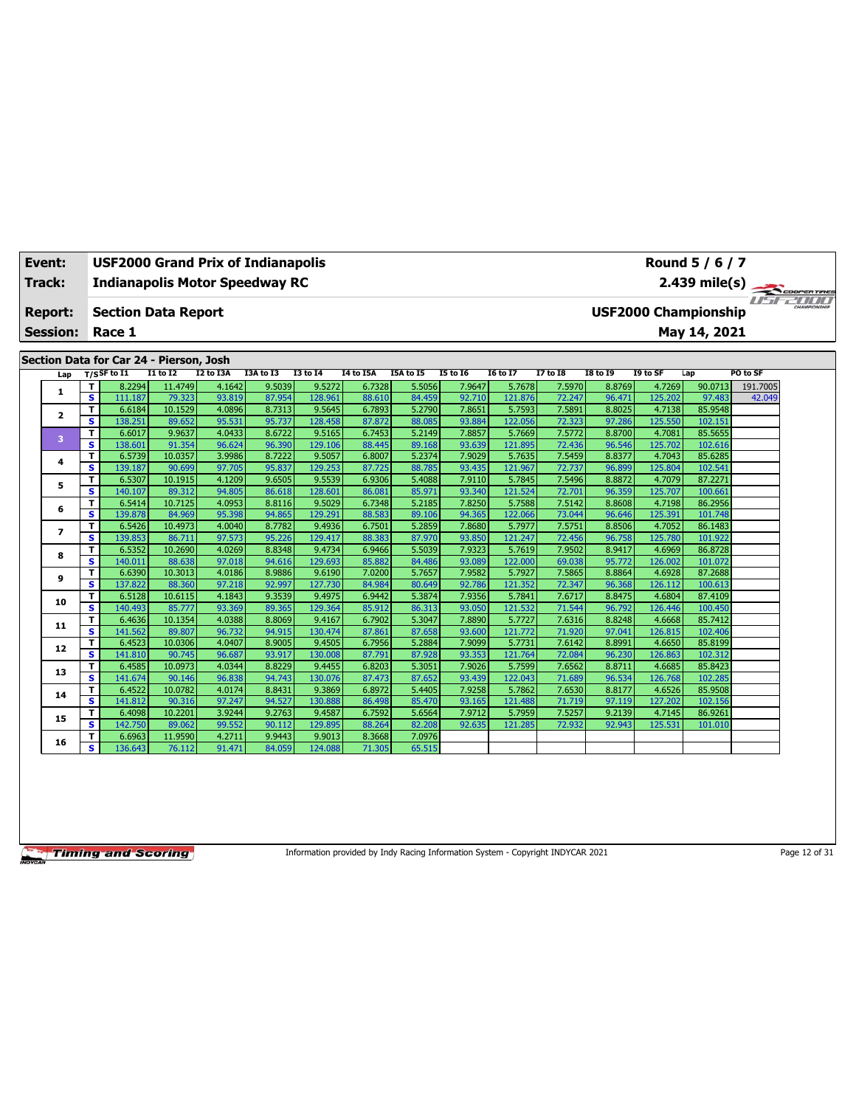| Event:          |                               | Round 5 / 6 / 7<br><b>USF2000 Grand Prix of Indianapolis</b><br>2.439 mile(s)<br><b>Indianapolis Motor Speedway RC</b> |                   |                  |                  |                   |                  |                  |                  |                   |                  |                  |                   |                             |          |                |
|-----------------|-------------------------------|------------------------------------------------------------------------------------------------------------------------|-------------------|------------------|------------------|-------------------|------------------|------------------|------------------|-------------------|------------------|------------------|-------------------|-----------------------------|----------|----------------|
| Track:          |                               |                                                                                                                        |                   |                  |                  |                   |                  |                  |                  |                   |                  |                  |                   |                             |          |                |
|                 |                               |                                                                                                                        |                   |                  |                  |                   |                  |                  |                  |                   |                  |                  |                   |                             |          | <b>IFFZIII</b> |
| <b>Report:</b>  |                               | <b>Section Data Report</b>                                                                                             |                   |                  |                  |                   |                  |                  |                  |                   |                  |                  |                   | <b>USF2000 Championship</b> |          |                |
| <b>Session:</b> |                               | Race 1                                                                                                                 |                   |                  |                  |                   |                  |                  |                  |                   |                  |                  |                   | May 14, 2021                |          |                |
|                 |                               |                                                                                                                        |                   |                  |                  |                   |                  |                  |                  |                   |                  |                  |                   |                             |          |                |
|                 |                               | Section Data for Car 24 - Pierson, Josh                                                                                |                   |                  |                  |                   |                  |                  |                  |                   |                  |                  |                   |                             |          |                |
| Lap             |                               | $T/S$ SF to $I1$                                                                                                       | <b>I1 to I2</b>   | I2 to I3A        | I3A to I3        | <b>I3 to 14</b>   | <b>I4 to I5A</b> | I5A to I5        | <b>I5 to 16</b>  | <b>I6 to I7</b>   | <b>I7 to I8</b>  | <b>I8 to 19</b>  | I9 to SF          | Lap                         | PO to SF |                |
| 1               | т                             | 8.2294                                                                                                                 | 11.4749           | 4.1642           | 9.5039           | 9.5272            | 6.7328           | 5.5056           | 7.9647           | 5.7678            | 7.5970           | 8.8769           | 4.7269            | 90.0713                     | 191.7005 |                |
|                 | $\overline{\mathbf{s}}$       | 111.187                                                                                                                | 79.323            | 93.819           | 87.954           | 128.961           | 88.610           | 84.459           | 92.710           | 121.876           | 72.247           | 96.471           | 125.202           | 97.483                      | 42.049   |                |
| 2               | T                             | 6.6184                                                                                                                 | 10.1529           | 4.0896           | 8.7313           | 9.5645            | 6.7893           | 5.2790           | 7.8651           | 5.7593            | 7.5891           | 8.8025           | 4.7138            | 85.9548                     |          |                |
|                 | s                             | 138.251                                                                                                                | 89.652            | 95.531           | 95.737           | 128,458           | 87.872           | 88.085           | 93.884           | 122.056           | 72.323           | 97.286           | 125.550           | 102.151                     |          |                |
| 3               | T<br>s                        | 6.6017<br>138.601                                                                                                      | 9.9637<br>91.354  | 4.0433<br>96.624 | 8.6722<br>96.390 | 9.5165<br>129.106 | 6.7453<br>88.445 | 5.2149<br>89.168 | 7.8857<br>93.639 | 5.7669<br>121.895 | 7.5772<br>72.436 | 8.8700<br>96.546 | 4.7081<br>125.702 | 85.5655<br>102.616          |          |                |
|                 | т                             | 6.5739                                                                                                                 | 10.0357           | 3.9986           | 8.7222           | 9.5057            | 6.8007           | 5.2374           | 7.9029           | 5.7635            | 7.5459           | 8.8377           | 4.7043            | 85.6285                     |          |                |
| 4               | s.                            | 139.187                                                                                                                | 90.699            | 97.705           | 95.837           | 129.253           | 87.725           | 88.785           | 93.435           | 121.967           | 72.737           | 96.899           | 125.804           | 102.541                     |          |                |
|                 | T                             | 6.5307                                                                                                                 | 10.1915           | 4.1209           | 9.6505           | 9.5539            | 6.9306           | 5.4088           | 7.9110           | 5.7845            | 7.5496           | 8.8872           | 4.7079            | 87.2271                     |          |                |
| 5               | s.                            | 140.107                                                                                                                | 89.312            | 94.805           | 86.618           | 128,601           | 86.081           | 85.971           | 93.340           | 121.524           | 72.701           | 96.359           | 125,707           | 100.661                     |          |                |
|                 | т                             | 6.5414                                                                                                                 | 10.7125           | 4.0953           | 8.8116           | 9.5029            | 6.7348           | 5.2185           | 7.8250           | 5.7588            | 7.5142           | 8.8608           | 4.7198            | 86.2956                     |          |                |
| 6               | s                             | 139.878                                                                                                                | 84.969            | 95.398           | 94.865           | 129.291           | 88.583           | 89.106           | 94.365           | 122.066           | 73.044           | 96.646           | 125.391           | 101.748                     |          |                |
|                 | T                             | 6.5426                                                                                                                 | 10.4973           | 4.0040           | 8.7782           | 9.4936            | 6.7501           | 5.2859           | 7.8680           | 5.7977            | 7.5751           | 8.8506           | 4.7052            | 86.1483                     |          |                |
| $\overline{ }$  | s                             | 139.853                                                                                                                | 86.711            | 97.573           | 95.226           | 129.417           | 88.383           | 87.970           | 93.850           | 121.247           | 72.456           | 96.758           | 125.780           | 101.922                     |          |                |
| 8               | T                             | 6.5352                                                                                                                 | 10.2690           | 4.0269           | 8.8348           | 9.4734            | 6.9466           | 5.5039           | 7.9323           | 5.7619            | 7.9502           | 8.9417           | 4.6969            | 86.8728                     |          |                |
|                 | s                             | 140.011                                                                                                                | 88.638            | 97.018           | 94.616           | 129.693           | 85.882           | 84.486           | 93.089           | 122.000           | 69.038           | 95.772           | 126.002           | 101.072                     |          |                |
| 9               | т                             | 6.6390                                                                                                                 | 10.3013           | 4.0186           | 8.9886           | 9.6190            | 7.0200           | 5.7657           | 7.9582           | 5.7927            | 7.5865           | 8.8864           | 4.6928            | 87.2688                     |          |                |
|                 | s.                            | 137.822                                                                                                                | 88.360            | 97.218           | 92.997           | 127.730           | 84.984           | 80.649           | 92.786           | 121.352           | 72.347           | 96.368           | 126.112           | 100.613                     |          |                |
| 10              | T                             | 6.5128                                                                                                                 | 10.6115           | 4.1843           | 9.3539           | 9.4975            | 6.9442           | 5.3874           | 7.9356           | 5.7841            | 7.6717           | 8.8475           | 4.6804            | 87.4109                     |          |                |
|                 | s                             | 140.493                                                                                                                | 85,777            | 93.369           | 89.365           | 129.364           | 85.912           | 86.313           | 93.050           | 121.532           | 71.544           | 96.792           | 126.446           | 100.450                     |          |                |
| 11              | T                             | 6.4636                                                                                                                 | 10.1354           | 4.0388           | 8.8069           | 9.4167            | 6.7902           | 5.3047           | 7.8890           | 5.7727            | 7.6316           | 8.8248           | 4.6668            | 85.7412                     |          |                |
|                 | $\overline{\mathbf{s}}$       | 141.562                                                                                                                | 89.807            | 96.732           | 94.915           | 130.474           | 87.861           | 87.658           | 93.600           | 121.772           | 71.920           | 97.041           | 126.815           | 102.406                     |          |                |
| 12              | T.<br>$\overline{\mathbf{s}}$ | 6.4523<br>141.810                                                                                                      | 10.0306<br>90.745 | 4.0407<br>96.687 | 8.9005<br>93.917 | 9.4505<br>130.008 | 6.7956<br>87.791 | 5.2884<br>87.928 | 7.9099<br>93.353 | 5.7731<br>121.764 | 7.6142<br>72.084 | 8.8991<br>96.230 | 4.6650<br>126.863 | 85.8199<br>102.312          |          |                |
|                 | T                             | 6.4585                                                                                                                 | 10.0973           | 4.0344           | 8.8229           | 9.4455            | 6.8203           | 5.3051           | 7.9026           | 5.7599            | 7.6562           | 8.8711           | 4.6685            | 85.8423                     |          |                |
| 13              | s                             | 141.674                                                                                                                | 90.146            | 96.838           | 94.743           | 130.076           | 87.473           | 87.652           | 93.439           | 122.043           | 71.689           | 96.534           | 126.768           | 102.285                     |          |                |
|                 | T                             | 6.4522                                                                                                                 | 10.0782           | 4.0174           | 8.8431           | 9.3869            | 6.8972           | 5.4405           | 7.9258           | 5.7862            | 7.6530           | 8.8177           | 4.6526            | 85.9508                     |          |                |
| 14              | s.                            | 141.812                                                                                                                | 90.316            | 97.247           | 94.527           | 130.888           | 86.498           | 85.470           | 93.165           | 121.488           | 71.719           | 97.119           | 127.202           | 102.156                     |          |                |
|                 | т                             | 6.4098                                                                                                                 | 10.2201           | 3.9244           | 9.2763           | 9.4587            | 6.7592           | 5.6564           | 7.9712           | 5.7959            | 7.5257           | 9.2139           | 4.7145            | 86.9261                     |          |                |
| 15              | s                             | 142.750                                                                                                                | 89.062            | 99.552           | 90.112           | 129.895           | 88.264           | 82.208           | 92.635           | 121.285           | 72.932           | 92.943           | 125.531           | 101.010                     |          |                |
|                 | т                             | 6.6963                                                                                                                 | 11.9590           | 4.2711           | 9.9443           | 9.9013            | 8.3668           | 7.0976           |                  |                   |                  |                  |                   |                             |          |                |
| 16              | s                             | 136.643                                                                                                                | 76.112            | 91.471           | 84.059           | 124.088           | 71.305           | 65.515           |                  |                   |                  |                  |                   |                             |          |                |

Information provided by Indy Racing Information System - Copyright INDYCAR 2021 Page 12 of 31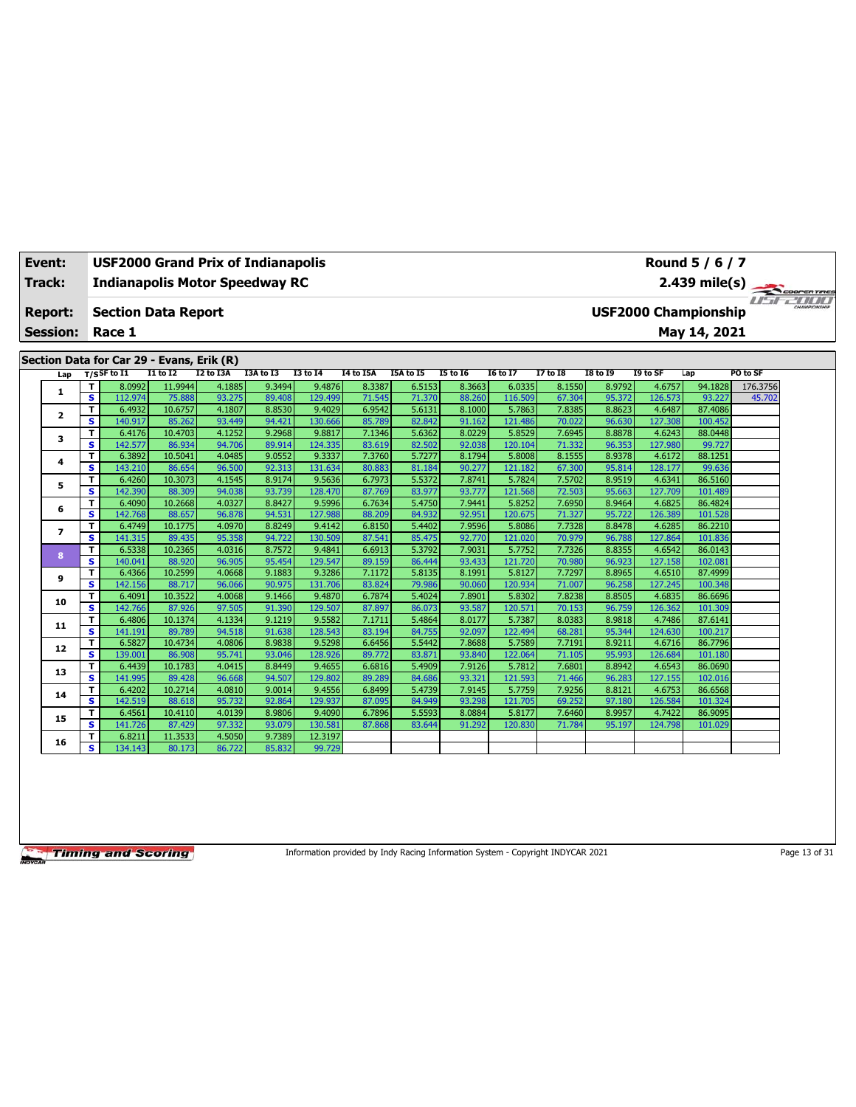| Event:          |                         | <b>USF2000 Grand Prix of Indianapolis</b> |                   |                  |                  |                   |                  |                  |                  |                   |                  |                  |                   | Round 5 / 6 / 7             |          |  |
|-----------------|-------------------------|-------------------------------------------|-------------------|------------------|------------------|-------------------|------------------|------------------|------------------|-------------------|------------------|------------------|-------------------|-----------------------------|----------|--|
| <b>Track:</b>   |                         | <b>Indianapolis Motor Speedway RC</b>     |                   |                  |                  |                   |                  |                  |                  |                   |                  |                  |                   | 2.439 mile(s)               |          |  |
|                 |                         |                                           |                   |                  |                  |                   |                  |                  |                  |                   |                  |                  |                   |                             |          |  |
| Report:         |                         | <b>Section Data Report</b>                |                   |                  |                  |                   |                  |                  |                  |                   |                  |                  |                   | <b>USF2000 Championship</b> |          |  |
| <b>Session:</b> |                         | Race 1                                    |                   |                  |                  |                   |                  |                  |                  |                   |                  |                  |                   | May 14, 2021                |          |  |
|                 |                         |                                           |                   |                  |                  |                   |                  |                  |                  |                   |                  |                  |                   |                             |          |  |
|                 |                         | Section Data for Car 29 - Evans, Erik (R) |                   |                  |                  |                   |                  |                  |                  |                   |                  |                  |                   |                             |          |  |
| Lap             |                         | $T/S$ SF to I1                            | <b>I1 to I2</b>   | <b>I2 to I3A</b> | I3A to I3        | <b>I3 to 14</b>   | I4 to I5A        | I5A to I5        | <b>I5 to 16</b>  | <b>16 to 17</b>   | 17 to 18         | <b>18 to 19</b>  | I9 to SF          | Lap                         | PO to SF |  |
| 1               | т                       | 8.0992                                    | 11.9944           | 4.1885           | 9.3494           | 9.4876            | 8.3387           | 6.5153           | 8.3663           | 6.0335            | 8.1550           | 8.9792           | 4.6757            | 94.1828                     | 176.3756 |  |
|                 | s                       | 112.974                                   | 75.888            | 93.275           | 89.408           | 129.499           | 71.545           | 71.370           | 88.260           | 116,509           | 67.304           | 95.372           | 126.573           | 93.227                      | 45.702   |  |
| $\mathbf{z}$    | T.                      | 6.4932                                    | 10.6757           | 4.1807           | 8.8530           | 9.4029            | 6.9542           | 5.6131           | 8.1000           | 5.7863            | 7.8385           | 8.8623           | 4.6487            | 87.4086                     |          |  |
|                 | s                       | 140.917                                   | 85.262            | 93.449           | 94.421           | 130.666           | 85.789           | 82.842           | 91.162           | 121.486           | 70.022           | 96.630           | 127.308           | 100.452                     |          |  |
| 3               | т                       | 6.4176                                    | 10.4703           | 4.1252           | 9.2968           | 9.8817            | 7.1346           | 5.6362           | 8.0229           | 5.8529            | 7.6945           | 8.8878           | 4.6243            | 88.0448                     |          |  |
|                 | s                       | 142.577                                   | 86.934            | 94.706           | 89.914           | 124.335           | 83.619           | 82.502           | 92.038           | 120.104           | 71.332           | 96.353           | 127.980           | 99.727                      |          |  |
| 4               | т                       | 6.3892                                    | 10.5041           | 4.0485           | 9.0552           | 9.3337            | 7.3760           | 5.7277           | 8.1794           | 5.8008            | 8.1555           | 8.9378           | 4.6172            | 88.1251                     |          |  |
|                 | s                       | 143.210                                   | 86.654            | 96.500           | 92.313           | 131.634           | 80.883           | 81.184           | 90.277           | 121.182           | 67.300           | 95.814           | 128.177           | 99.636                      |          |  |
| 5               | T                       | 6.4260                                    | 10.3073           | 4.1545           | 8.9174           | 9.5636            | 6.7973           | 5.5372           | 7.8741           | 5.7824            | 7.5702           | 8.9519           | 4.6341            | 86.5160                     |          |  |
|                 | s                       | 142.390                                   | 88.309            | 94.038           | 93.739           | 128,470           | 87.769           | 83.977           | 93.777           | 121.568           | 72.503           | 95.663           | 127.709           | 101.489                     |          |  |
| 6               | T                       | 6.4090                                    | 10.2668           | 4.0327           | 8.8427           | 9.5996            | 6.7634           | 5.4750           | 7.9441           | 5.8252            | 7.6950           | 8.9464           | 4.6825            | 86.4824                     |          |  |
|                 | S                       | 142.768                                   | 88.657            | 96.878           | 94.531           | 127.988           | 88.209           | 84.932           | 92.951           | 120.675           | 71.327           | 95.722           | 126.389           | 101.528                     |          |  |
| $\overline{ }$  | т<br>s                  | 6.4749<br>141.315                         | 10.1775<br>89.435 | 4.0970<br>95.358 | 8.8249<br>94.722 | 9.4142<br>130.509 | 6.8150<br>87.541 | 5.4402<br>85.475 | 7.9596<br>92.770 | 5.8086<br>121.020 | 7.7328           | 8.8478<br>96.788 | 4.6285<br>127.864 | 86.2210<br>101.836          |          |  |
|                 | T.                      | 6.5338                                    | 10.2365           | 4.0316           | 8.7572           | 9.4841            | 6.6913           | 5.3792           | 7.9031           | 5.7752            | 70.979<br>7.7326 | 8.8355           | 4.6542            | 86.0143                     |          |  |
| 8               | s                       | 140.041                                   | 88.920            | 96.905           | 95.454           | 129.547           | 89.159           | 86.444           | 93.433           | 121.720           | 70.980           | 96.923           | 127.158           | 102.081                     |          |  |
|                 | T                       | 6.4366                                    | 10.2599           | 4.0668           | 9.1883           | 9.3286            | 7.1172           | 5.8135           | 8.1991           | 5.8127            | 7.7297           | 8.8965           | 4.6510            | 87.4999                     |          |  |
| 9               | s                       | 142.156                                   | 88.717            | 96.066           | 90.975           | 131.706           | 83.824           | 79.986           | 90.060           | 120.934           | 71.007           | 96.258           | 127.245           | 100.348                     |          |  |
|                 | T                       | 6.4091                                    | 10.3522           | 4.0068           | 9.1466           | 9.4870            | 6.7874           | 5.4024           | 7.8901           | 5.8302            | 7.8238           | 8.8505           | 4.6835            | 86.6696                     |          |  |
| 10              | s                       | 142.766                                   | 87.926            | 97.505           | 91.390           | 129.507           | 87.897           | 86.073           | 93.587           | 120.571           | 70.153           | 96.759           | 126.362           | 101.309                     |          |  |
|                 | T                       | 6.4806                                    | 10.1374           | 4.1334           | 9.1219           | 9.5582            | 7.1711           | 5.4864           | 8.0177           | 5.7387            | 8.0383           | 8.9818           | 4.7486            | 87.6141                     |          |  |
| 11              | $\overline{\mathbf{s}}$ | 141.191                                   | 89.789            | 94.518           | 91.638           | 128.543           | 83.194           | 84.755           | 92.097           | 122.494           | 68.281           | 95.344           | 124.630           | 100.217                     |          |  |
|                 | т                       | 6.5827                                    | 10.4734           | 4.0806           | 8.9838           | 9.5298            | 6.6456           | 5.5442           | 7.8688           | 5.7589            | 7.7191           | 8.9211           | 4.6716            | 86.7796                     |          |  |
| 12              | s.                      | 139.001                                   | 86.908            | 95.741           | 93.046           | 128,926           | 89.772           | 83.871           | 93.840           | 122.064           | 71.105           | 95.993           | 126.684           | 101.180                     |          |  |
|                 | T                       | 6.4439                                    | 10.1783           | 4.0415           | 8.8449           | 9.4655            | 6.6816           | 5.4909           | 7.9126           | 5.7812            | 7.6801           | 8.8942           | 4.6543            | 86.0690                     |          |  |
| 13              | S                       | 141.995                                   | 89.428            | 96.668           | 94.507           | 129.802           | 89.289           | 84.686           | 93.321           | 121.593           | 71.466           | 96.283           | 127.155           | 102.016                     |          |  |
| 14              | т                       | 6.4202                                    | 10.2714           | 4.0810           | 9.0014           | 9.4556            | 6.8499           | 5.4739           | 7.9145           | 5.7759            | 7.9256           | 8.8121           | 4.6753            | 86.6568                     |          |  |
|                 | s                       | 142.519                                   | 88.618            | 95.732           | 92.864           | 129.937           | 87.095           | 84.949           | 93.298           | 121.705           | 69.252           | 97.180           | 126.584           | 101.324                     |          |  |
| 15              | T                       | 6.4561                                    | 10.4110           | 4.0139           | 8.9806           | 9.4090            | 6.7896           | 5.5593           | 8.0884           | 5.8177            | 7.6460           | 8.9957           | 4.7422            | 86.9095                     |          |  |
|                 | s                       | 141.726                                   | 87.429            | 97.332           | 93.079           | 130.581           | 87.868           | 83.644           | 91.292           | 120.830           | 71.784           | 95.197           | 124.798           | 101.029                     |          |  |
| 16              | т                       | 6.8211                                    | 11.3533           | 4.5050           | 9.7389           | 12.3197           |                  |                  |                  |                   |                  |                  |                   |                             |          |  |
|                 | s.                      | 134.143                                   | 80.173            | 86.722           | 85.832           | 99.729            |                  |                  |                  |                   |                  |                  |                   |                             |          |  |

Information provided by Indy Racing Information System - Copyright INDYCAR 2021 Page 13 of 31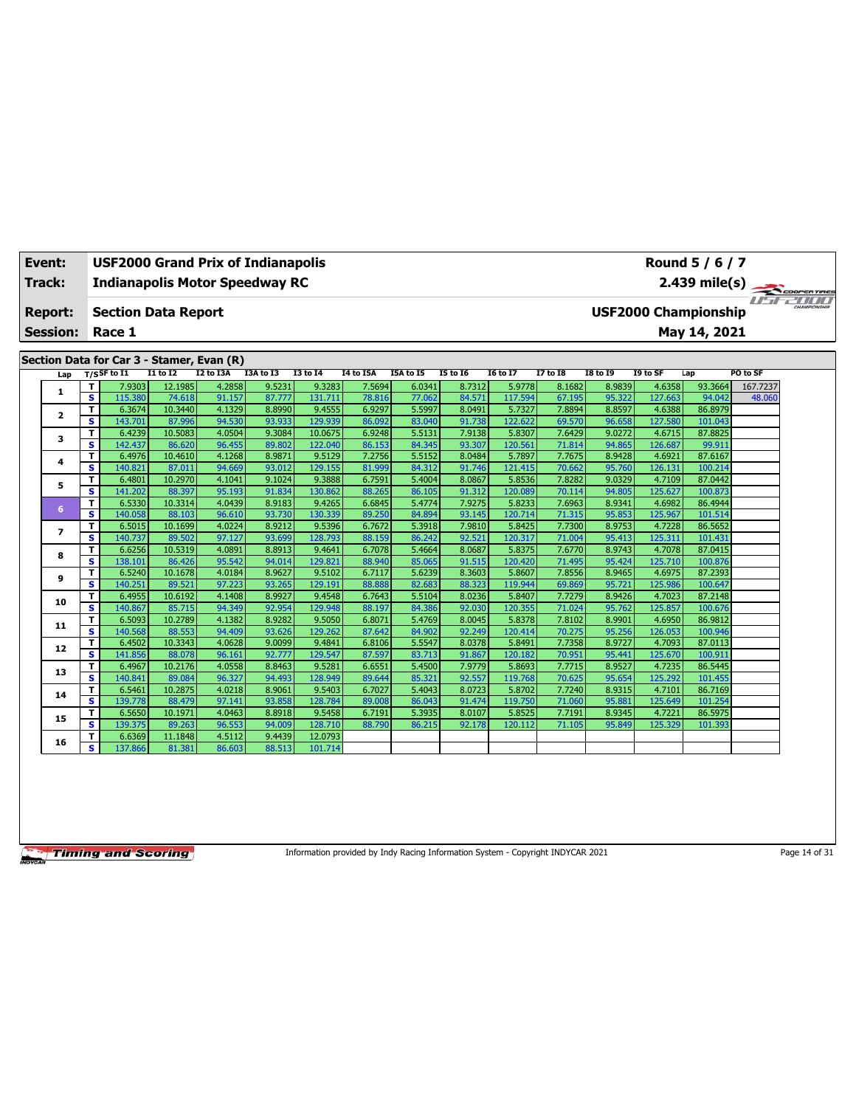| Event:                  |                         | <b>USF2000 Grand Prix of Indianapolis</b> |                   |                  |                  |                   |                  |                  |                  |                   |                  |                  |                   | Round 5 / 6 / 7             |          |  |
|-------------------------|-------------------------|-------------------------------------------|-------------------|------------------|------------------|-------------------|------------------|------------------|------------------|-------------------|------------------|------------------|-------------------|-----------------------------|----------|--|
| <b>Track:</b>           |                         | <b>Indianapolis Motor Speedway RC</b>     |                   |                  |                  |                   |                  |                  |                  |                   |                  |                  |                   | 2.439 mile(s)               |          |  |
|                         |                         |                                           |                   |                  |                  |                   |                  |                  |                  |                   |                  |                  |                   |                             |          |  |
| Report:                 |                         | <b>Section Data Report</b>                |                   |                  |                  |                   |                  |                  |                  |                   |                  |                  |                   | <b>USF2000 Championship</b> |          |  |
| <b>Session:</b>         |                         | Race 1                                    |                   |                  |                  |                   |                  |                  |                  |                   |                  |                  |                   | May 14, 2021                |          |  |
|                         |                         |                                           |                   |                  |                  |                   |                  |                  |                  |                   |                  |                  |                   |                             |          |  |
|                         |                         | Section Data for Car 3 - Stamer, Evan (R) |                   |                  |                  |                   |                  |                  |                  |                   |                  |                  |                   |                             |          |  |
| Lap                     |                         | $T/S$ SF to I1                            | <b>I1 to I2</b>   | <b>I2 to I3A</b> | I3A to I3        | <b>I3 to 14</b>   | I4 to I5A        | I5A to I5        | <b>I5 to 16</b>  | <b>16 to 17</b>   | 17 to 18         | <b>I8 to 19</b>  | I9 to SF          | Lap                         | PO to SF |  |
| 1                       | T                       | 7.9303                                    | 12.1985           | 4.2858           | 9.5231           | 9.3283            | 7.5694           | 6.0341           | 8.7312           | 5.9778            | 8.1682           | 8.9839           | 4.6358            | 93.3664                     | 167.7237 |  |
|                         | s                       | 115.380                                   | 74.618            | 91.157           | 87.777           | 131.711           | 78.816           | 77.062           | 84.571           | 117.594           | 67.195           | 95.322           | 127.663           | 94.042                      | 48.060   |  |
| $\overline{\mathbf{2}}$ | T                       | 6.3674                                    | 10.3440           | 4.1329           | 8.8990           | 9.4555            | 6.9297           | 5.5997           | 8.0491           | 5.7327            | 7.8894           | 8.8597           | 4.6388            | 86.8979                     |          |  |
|                         | $\overline{\mathbf{s}}$ | 143.701                                   | 87.996            | 94.530           | 93.933           | 129.939           | 86.092           | 83.040           | 91.738           | 122,622           | 69.570           | 96.658           | 127.580           | 101.043                     |          |  |
| 3                       | T                       | 6.4239                                    | 10.5083           | 4.0504           | 9.3084           | 10.0675           | 6.9248           | 5.5131           | 7.9138           | 5.8307            | 7.6429           | 9.0272           | 4.6715            | 87.8825                     |          |  |
|                         | s                       | 142.437                                   | 86.620            | 96.455           | 89.802           | 122.040           | 86.153           | 84.345           | 93.307           | 120.561           | 71.814           | 94.865           | 126.687           | 99.911                      |          |  |
| 4                       | T<br>S                  | 6.4976                                    | 10.4610<br>87.011 | 4.1268<br>94.669 | 8.9871<br>93.012 | 9.5129<br>129.155 | 7.2756           | 5.5152<br>84.312 | 8.0484<br>91.746 | 5.7897            | 7.7675<br>70.662 | 8.9428<br>95.760 | 4.6921<br>126.131 | 87.6167<br>100.214          |          |  |
|                         |                         | 140.821                                   |                   |                  | 9.1024           | 9.3888            | 81.999           |                  | 8.0867           | 121.415<br>5.8536 |                  | 9.0329           |                   |                             |          |  |
| 5                       | T<br>s                  | 6.4801<br>141.202                         | 10.2970<br>88.397 | 4.1041<br>95.193 | 91.834           | 130.862           | 6.7591<br>88.265 | 5.4004<br>86.105 | 91.312           | 120.089           | 7.8282<br>70.114 | 94.805           | 4.7109<br>125.627 | 87.0442<br>100.873          |          |  |
|                         | T                       | 6.5330                                    | 10.3314           | 4.0439           | 8.9183           | 9.4265            | 6.6845           | 5.4774           | 7.9275           | 5.8233            | 7.6963           | 8.9341           | 4.6982            | 86.4944                     |          |  |
| 6                       | s                       | 140.058                                   | 88.103            | 96.610           | 93.730           | 130.339           | 89.250           | 84.894           | 93.145           | 120.714           | 71.315           | 95.853           | 125.967           | 101.514                     |          |  |
|                         | т                       | 6.5015                                    | 10.1699           | 4.0224           | 8.9212           | 9.5396            | 6.7672           | 5.3918           | 7.9810           | 5.8425            | 7.7300           | 8.9753           | 4.7228            | 86.5652                     |          |  |
| $\overline{ }$          | s                       | 140.737                                   | 89.502            | 97.127           | 93.699           | 128,793           | 88.159           | 86.242           | 92.521           | 120.317           | 71.004           | 95.413           | 125.311           | 101.431                     |          |  |
|                         | T                       | 6.6256                                    | 10.5319           | 4.0891           | 8.8913           | 9.4641            | 6.7078           | 5.4664           | 8.0687           | 5.8375            | 7.6770           | 8.9743           | 4.7078            | 87.0415                     |          |  |
| 8                       | s                       | 138.101                                   | 86.426            | 95.542           | 94.014           | 129.821           | 88.940           | 85.065           | 91.515           | 120.420           | 71.495           | 95.424           | 125.710           | 100.876                     |          |  |
|                         | T                       | 6.5240                                    | 10.1678           | 4.0184           | 8.9627           | 9.5102            | 6.7117           | 5.6239           | 8.3603           | 5.8607            | 7.8556           | 8.9465           | 4.6975            | 87.2393                     |          |  |
| 9                       | s                       | 140.251                                   | 89.521            | 97.223           | 93.265           | 129.191           | 88.888           | 82.683           | 88.323           | 119,944           | 69.869           | 95.721           | 125.986           | 100.647                     |          |  |
|                         | T                       | 6.4955                                    | 10.6192           | 4.1408           | 8.9927           | 9.4548            | 6.7643           | 5.5104           | 8.0236           | 5.8407            | 7.7279           | 8.9426           | 4.7023            | 87.2148                     |          |  |
| 10                      | s                       | 140.867                                   | 85.715            | 94.349           | 92.954           | 129.948           | 88.197           | 84.386           | 92.030           | 120.355           | 71.024           | 95.762           | 125.857           | 100.676                     |          |  |
| 11                      | т                       | 6.5093                                    | 10.2789           | 4.1382           | 8.9282           | 9.5050            | 6.8071           | 5.4769           | 8.0045           | 5.8378            | 7.8102           | 8.9901           | 4.6950            | 86.9812                     |          |  |
|                         | s.                      | 140.568                                   | 88.553            | 94.409           | 93.626           | 129.262           | 87.642           | 84.902           | 92.249           | 120.414           | 70.275           | 95.256           | 126.053           | 100.946                     |          |  |
| 12                      | т                       | 6.4502                                    | 10.3343           | 4.0628           | 9.0099           | 9.4841            | 6.8106           | 5.5547           | 8.0378           | 5.8491            | 7.7358           | 8.9727           | 4.7093            | 87.0113                     |          |  |
|                         | s.                      | 141.856                                   | 88.078            | 96.161           | 92,777           | 129.547           | 87.597           | 83.713           | 91.867           | 120.182           | 70.951           | 95.441           | 125.670           | 100.911                     |          |  |
| 13                      | T                       | 6.4967                                    | 10.2176           | 4.0558           | 8.8463           | 9.5281            | 6.6551           | 5.4500           | 7.9779           | 5.8693            | 7.7715           | 8.9527           | 4.7235            | 86.5445                     |          |  |
|                         | s                       | 140.841                                   | 89.084            | 96.327           | 94.493           | 128.949           | 89.644           | 85.321           | 92.557           | 119.768           | 70.625           | 95.654           | 125.292           | 101.455                     |          |  |
| 14                      | т                       | 6.5461                                    | 10.2875           | 4.0218           | 8.9061           | 9.5403            | 6.7027           | 5.4043           | 8.0723           | 5.8702            | 7.7240           | 8.9315           | 4.7101            | 86.7169                     |          |  |
|                         | s.                      | 139.778                                   | 88.479            | 97.141           | 93.858           | 128,784           | 89.008           | 86.043           | 91.474           | 119.750           | 71.060           | 95.881           | 125.649           | 101.254                     |          |  |
| 15                      | T                       | 6.5650                                    | 10.1971           | 4.0463           | 8.8918           | 9.5458            | 6.7191           | 5.3935           | 8.0107           | 5.8525            | 7.7191           | 8.9345           | 4.7221            | 86.5975                     |          |  |
|                         | s                       | 139.375                                   | 89.263            | 96.553           | 94.009           | 128.710           | 88.790           | 86.215           | 92.178           | 120.112           | 71.105           | 95.849           | 125.329           | 101.393                     |          |  |
| 16                      | т                       | 6.6369                                    | 11.1848           | 4.5112           | 9.4439           | 12.0793           |                  |                  |                  |                   |                  |                  |                   |                             |          |  |
|                         | s                       | 137.866                                   | 81.381            | 86.603           | 88.513           | 101.714           |                  |                  |                  |                   |                  |                  |                   |                             |          |  |

Information provided by Indy Racing Information System - Copyright INDYCAR 2021 Page 14 of 31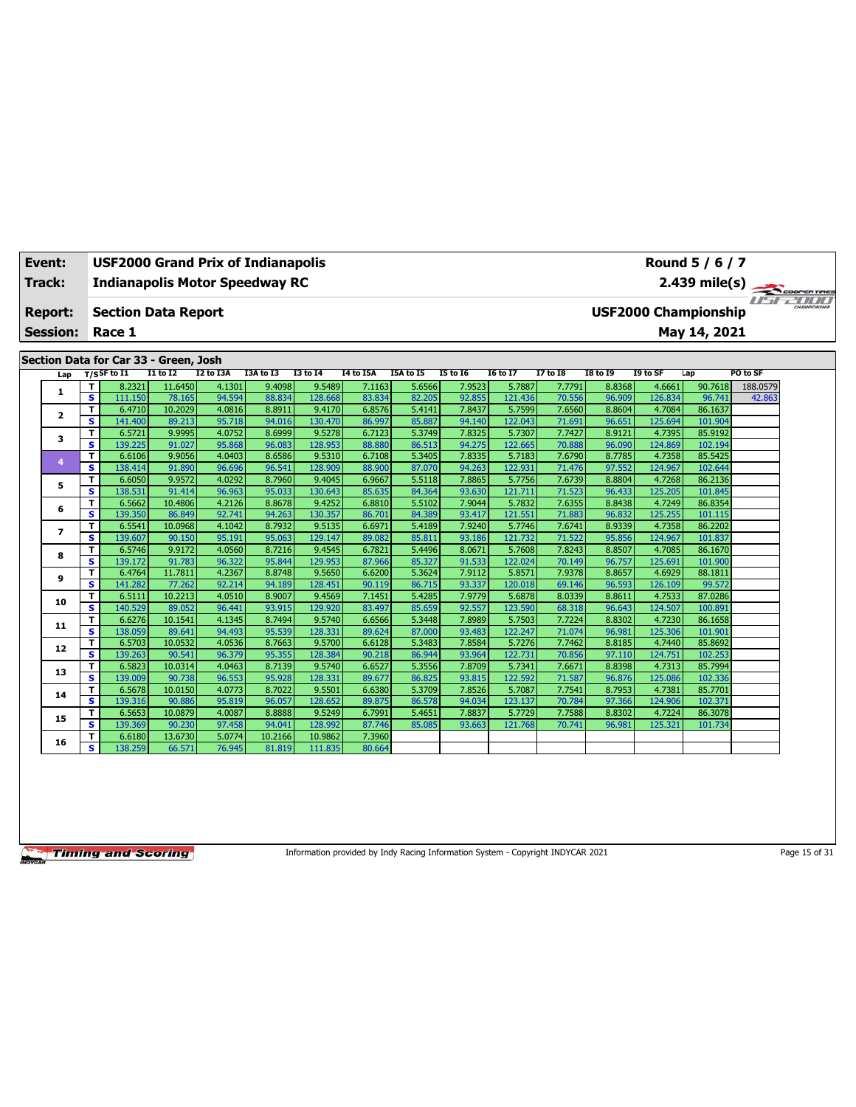| Event:          |         | <b>USF2000 Grand Prix of Indianapolis</b> |                   |                  |                  |                   |                  |                  |                  |                   |                  |                  |                   | Round 5 / 6 / 7             |          |  |
|-----------------|---------|-------------------------------------------|-------------------|------------------|------------------|-------------------|------------------|------------------|------------------|-------------------|------------------|------------------|-------------------|-----------------------------|----------|--|
| Track:          |         | <b>Indianapolis Motor Speedway RC</b>     |                   |                  |                  |                   |                  |                  |                  |                   |                  |                  |                   |                             |          |  |
|                 |         |                                           |                   |                  |                  |                   |                  |                  |                  |                   |                  |                  |                   | 2.439 mile(s)               |          |  |
| <b>Report:</b>  |         | <b>Section Data Report</b>                |                   |                  |                  |                   |                  |                  |                  |                   |                  |                  |                   | <b>USF2000 Championship</b> |          |  |
| <b>Session:</b> |         | Race 1                                    |                   |                  |                  |                   |                  |                  |                  |                   |                  |                  |                   | May 14, 2021                |          |  |
|                 |         |                                           |                   |                  |                  |                   |                  |                  |                  |                   |                  |                  |                   |                             |          |  |
|                 |         | Section Data for Car 33 - Green, Josh     |                   |                  |                  |                   |                  |                  |                  |                   |                  |                  |                   |                             |          |  |
| Lap             |         | $T/S$ SF to I1                            | $I1$ to $I2$      | I2 to I3A        | I3A to I3        | <b>I3 to 14</b>   | I4 to I5A        | I5A to I5        | <b>I5 to 16</b>  | <b>I6 to I7</b>   | <b>I7 to I8</b>  | <b>I8 to 19</b>  | I9 to SF          | Lap                         | PO to SF |  |
| 1               | т       | 8.2321                                    | 11.6450           | 4.1301           | 9.4098           | 9.5489            | 7.1163           | 5.6566           | 7.9523           | 5.7887            | 7.7791           | 8.8368           | 4.6661            | 90.7618                     | 188.0579 |  |
|                 | s       | 111.150                                   | 78.165            | 94.594           | 88.834           | 128.668           | 83.834           | 82.205           | 92.855           | 121.436           | 70.556           | 96.909           | 126.834           | 96.741                      | 42.863   |  |
| $\mathbf{z}$    | T       | 6.4710                                    | 10.2029           | 4.0816           | 8.8911           | 9.4170            | 6.8576           | 5.4141           | 7.8437           | 5.7599            | 7.6560           | 8.8604           | 4.7084            | 86.1637                     |          |  |
|                 | s       | 141.400                                   | 89.213            | 95.718           | 94.016           | 130.470           | 86.997           | 85.887           | 94.140           | 122.043           | 71.691           | 96.651           | 125.694           | 101.904                     |          |  |
| 3               | T<br>s  | 6.5721<br>139.225                         | 9.9995            | 4.0752<br>95.868 | 8.6999           | 9.5278<br>128.953 | 6.7123           | 5.3749<br>86.513 | 7.8325<br>94.275 | 5.7307<br>122.665 | 7.7427           | 8.9121           | 4.7395<br>124.869 | 85.9192<br>102.194          |          |  |
|                 | T       | 6.6106                                    | 91.027<br>9.9056  | 4.0403           | 96.083<br>8.6586 | 9.5310            | 88.880<br>6.7108 | 5.3405           | 7.8335           | 5.7183            | 70.888<br>7.6790 | 96.090<br>8.7785 | 4.7358            | 85.5425                     |          |  |
| 4               | s       | 138.414                                   | 91.890            | 96.696           | 96.541           | 128,909           | 88,900           | 87,070           | 94.263           | 122.931           | 71.476           | 97.552           | 124.967           | 102.644                     |          |  |
|                 | T       | 6.6050                                    | 9.9572            | 4.0292           | 8.7960           | 9.4045            | 6.9667           | 5.5118           | 7.8865           | 5.7756            | 7.6739           | 8.8804           | 4.7268            | 86.2136                     |          |  |
| 5               | s.      | 138.531                                   | 91.414            | 96.963           | 95.033           | 130.643           | 85.635           | 84.364           | 93.630           | 121.711           | 71.523           | 96.433           | 125.205           | 101.845                     |          |  |
|                 | T       | 6.5662                                    | 10.4806           | 4.2126           | 8.8678           | 9.4252            | 6.8810           | 5.5102           | 7.9044           | 5.7832            | 7.6355           | 8.8438           | 4.7249            | 86.8354                     |          |  |
| 6               | S       | 139.350                                   | 86.849            | 92.741           | 94.263           | 130.357           | 86.701           | 84.389           | 93.417           | 121.551           | 71.883           | 96.832           | 125.255           | 101.115                     |          |  |
|                 | т       | 6.5541                                    | 10.0968           | 4.1042           | 8.7932           | 9.5135            | 6.6971           | 5.4189           | 7.9240           | 5.7746            | 7.6741           | 8.9339           | 4.7358            | 86.2202                     |          |  |
| $\overline{ }$  | s       | 139.607                                   | 90.150            | 95.191           | 95.063           | 129.147           | 89.082           | 85.811           | 93.186           | 121.732           | 71.522           | 95.856           | 124.967           | 101.837                     |          |  |
|                 | T       | 6.5746                                    | 9.9172            | 4.0560           | 8.7216           | 9.4545            | 6.7821           | 5.4496           | 8.0671           | 5.7608            | 7.8243           | 8.8507           | 4.7085            | 86.1670                     |          |  |
| 8               | s       | 139.172                                   | 91.783            | 96.322           | 95.844           | 129.953           | 87.966           | 85.327           | 91.533           | 122.024           | 70.149           | 96.757           | 125.691           | 101.900                     |          |  |
| 9               | T       | 6.4764                                    | 11.7811           | 4.2367           | 8.8748           | 9.5650            | 6.6200           | 5.3624           | 7.9112           | 5.8571            | 7.9378           | 8.8657           | 4.6929            | 88.1811                     |          |  |
|                 | s.      | 141.282                                   | 77.262            | 92.214           | 94.189           | 128.451           | 90.119           | 86.715           | 93.337           | 120.018           | 69.146           | 96.593           | 126.109           | 99.572                      |          |  |
| 10              | T       | 6.5111                                    | 10.2213           | 4.0510           | 8.9007           | 9.4569            | 7.1451           | 5.4285           | 7.9779           | 5.6878            | 8.0339           | 8.8611           | 4.7533            | 87.0286                     |          |  |
|                 | s       | 140.529                                   | 89.052            | 96.441           | 93.915           | 129.920           | 83.497           | 85.659           | 92.557           | 123.590           | 68.318           | 96.643           | 124.507           | 100.891                     |          |  |
| 11              | T       | 6.6276                                    | 10.1541           | 4.1345           | 8.7494           | 9.5740            | 6.6566           | 5.3448           | 7.8989           | 5.7503            | 7.7224           | 8.8302           | 4.7230            | 86.1658                     |          |  |
|                 | s       | 138.059                                   | 89.641            | 94.493           | 95.539           | 128.331           | 89.624           | 87.000           | 93.483           | 122.247           | 71.074           | 96.981           | 125.306           | 101.901                     |          |  |
| 12              | т       | 6.5703                                    | 10.0532           | 4.0536           | 8.7663           | 9.5700            | 6.6128           | 5.3483           | 7.8584           | 5.7276            | 7.7462           | 8.8185           | 4.7440            | 85.8692                     |          |  |
|                 | s.      | 139.263                                   | 90.541            | 96.379           | 95.355           | 128.384           | 90.218           | 86.944           | 93.964           | 122.731           | 70.856           | 97.110           | 124.751           | 102.253                     |          |  |
| 13              | T       | 6.5823                                    | 10.0314           | 4.0463           | 8.7139           | 9.5740            | 6.6527           | 5.3556           | 7.8709           | 5.7341            | 7.6671           | 8.8398           | 4.7313            | 85.7994                     |          |  |
|                 | s       | 139.009                                   | 90.738            | 96.553           | 95.928           | 128.331           | 89.677           | 86.825           | 93.815           | 122.592           | 71.587           | 96.876           | 125.086           | 102.336                     |          |  |
| 14              | т<br>s. | 6.5678                                    | 10.0150           | 4.0773<br>95.819 | 8.7022<br>96.057 | 9.5501            | 6.6380           | 5.3709           | 7.8526           | 5.7087            | 7.7541           | 8.7953           | 4.7381<br>124.906 | 85.7701<br>102.371          |          |  |
|                 | T       | 139.316                                   | 90.886            | 4.0087           | 8.8888           | 128.652           | 89.875           | 86.578<br>5.4651 | 94.034           | 123.137           | 70.784<br>7.7588 | 97.366           | 4.7224            | 86.3078                     |          |  |
| 15              | s       | 6.5653<br>139.369                         | 10.0879<br>90.230 | 97.458           | 94.041           | 9.5249<br>128.992 | 6.7991<br>87.746 | 85.085           | 7.8837<br>93.663 | 5.7729<br>121.768 | 70.741           | 8.8302<br>96.981 | 125.321           | 101.734                     |          |  |
|                 | т       | 6.6180                                    | 13.6730           | 5.0774           | 10.2166          | 10.9862           | 7.3960           |                  |                  |                   |                  |                  |                   |                             |          |  |
| 16              | s.      | 138.259                                   | 66.571            | 76.945           | 81.819           | 111.835           | 80.664           |                  |                  |                   |                  |                  |                   |                             |          |  |
|                 |         |                                           |                   |                  |                  |                   |                  |                  |                  |                   |                  |                  |                   |                             |          |  |

Information provided by Indy Racing Information System - Copyright INDYCAR 2021 Page 15 of 31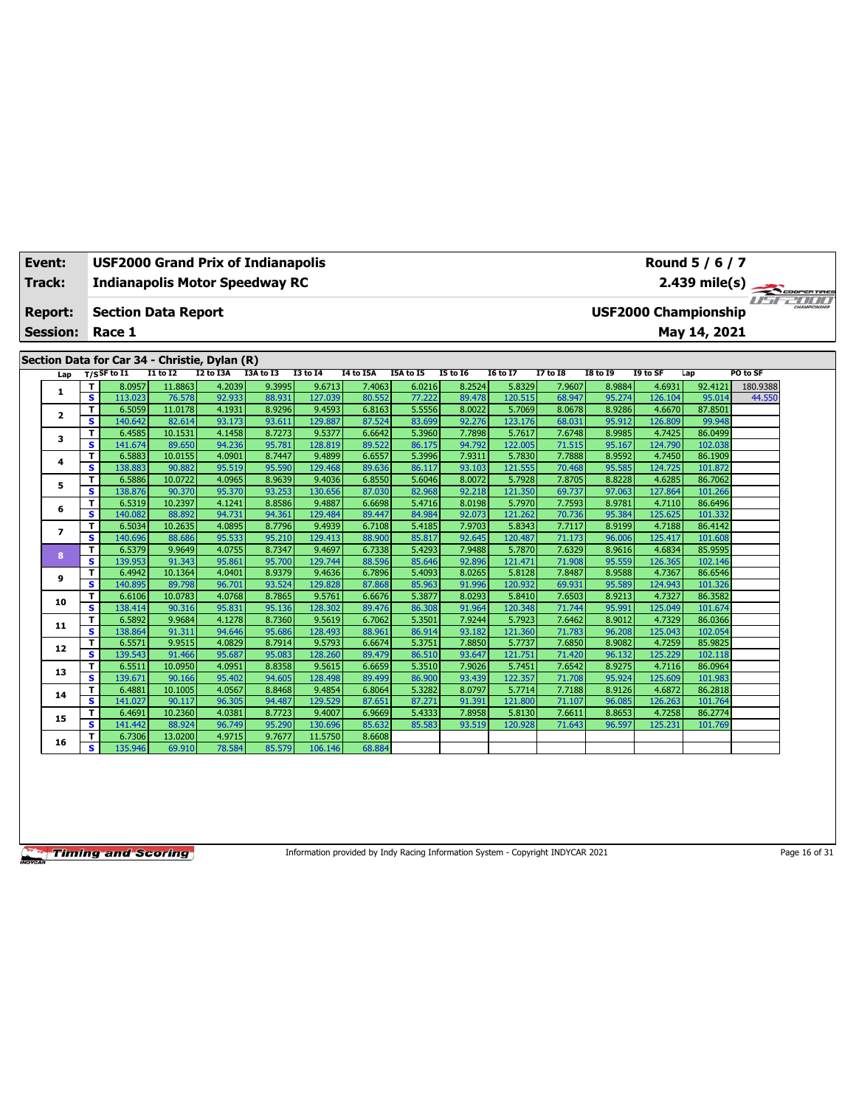| Event:          |                         | <b>USF2000 Grand Prix of Indianapolis</b>     |                   |                  |                  |                   |                  |                  |                  |                   |                  |                  |                   | Round 5 / 6 / 7             |          |  |
|-----------------|-------------------------|-----------------------------------------------|-------------------|------------------|------------------|-------------------|------------------|------------------|------------------|-------------------|------------------|------------------|-------------------|-----------------------------|----------|--|
| <b>Track:</b>   |                         | <b>Indianapolis Motor Speedway RC</b>         |                   |                  |                  |                   |                  |                  |                  |                   |                  |                  |                   | 2.439 mile(s)               |          |  |
|                 |                         |                                               |                   |                  |                  |                   |                  |                  |                  |                   |                  |                  |                   |                             |          |  |
| Report:         |                         | <b>Section Data Report</b>                    |                   |                  |                  |                   |                  |                  |                  |                   |                  |                  |                   | <b>USF2000 Championship</b> |          |  |
| <b>Session:</b> |                         | Race 1                                        |                   |                  |                  |                   |                  |                  |                  |                   |                  |                  |                   | May 14, 2021                |          |  |
|                 |                         |                                               |                   |                  |                  |                   |                  |                  |                  |                   |                  |                  |                   |                             |          |  |
|                 |                         | Section Data for Car 34 - Christie, Dylan (R) |                   |                  |                  |                   |                  |                  |                  |                   |                  |                  |                   |                             |          |  |
| Lap             |                         | $T/S$ SF to I1                                | <b>I1 to I2</b>   | I2 to I3A        | I3A to I3        | <b>I3 to 14</b>   | I4 to I5A        | I5A to I5        | <b>I5 to 16</b>  | <b>16 to 17</b>   | <b>I7 to I8</b>  | <b>18 to 19</b>  | I9 to SF          | Lap                         | PO to SF |  |
| 1               | т                       | 8.0957                                        | 11.8863           | 4.2039           | 9.3995           | 9.6713            | 7.4063           | 6.0216           | 8.2524           | 5.8329            | 7.9607           | 8.9884           | 4.6931            | 92.4121                     | 180.9388 |  |
|                 | $\overline{\mathbf{s}}$ | 113.023                                       | 76.578            | 92.933           | 88.931           | 127.039           | 80.552           | 77.222           | 89.478           | 120.515           | 68.947           | 95.274           | 126.104           | 95.014                      | 44.550   |  |
| $\mathbf{z}$    | T.                      | 6.5059                                        | 11.0178           | 4.1931           | 8.9296           | 9.4593            | 6.8163           | 5.5556           | 8.0022           | 5.7069            | 8.0678           | 8.9286           | 4.6670            | 87.8501                     |          |  |
|                 | s                       | 140.642                                       | 82.614            | 93.173           | 93.611           | 129.887           | 87.524           | 83.699           | 92.276           | 123.176           | 68.031           | 95.912           | 126.809           | 99.948                      |          |  |
| 3               | т                       | 6.4585                                        | 10.1531           | 4.1458           | 8.7273           | 9.5377            | 6.6642           | 5.3960           | 7.7898           | 5.7617            | 7.6748           | 8.9985           | 4.7425            | 86.0499                     |          |  |
|                 | s                       | 141.674                                       | 89.650            | 94.236           | 95.781           | 128.819           | 89.522           | 86.175           | 94.792           | 122.005           | 71.515           | 95.167           | 124.790           | 102.038                     |          |  |
| 4               | т                       | 6.5883                                        | 10.0155           | 4.0901           | 8.7447           | 9.4899            | 6.6557           | 5.3996           | 7.9311           | 5.7830            | 7.7888           | 8.9592           | 4.7450            | 86.1909                     |          |  |
|                 | s                       | 138.883                                       | 90.882            | 95.519           | 95.590           | 129.468           | 89.636           | 86.117           | 93.103           | 121.555           | 70.468           | 95.585           | 124.725           | 101.872                     |          |  |
| 5               | T                       | 6.5886                                        | 10.0722           | 4.0965           | 8.9639           | 9.4036            | 6.8550           | 5.6046           | 8.0072           | 5.7928            | 7.8705           | 8.8228           | 4.6285            | 86.7062                     |          |  |
|                 | s                       | 138.876                                       | 90.370            | 95.370           | 93.253           | 130.656           | 87.030           | 82.968           | 92.218           | 121.350           | 69.737           | 97.063           | 127.864           | 101.266                     |          |  |
| 6               | T                       | 6.5319                                        | 10.2397           | 4.1241           | 8.8586           | 9.4887            | 6.6698           | 5.4716           | 8.0198           | 5.7970            | 7.7593           | 8.9781           | 4.7110            | 86.6496                     |          |  |
|                 | S                       | 140.082                                       | 88.892            | 94.731           | 94.361           | 129.484           | 89.447           | 84.984           | 92.073           | 121.262           | 70.736           | 95.384           | 125.625           | 101.332                     |          |  |
| $\overline{ }$  | т<br>s                  | 6.5034<br>140.696                             | 10.2635<br>88.686 | 4.0895<br>95.533 | 8.7796<br>95.210 | 9.4939<br>129.413 | 6.7108<br>88,900 | 5.4185<br>85.817 | 7.9703<br>92.645 | 5.8343<br>120.487 | 7.7117           | 8.9199<br>96.006 | 4.7188<br>125.417 | 86.4142<br>101.608          |          |  |
|                 | T.                      | 6.5379                                        | 9.9649            | 4.0755           | 8.7347           | 9.4697            | 6.7338           | 5.4293           | 7.9488           | 5.7870            | 71.173<br>7.6329 | 8.9616           | 4.6834            | 85.9595                     |          |  |
| 8               | s                       | 139.953                                       | 91.343            | 95.861           | 95.700           | 129.744           | 88.596           | 85.646           | 92.896           | 121.471           | 71.908           | 95.559           | 126.365           | 102.146                     |          |  |
|                 | T                       | 6.4942                                        | 10.1364           | 4.0401           | 8.9379           | 9.4636            | 6.7896           | 5.4093           | 8.0265           | 5.8128            | 7.8487           | 8.9588           | 4.7367            | 86.6546                     |          |  |
| 9               | s                       | 140.895                                       | 89.798            | 96.701           | 93.524           | 129.828           | 87,868           | 85.963           | 91.996           | 120.932           | 69.931           | 95.589           | 124.943           | 101.326                     |          |  |
|                 | T                       | 6.6106                                        | 10.0783           | 4.0768           | 8.7865           | 9.5761            | 6.6676           | 5.3877           | 8.0293           | 5.8410            | 7.6503           | 8.9213           | 4.7327            | 86.3582                     |          |  |
| 10              | s                       | 138.414                                       | 90.316            | 95.831           | 95.136           | 128.302           | 89.476           | 86.308           | 91.964           | 120.348           | 71.744           | 95.991           | 125.049           | 101.674                     |          |  |
|                 | т                       | 6.5892                                        | 9.9684            | 4.1278           | 8.7360           | 9.5619            | 6.7062           | 5.3501           | 7.9244           | 5.7923            | 7.6462           | 8.9012           | 4.7329            | 86.0366                     |          |  |
| 11              | s.                      | 138.864                                       | 91.311            | 94.646           | 95.686           | 128.493           | 88.961           | 86.914           | 93.182           | 121.360           | 71.783           | 96.208           | 125.043           | 102.054                     |          |  |
|                 | т                       | 6.5571                                        | 9.9515            | 4.0829           | 8.7914           | 9.5793            | 6.6674           | 5.3751           | 7.8850           | 5.7737            | 7.6850           | 8.9082           | 4.7259            | 85.9825                     |          |  |
| 12              | s.                      | 139.543                                       | 91.466            | 95.687           | 95.083           | 128,260           | 89.479           | 86.510           | 93.647           | 121.751           | 71.420           | 96.132           | 125.229           | 102.118                     |          |  |
|                 | T                       | 6.5511                                        | 10.0950           | 4.0951           | 8.8358           | 9.5615            | 6.6659           | 5.3510           | 7.9026           | 5.7451            | 7.6542           | 8.9275           | 4.7116            | 86.0964                     |          |  |
| 13              | $\overline{\mathbf{s}}$ | 139.671                                       | 90.166            | 95.402           | 94.605           | 128.498           | 89.499           | 86.900           | 93.439           | 122.357           | 71.708           | 95.924           | 125.609           | 101.983                     |          |  |
| 14              | т                       | 6.4881                                        | 10.1005           | 4.0567           | 8.8468           | 9.4854            | 6.8064           | 5.3282           | 8.0797           | 5.7714            | 7.7188           | 8.9126           | 4.6872            | 86.2818                     |          |  |
|                 | s                       | 141.027                                       | 90.117            | 96.305           | 94.487           | 129.529           | 87.651           | 87.271           | 91.391           | 121,800           | 71.107           | 96.085           | 126.263           | 101.764                     |          |  |
| 15              | T                       | 6.4691                                        | 10.2360           | 4.0381           | 8.7723           | 9.4007            | 6.9669           | 5.4333           | 7.8958           | 5.8130            | 7.6611           | 8.8653           | 4.7258            | 86.2774                     |          |  |
|                 | s                       | 141.442                                       | 88.924            | 96.749           | 95.290           | 130.696           | 85.632           | 85.583           | 93.519           | 120.928           | 71.643           | 96.597           | 125.231           | 101.769                     |          |  |
| 16              | т                       | 6.7306                                        | 13.0200           | 4.9715           | 9.7677           | 11.5750           | 8.6608           |                  |                  |                   |                  |                  |                   |                             |          |  |
|                 | s.                      | 135.946                                       | 69.910            | 78.584           | 85.579           | 106.146           | 68.884           |                  |                  |                   |                  |                  |                   |                             |          |  |

Information provided by Indy Racing Information System - Copyright INDYCAR 2021 Page 16 of 31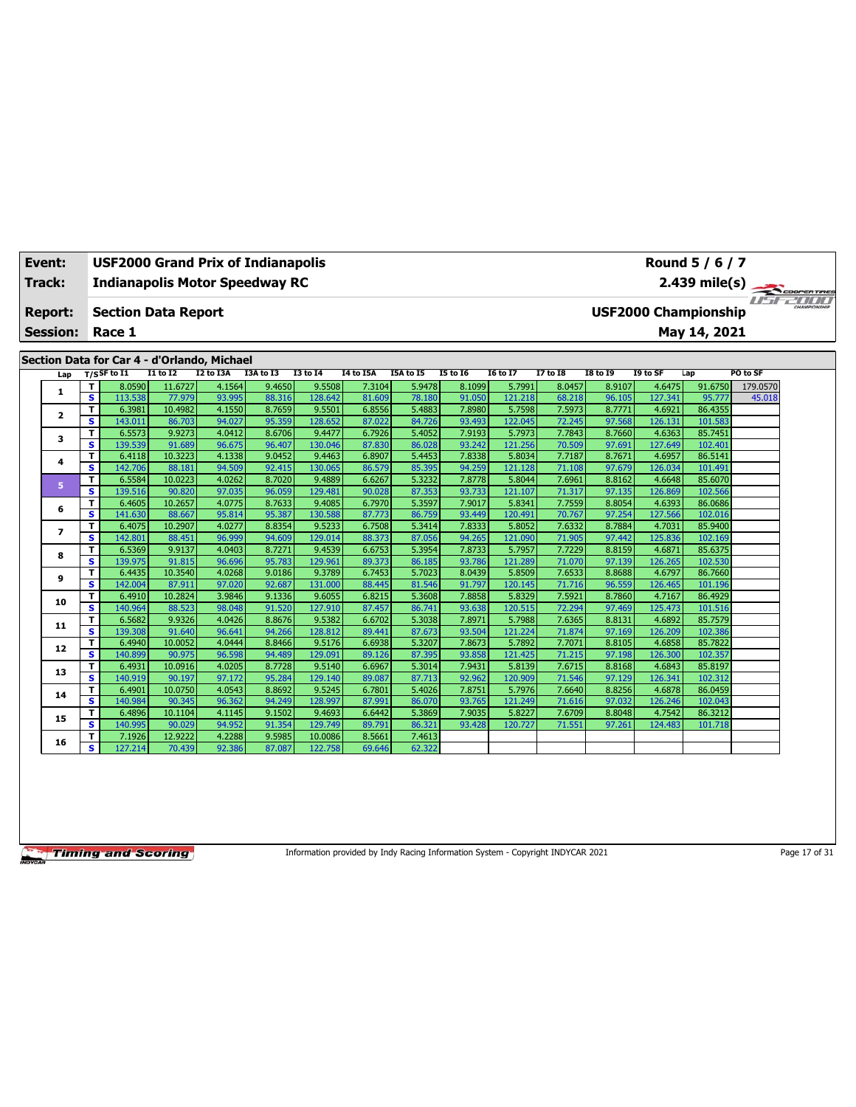| Event:          |                              | <b>USF2000 Grand Prix of Indianapolis</b>   |                   |                  |                  |                   |                  |                  |                  |                   |                  |                  |                   | Round 5 / 6 / 7             |               |  |
|-----------------|------------------------------|---------------------------------------------|-------------------|------------------|------------------|-------------------|------------------|------------------|------------------|-------------------|------------------|------------------|-------------------|-----------------------------|---------------|--|
| Track:          |                              | <b>Indianapolis Motor Speedway RC</b>       |                   |                  |                  |                   |                  |                  |                  |                   |                  |                  |                   |                             | 2.439 mile(s) |  |
| <b>Report:</b>  |                              | <b>Section Data Report</b>                  |                   |                  |                  |                   |                  |                  |                  |                   |                  |                  |                   | <b>USF2000 Championship</b> |               |  |
| <b>Session:</b> |                              | Race 1                                      |                   |                  |                  |                   |                  |                  |                  |                   |                  |                  |                   | May 14, 2021                |               |  |
|                 |                              | Section Data for Car 4 - d'Orlando, Michael |                   |                  |                  |                   |                  |                  |                  |                   |                  |                  |                   |                             |               |  |
| Lap             |                              | T/SSF to I1                                 | $I1$ to $I2$      | <b>I2 to I3A</b> | I3A to I3        | <b>I3 to 14</b>   | <b>I4 to I5A</b> | I5A to I5        | <b>I5 to 16</b>  | <b>I6 to I7</b>   | <b>I7 to I8</b>  | <b>I8 to 19</b>  | I9 to SF          | Lap                         | PO to SF      |  |
|                 | т                            | 8.0590                                      | 11.6727           | 4.1564           | 9.4650           | 9.5508            | 7.3104           | 5.9478           | 8.1099           | 5.7991            | 8.0457           | 8.9107           | 4.6475            | 91.6750                     | 179.0570      |  |
| 1               | $\overline{\mathbf{s}}$      | 113.538                                     | 77.979            | 93.995           | 88.316           | 128.642           | 81.609           | 78.180           | 91.050           | 121.218           | 68.218           | 96.105           | 127.341           | 95.777                      | 45.018        |  |
| 2               | T                            | 6.3981                                      | 10.4982           | 4.1550           | 8.7659           | 9.5501            | 6.8556           | 5.4883           | 7.8980           | 5.7598            | 7.5973           | 8.7771           | 4.6921            | 86.4355                     |               |  |
|                 | s                            | 143.011                                     | 86.703            | 94.027           | 95.359           | 128.652           | 87.022           | 84.726           | 93.493           | 122.045           | 72.245           | 97.568           | 126.131           | 101.583                     |               |  |
| 3               | т                            | 6.5573                                      | 9.9273            | 4.0412           | 8.6706           | 9.4477            | 6.7926           | 5.4052           | 7.9193           | 5.7973            | 7.7843           | 8.7660           | 4.6363            | 85.7451                     |               |  |
|                 | s.                           | 139.539                                     | 91.689<br>10.3223 | 96.675<br>4.1338 | 96.407<br>9.0452 | 130.046           | 87.830           | 86.028<br>5.4453 | 93.242<br>7.8338 | 121.256<br>5.8034 | 70.509<br>7.7187 | 97.691<br>8.7671 | 127.649<br>4.6957 | 102.401<br>86.5141          |               |  |
| 4               | т<br>s                       | 6.4118<br>142.706                           | 88.181            | 94.509           | 92.415           | 9.4463<br>130.065 | 6.8907<br>86.579 | 85.395           | 94.259           | 121.128           | 71.108           | 97.679           | 126.034           | 101.491                     |               |  |
|                 | T                            | 6.5584                                      | 10.0223           | 4.0262           | 8.7020           | 9.4889            | 6.6267           | 5.3232           | 7.8778           | 5.8044            | 7.6961           | 8.8162           | 4.6648            | 85.6070                     |               |  |
| 5               | s                            | 139.516                                     | 90.820            | 97.035           | 96.059           | 129.481           | 90.028           | 87.353           | 93.733           | 121.107           | 71.317           | 97.135           | 126.869           | 102.566                     |               |  |
|                 | T.                           | 6.4605                                      | 10.2657           | 4.0775           | 8.7633           | 9.4085            | 6.7970           | 5.3597           | 7.9017           | 5.8341            | 7.7559           | 8.8054           | 4.6393            | 86.0686                     |               |  |
| 6               | s                            | 141.630                                     | 88.667            | 95.814           | 95.387           | 130.588           | 87.773           | 86.759           | 93.449           | 120.491           | 70.767           | 97.254           | 127.566           | 102.016                     |               |  |
|                 | т                            | 6.4075                                      | 10.2907           | 4.0277           | 8.8354           | 9.5233            | 6.7508           | 5.3414           | 7.8333           | 5.8052            | 7.6332           | 8.7884           | 4.7031            | 85.9400                     |               |  |
| $\overline{ }$  | s.                           | 142.801                                     | 88.451            | 96.999           | 94.609           | 129.014           | 88.373           | 87.056           | 94.265           | 121.090           | 71.905           | 97.442           | 125.836           | 102.169                     |               |  |
| 8               | T                            | 6.5369                                      | 9.9137            | 4.0403           | 8.7271           | 9.4539            | 6.6753           | 5.3954           | 7.8733           | 5.7957            | 7.7229           | 8.8159           | 4.6871            | 85.6375                     |               |  |
|                 | s                            | 139.975                                     | 91.815            | 96.696           | 95.783           | 129.961           | 89.373           | 86.185           | 93.786           | 121.289           | 71.070           | 97.139           | 126.265           | 102.530                     |               |  |
| 9               | T                            | 6.4435                                      | 10.3540           | 4.0268           | 9.0186           | 9.3789            | 6.7453           | 5.7023           | 8.0439           | 5.8509            | 7.6533           | 8.8688           | 4.6797            | 86.7660                     |               |  |
|                 | s                            | 142.004                                     | 87.911            | 97.020           | 92.687           | 131.000           | 88.445           | 81.546           | 91.797           | 120.145           | 71.716           | 96.559           | 126.465           | 101.196                     |               |  |
| 10              | T<br>$\overline{\mathbf{s}}$ | 6.4910                                      | 10.2824           | 3.9846           | 9.1336           | 9.6055            | 6.8215           | 5.3608           | 7.8858           | 5.8329            | 7.5921           | 8.7860           | 4.7167            | 86.4929                     |               |  |
|                 | T                            | 140.964<br>6.5682                           | 88.523<br>9.9326  | 98.048<br>4.0426 | 91.520<br>8.8676 | 127.910<br>9.5382 | 87.457<br>6.6702 | 86.741<br>5.3038 | 93.638<br>7.8971 | 120.515<br>5.7988 | 72.294<br>7.6365 | 97.469<br>8.8131 | 125.473<br>4.6892 | 101.516<br>85.7579          |               |  |
| 11              | s.                           | 139.308                                     | 91.640            | 96.641           | 94.266           | 128.812           | 89.441           | 87.673           | 93.504           | 121.224           | 71.874           | 97.169           | 126.209           | 102.386                     |               |  |
|                 | Τ                            | 6.4940                                      | 10.0052           | 4.0444           | 8.8466           | 9.5176            | 6.6938           | 5.3207           | 7.8673           | 5.7892            | 7.7071           | 8.8105           | 4.6858            | 85.7822                     |               |  |
| 12              | s.                           | 140.899                                     | 90.975            | 96.598           | 94.489           | 129.091           | 89.126           | 87.395           | 93.858           | 121.425           | 71.215           | 97.198           | 126.300           | 102.357                     |               |  |
|                 | T                            | 6.4931                                      | 10.0916           | 4.0205           | 8.7728           | 9.5140            | 6.6967           | 5.3014           | 7.9431           | 5.8139            | 7.6715           | 8.8168           | 4.6843            | 85.8197                     |               |  |
| 13              | s.                           | 140.919                                     | 90.197            | 97.172           | 95.284           | 129.140           | 89.087           | 87.713           | 92.962           | 120.909           | 71.546           | 97.129           | 126.341           | 102.312                     |               |  |
| 14              | T                            | 6.4901                                      | 10.0750           | 4.0543           | 8.8692           | 9.5245            | 6.7801           | 5.4026           | 7.8751           | 5.7976            | 7.6640           | 8.8256           | 4.6878            | 86.0459                     |               |  |
|                 | $\overline{\mathbf{s}}$      | 140.984                                     | 90.345            | 96.362           | 94.249           | 128.997           | 87.991           | 86.070           | 93.765           | 121.249           | 71.616           | 97.032           | 126.246           | 102.043                     |               |  |
| 15              | т                            | 6.4896                                      | 10.1104           | 4.1145           | 9.1502           | 9.4693            | 6.6442           | 5.3869           | 7.9035           | 5.8227            | 7.6709           | 8.8048           | 4.7542            | 86.3212                     |               |  |
|                 | s                            | 140.995                                     | 90.029            | 94.952           | 91.354           | 129.749           | 89.791           | 86.321           | 93.428           | 120.727           | 71.551           | 97.261           | 124.483           | 101.718                     |               |  |
| 16              | т                            | 7.1926                                      | 12.9222           | 4.2288           | 9.5985           | 10.0086           | 8.5661           | 7.4613           |                  |                   |                  |                  |                   |                             |               |  |
|                 | s                            | 127.214                                     | 70.439            | 92.386           | 87.087           | 122.758           | 69.646           | 62.322           |                  |                   |                  |                  |                   |                             |               |  |

Information provided by Indy Racing Information System - Copyright INDYCAR 2021 Page 17 of 31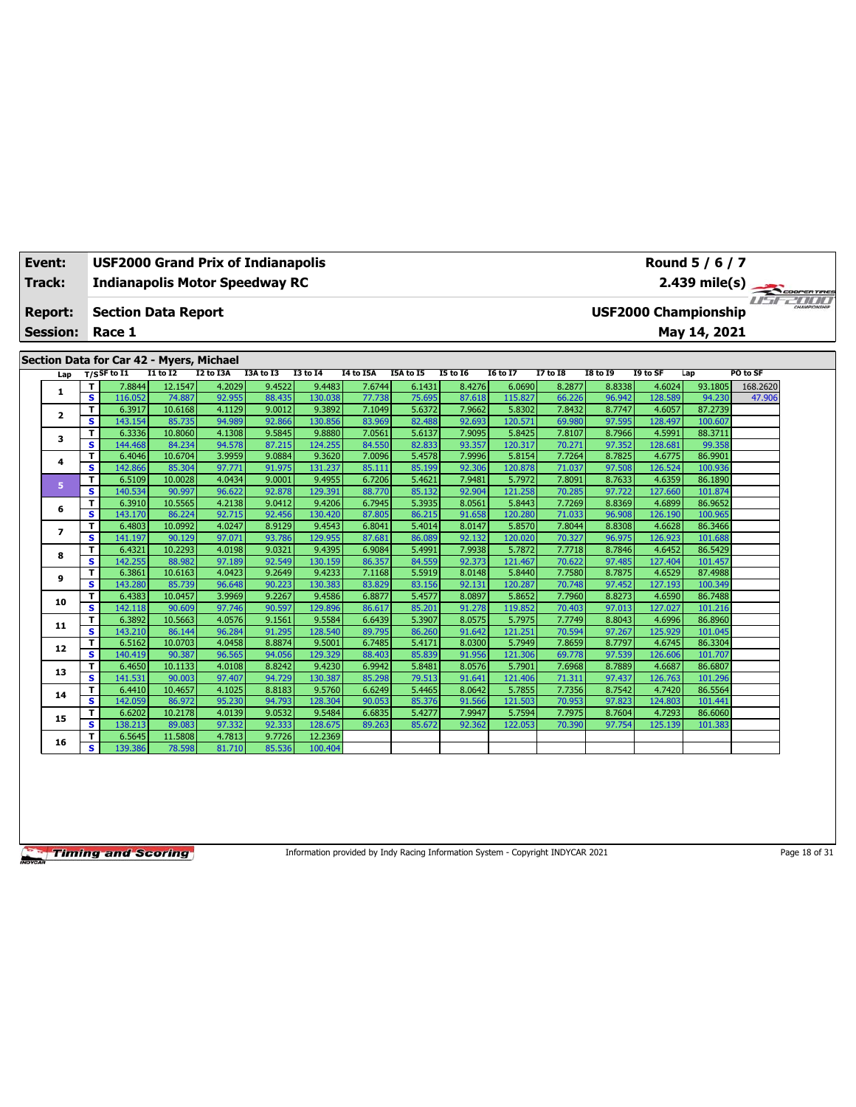| Event: |                 |                         | <b>USF2000 Grand Prix of Indianapolis</b> |                   |                  |                  |                   |                  |                  |                  |                   |                  |                  |                   | Round 5 / 6 / 7             |          |  |
|--------|-----------------|-------------------------|-------------------------------------------|-------------------|------------------|------------------|-------------------|------------------|------------------|------------------|-------------------|------------------|------------------|-------------------|-----------------------------|----------|--|
| Track: |                 |                         | <b>Indianapolis Motor Speedway RC</b>     |                   |                  |                  |                   |                  |                  |                  |                   |                  |                  |                   | 2.439 mile(s)               |          |  |
|        |                 |                         |                                           |                   |                  |                  |                   |                  |                  |                  |                   |                  |                  |                   |                             |          |  |
|        | <b>Report:</b>  |                         | <b>Section Data Report</b>                |                   |                  |                  |                   |                  |                  |                  |                   |                  |                  |                   | <b>USF2000 Championship</b> |          |  |
|        | <b>Session:</b> |                         | Race 1                                    |                   |                  |                  |                   |                  |                  |                  |                   |                  |                  |                   | May 14, 2021                |          |  |
|        |                 |                         |                                           |                   |                  |                  |                   |                  |                  |                  |                   |                  |                  |                   |                             |          |  |
|        |                 |                         | Section Data for Car 42 - Myers, Michael  |                   |                  |                  |                   |                  |                  |                  |                   |                  |                  |                   |                             |          |  |
|        | Lap             |                         | $T/S$ SF to $I1$                          | $I1$ to $I2$      | I2 to I3A        | I3A to I3        | <b>I3 to 14</b>   | <b>I4 to I5A</b> | I5A to I5        | <b>I5 to 16</b>  | <b>I6 to I7</b>   | <b>I7 to I8</b>  | <b>I8 to 19</b>  | I9 to SF          | Lap                         | PO to SF |  |
|        | 1               | т                       | 7.8844                                    | 12.1547           | 4.2029           | 9.4522           | 9.4483            | 7.6744           | 6.1431           | 8.4276           | 6.0690            | 8.2877           | 8.8338           | 4.6024            | 93.1805                     | 168.2620 |  |
|        |                 | s                       | 116.052                                   | 74.887            | 92.955           | 88.435           | 130.038           | 77.738           | 75.695           | 87.618           | 115,827           | 66.226           | 96.942           | 128.589           | 94.230                      | 47.906   |  |
|        | $\mathbf{z}$    | T                       | 6.3917                                    | 10.6168           | 4.1129           | 9.0012           | 9.3892            | 7.1049           | 5.6372           | 7.9662           | 5.8302            | 7.8432           | 8.7747           | 4.6057            | 87.2739                     |          |  |
|        |                 | s                       | 143.154                                   | 85.735            | 94.989           | 92.866           | 130.856           | 83.969           | 82.488           | 92.693           | 120.571           | 69.980           | 97.595           | 128.497           | 100.607                     |          |  |
|        | 3               | T<br>s                  | 6.3336                                    | 10.8060           | 4.1308           | 9.5845           | 9.8880            | 7.0561           | 5.6137<br>82.833 | 7.9095           | 5.8425            | 7.8107           | 8.7966           | 4.5991            | 88.3711                     |          |  |
|        |                 | T                       | 144.468<br>6.4046                         | 84.234<br>10.6704 | 94.578<br>3.9959 | 87.215<br>9.0884 | 124.255<br>9.3620 | 84.550<br>7.0096 | 5.4578           | 93.357<br>7.9996 | 120.317<br>5.8154 | 70.271<br>7.7264 | 97.352<br>8.7825 | 128.681<br>4.6775 | 99.358<br>86.9901           |          |  |
|        | 4               | s                       | 142.866                                   | 85.304            | 97.771           | 91.975           | 131.237           | 85.111           | 85.199           | 92.306           | 120,878           | 71.037           | 97.508           | 126.524           | 100.936                     |          |  |
|        |                 | T                       | 6.5109                                    | 10.0028           | 4.0434           | 9.0001           | 9.4955            | 6.7206           | 5.4621           | 7.9481           | 5.7972            | 7.8091           | 8.7633           | 4.6359            | 86.1890                     |          |  |
|        | 5               | s                       | 140.534                                   | 90.997            | 96.622           | 92.878           | 129.391           | 88.770           | 85.132           | 92.904           | 121.258           | 70.285           | 97.722           | 127.660           | 101.874                     |          |  |
|        |                 | T                       | 6.3910                                    | 10.5565           | 4.2138           | 9.0412           | 9.4206            | 6.7945           | 5.3935           | 8.0561           | 5.8443            | 7.7269           | 8.8369           | 4.6899            | 86.9652                     |          |  |
|        | 6               | S                       | 143.170                                   | 86.224            | 92.715           | 92.456           | 130.420           | 87.805           | 86.215           | 91.658           | 120.280           | 71.033           | 96.908           | 126.190           | 100.965                     |          |  |
|        |                 | T                       | 6.4803                                    | 10.0992           | 4.0247           | 8.9129           | 9.4543            | 6.8041           | 5.4014           | 8.0147           | 5.8570            | 7.8044           | 8.8308           | 4.6628            | 86.3466                     |          |  |
|        | $\overline{ }$  | s                       | 141.197                                   | 90.129            | 97.071           | 93.786           | 129.955           | 87.681           | 86.089           | 92.132           | 120.020           | 70.327           | 96.975           | 126.923           | 101.688                     |          |  |
|        | 8               | T                       | 6.4321                                    | 10.2293           | 4.0198           | 9.0321           | 9.4395            | 6.9084           | 5.4991           | 7.9938           | 5.7872            | 7.7718           | 8.7846           | 4.6452            | 86.5429                     |          |  |
|        |                 | s                       | 142.255                                   | 88.982            | 97.189           | 92.549           | 130.159           | 86.357           | 84.559           | 92.373           | 121.467           | 70.622           | 97.485           | 127.404           | 101.457                     |          |  |
|        | 9               | T                       | 6.3861                                    | 10.6163           | 4.0423           | 9.2649           | 9.4233            | 7.1168           | 5.5919           | 8.0148           | 5.8440            | 7.7580           | 8.7875           | 4.6529            | 87.4988                     |          |  |
|        |                 | $\overline{\mathbf{s}}$ | 143.280                                   | 85.739            | 96.648           | 90.223           | 130.383           | 83.829           | 83.156           | 92.131           | 120.287           | 70.748           | 97.452           | 127.193           | 100.349                     |          |  |
|        | 10              | T                       | 6.4383                                    | 10.0457           | 3.9969           | 9.2267           | 9.4586            | 6.8877           | 5.4577           | 8.0897           | 5.8652            | 7.7960           | 8.8273           | 4.6590            | 86.7488                     |          |  |
|        |                 | s                       | 142.118                                   | 90.609            | 97.746           | 90.597           | 129.896           | 86.617           | 85.201           | 91.278           | 119.852           | 70.403           | 97.013           | 127.027           | 101.216                     |          |  |
|        | 11              | T                       | 6.3892                                    | 10.5663           | 4.0576           | 9.1561           | 9.5584            | 6.6439           | 5.3907           | 8.0575           | 5.7975            | 7.7749           | 8.8043           | 4.6996            | 86.8960                     |          |  |
|        |                 | s                       | 143.210                                   | 86.144            | 96.284           | 91.295           | 128.540           | 89.795           | 86.260           | 91.642           | 121.25            | 70.594           | 97.267           | 125.929           | 101.045                     |          |  |
|        | 12              | т                       | 6.5162                                    | 10.0703           | 4.0458           | 8.8874           | 9.5001            | 6.7485           | 5.4171           | 8.0300           | 5.7949            | 7.8659           | 8.7797           | 4.6745            | 86.3304                     |          |  |
|        |                 | s.                      | 140.419                                   | 90.387            | 96.565           | 94.056           | 129.329           | 88.403           | 85.839           | 91.956           | 121.306           | 69.778           | 97.539           | 126,606           | 101.707                     |          |  |
|        | 13              | T<br>s                  | 6.4650<br>141.531                         | 10.1133<br>90.003 | 4.0108<br>97.407 | 8.8242<br>94.729 | 9.4230<br>130.387 | 6.9942<br>85.298 | 5.8481<br>79.513 | 8.0576<br>91.641 | 5.7901<br>121.406 | 7.6968<br>71.311 | 8.7889<br>97.437 | 4.6687<br>126.763 | 86.6807<br>101.296          |          |  |
|        |                 | т                       | 6.4410                                    | 10.4657           | 4.1025           | 8.8183           | 9.5760            | 6.6249           | 5.4465           | 8.0642           | 5.7855            | 7.7356           | 8.7542           | 4.7420            | 86.5564                     |          |  |
|        | 14              | s.                      | 142.059                                   | 86.972            | 95.230           | 94.793           | 128.304           | 90.053           | 85.376           | 91.566           | 121.503           | 70.953           | 97.823           | 124.803           | 101.441                     |          |  |
|        |                 | T                       | 6.6202                                    | 10.2178           | 4.0139           | 9.0532           | 9.5484            | 6.6835           | 5.4277           | 7.9947           | 5.7594            | 7.7975           | 8.7604           | 4.7293            | 86.6060                     |          |  |
|        | 15              | s                       | 138.213                                   | 89.083            | 97.332           | 92.333           | 128.675           | 89.263           | 85.672           | 92.362           | 122.053           | 70.390           | 97.754           | 125.139           | 101.383                     |          |  |
|        |                 | т                       | 6.5645                                    | 11.5808           | 4.7813           | 9.7726           | 12.2369           |                  |                  |                  |                   |                  |                  |                   |                             |          |  |
|        | 16              | s.                      | 139.386                                   | 78.598            | 81.710           | 85.536           | 100.404           |                  |                  |                  |                   |                  |                  |                   |                             |          |  |

Information provided by Indy Racing Information System - Copyright INDYCAR 2021 Page 18 of 31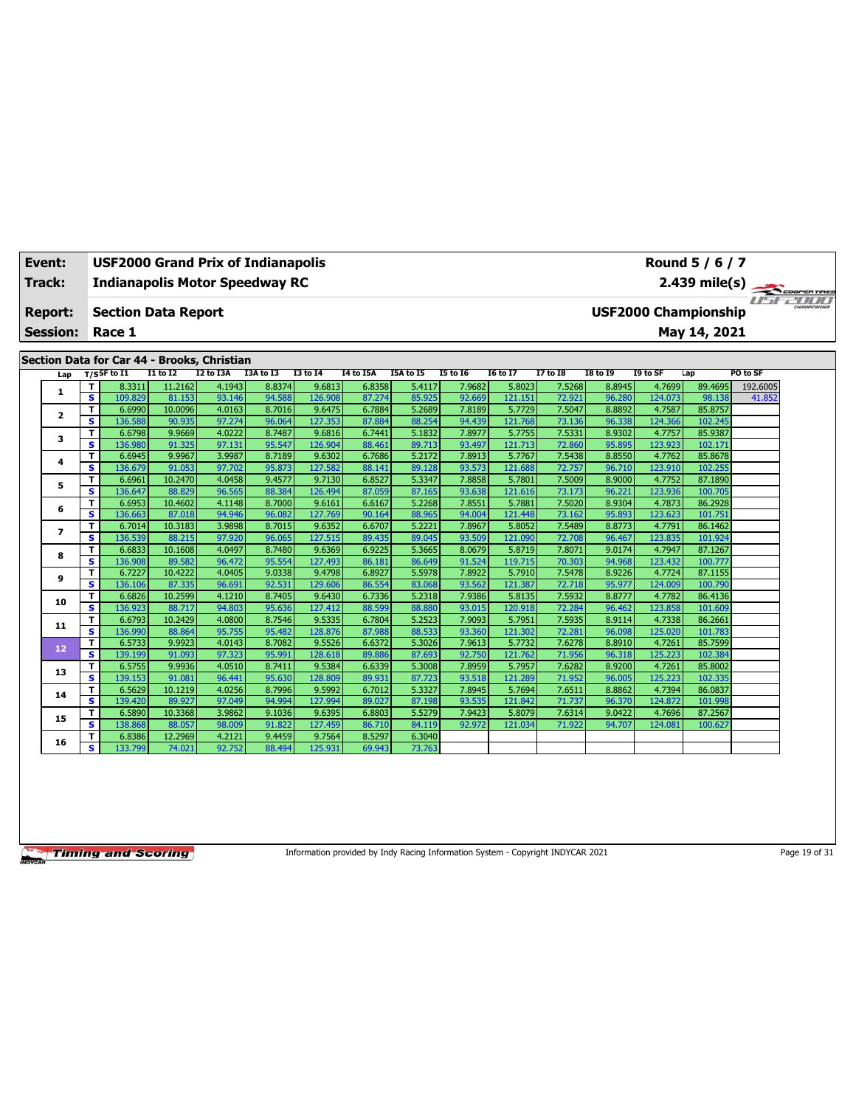| Event:          |                         | <b>USF2000 Grand Prix of Indianapolis</b>   |                   |                  |                  |                   |                  |                  |                  |                   |                  |                  |                   | Round 5 / 6 / 7                              |          |  |
|-----------------|-------------------------|---------------------------------------------|-------------------|------------------|------------------|-------------------|------------------|------------------|------------------|-------------------|------------------|------------------|-------------------|----------------------------------------------|----------|--|
| Track:          |                         | <b>Indianapolis Motor Speedway RC</b>       |                   |                  |                  |                   |                  |                  |                  |                   |                  |                  |                   |                                              |          |  |
| <b>Report:</b>  |                         | <b>Section Data Report</b>                  |                   |                  |                  |                   |                  |                  |                  |                   |                  |                  |                   | 2.439 mile(s)<br><b>USF2000 Championship</b> |          |  |
| <b>Session:</b> |                         | Race 1                                      |                   |                  |                  |                   |                  |                  |                  |                   |                  |                  |                   | May 14, 2021                                 |          |  |
|                 |                         | Section Data for Car 44 - Brooks, Christian |                   |                  |                  |                   |                  |                  |                  |                   |                  |                  |                   |                                              |          |  |
| Lap             |                         | $T/S$ SF to I1                              | $I1$ to $I2$      | <b>I2 to I3A</b> | I3A to I3        | <b>I3 to 14</b>   | <b>I4 to I5A</b> | I5A to I5        | <b>I5 to 16</b>  | <b>I6 to I7</b>   | <b>I7 to I8</b>  | <b>I8 to 19</b>  | I9 to SF          | Lap                                          | PO to SF |  |
|                 | т                       | 8.3311                                      | 11.2162           | 4.1943           | 8.8374           | 9.6813            | 6.8358           | 5.4117           | 7.9682           | 5.8023            | 7.5268           | 8.8945           | 4.7699            | 89.4695                                      | 192.6005 |  |
| 1               | $\overline{\mathbf{s}}$ | 109.829                                     | 81.153            | 93.146           | 94.588           | 126.908           | 87.274           | 85.925           | 92.669           | 121.151           | 72.921           | 96.280           | 124.073           | 98.138                                       | 41.852   |  |
| $\overline{2}$  | T                       | 6.6990                                      | 10.0096           | 4.0163           | 8.7016           | 9.6475            | 6.7884           | 5.2689           | 7.8189           | 5.7729            | 7.5047           | 8.8892           | 4.7587            | 85.8757                                      |          |  |
|                 | s.                      | 136.588                                     | 90.935            | 97.274           | 96.064           | 127.353           | 87.884           | 88.254           | 94.439           | 121.768           | 73.136           | 96.338           | 124.366           | 102.245                                      |          |  |
| 3               | т                       | 6.6798                                      | 9.9669            | 4.0222           | 8.7487           | 9.6816            | 6.7441           | 5.1832           | 7.8977           | 5.7755            | 7.5331           | 8.9302           | 4.7757            | 85.9387                                      |          |  |
|                 | s                       | 136.980                                     | 91.325            | 97.131           | 95.547           | 126.904           | 88.461           | 89.713           | 93.497           | 121.713           | 72.860           | 95.895           | 123.923           | 102.171                                      |          |  |
| 4               | T                       | 6.6945                                      | 9.9967            | 3.9987           | 8.7189           | 9.6302            | 6.7686           | 5.2172           | 7.8913           | 5.7767            | 7.5438           | 8.8550           | 4.7762            | 85.8678                                      |          |  |
|                 | S                       | 136.679                                     | 91.053            | 97.702           | 95.873           | 127.582           | 88.141           | 89.128           | 93.573           | 121.688           | 72.757           | 96.710           | 123.910           | 102.255                                      |          |  |
| 5               | т                       | 6.6961                                      | 10.2470           | 4.0458           | 9.4577           | 9.7130            | 6.8527           | 5.3347           | 7.8858           | 5.7801            | 7.5009           | 8.9000           | 4.7752            | 87.1890                                      |          |  |
|                 | s                       | 136.647                                     | 88.829            | 96.565           | 88.384           | 126.494           | 87.059           | 87.165           | 93.638           | 121.616           | 73.173           | 96.221           | 123.936           | 100.705                                      |          |  |
| 6               | T                       | 6.6953                                      | 10.4602           | 4.1148           | 8.7000           | 9.6161            | 6.6167           | 5.2268           | 7.8551           | 5.7881            | 7.5020           | 8.9304           | 4.7873            | 86.2928                                      |          |  |
|                 | s                       | 136.663                                     | 87.018            | 94.946           | 96.082           | 127.769           | 90.164           | 88.965           | 94.004           | 121.448           | 73.162           | 95.893           | 123.623           | 101.751                                      |          |  |
| $\overline{ }$  | T                       | 6.7014                                      | 10.3183           | 3.9898           | 8.7015           | 9.6352            | 6.6707           | 5.2221           | 7.8967           | 5.8052            | 7.5489           | 8.8773           | 4.7791            | 86.1462                                      |          |  |
|                 | s                       | 136.539<br>6.6833                           | 88.215<br>10.1608 | 97.920<br>4.0497 | 96.065<br>8.7480 | 127.515<br>9.6369 | 89.435<br>6.9225 | 89.045<br>5.3665 | 93.509<br>8.0679 | 121.090<br>5.8719 | 72.708<br>7.8071 | 96.467<br>9.0174 | 123.835<br>4.7947 | 101.924<br>87.1267                           |          |  |
| 8               | T<br>s                  | 136.908                                     | 89.582            | 96.472           | 95.554           | 127.493           | 86.181           | 86.649           | 91.524           | 119.715           | 70.303           | 94.968           | 123.432           | 100.777                                      |          |  |
|                 | T                       | 6.7227                                      | 10.4222           | 4.0405           | 9.0338           | 9.4798            | 6.8927           | 5.5978           | 7.8922           | 5.7910            | 7.5478           | 8.9226           | 4.7724            | 87.1155                                      |          |  |
| 9               | $\overline{\mathbf{s}}$ | 136.106                                     | 87.335            | 96.691           | 92.531           | 129.606           | 86.554           | 83.068           | 93.562           | 121.387           | 72.718           | 95.977           | 124.009           | 100.790                                      |          |  |
|                 | T                       | 6.6826                                      | 10.2599           | 4.1210           | 8.7405           | 9.6430            | 6.7336           | 5.2318           | 7.9386           | 5.8135            | 7.5932           | 8.8777           | 4.7782            | 86.4136                                      |          |  |
| 10              | s                       | 136.923                                     | 88.717            | 94.803           | 95.636           | 127.412           | 88.599           | 88.880           | 93.015           | 120.918           | 72.284           | 96.462           | 123.858           | 101.609                                      |          |  |
|                 | T                       | 6.6793                                      | 10.2429           | 4.0800           | 8.7546           | 9.5335            | 6.7804           | 5.2523           | 7.9093           | 5.7951            | 7.5935           | 8.9114           | 4.7338            | 86.2661                                      |          |  |
| 11              | s.                      | 136.990                                     | 88.864            | 95.755           | 95.482           | 128.876           | 87.988           | 88.533           | 93.360           | 121.302           | 72.281           | 96.098           | 125.020           | 101.783                                      |          |  |
|                 | T                       | 6.5733                                      | 9.9923            | 4.0143           | 8.7082           | 9.5526            | 6.6372           | 5.3026           | 7.9613           | 5.7732            | 7.6278           | 8.8910           | 4.7261            | 85.7599                                      |          |  |
| 12              | $\overline{\mathbf{s}}$ | 139.199                                     | 91.093            | 97.323           | 95.991           | 128.618           | 89.886           | 87.693           | 92.750           | 121.762           | 71.956           | 96.318           | 125.223           | 102.384                                      |          |  |
|                 | T                       | 6.5755                                      | 9.9936            | 4.0510           | 8.7411           | 9.5384            | 6.6339           | 5.3008           | 7.8959           | 5.7957            | 7.6282           | 8.9200           | 4.7261            | 85.8002                                      |          |  |
| 13              | s.                      | 139.153                                     | 91.081            | 96.441           | 95.630           | 128.809           | 89.931           | 87.723           | 93.518           | 121.289           | 71.952           | 96.005           | 125.223           | 102.335                                      |          |  |
| 14              | т                       | 6.5629                                      | 10.1219           | 4.0256           | 8.7996           | 9.5992            | 6.7012           | 5.3327           | 7.8945           | 5.7694            | 7.6511           | 8.8862           | 4.7394            | 86.0837                                      |          |  |
|                 | s.                      | 139.420                                     | 89.927            | 97.049           | 94.994           | 127.994           | 89.027           | 87.198           | 93.535           | 121.842           | 71.737           | 96.370           | 124.872           | 101.998                                      |          |  |
| 15              | T                       | 6.5890                                      | 10.3368           | 3.9862           | 9.1036           | 9.6395            | 6.8803           | 5.5279           | 7.9423           | 5.8079            | 7.6314           | 9.0422           | 4.7696            | 87.2567                                      |          |  |
|                 | s                       | 138.868                                     | 88.057            | 98.009           | 91.822           | 127.459           | 86.710           | 84.119           | 92.972           | 121.034           | 71.922           | 94.707           | 124.081           | 100.627                                      |          |  |
| 16              | т                       | 6.8386                                      | 12.2969           | 4.2121           | 9.4459           | 9.7564            | 8.5297           | 6.3040           |                  |                   |                  |                  |                   |                                              |          |  |
|                 | s.                      | 133.799                                     | 74.021            | 92.752           | 88.494           | 125.931           | 69.943           | 73.763           |                  |                   |                  |                  |                   |                                              |          |  |

Information provided by Indy Racing Information System - Copyright INDYCAR 2021 Page 19 of 31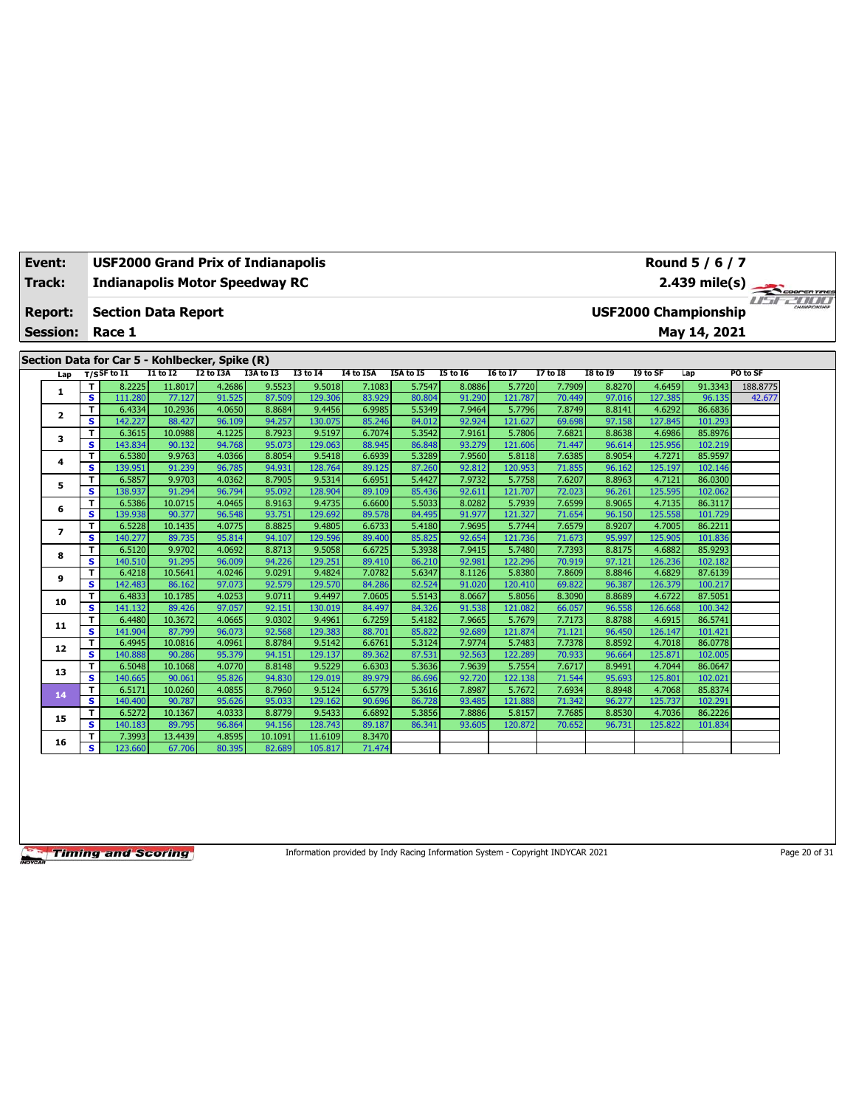| <b>Track:</b><br><b>Indianapolis Motor Speedway RC</b><br><b>USF2000 Championship</b><br><b>Section Data Report</b><br>Report:<br>May 14, 2021<br><b>Session:</b><br>Race 1<br>Section Data for Car 5 - Kohlbecker, Spike (R)<br>$T/S$ SF to $I1$<br>I3A to I3<br><b>I1 to I2</b><br>I2 to I3A<br><b>I3 to I4</b><br><b>I4 to I5A</b><br>I5A to I5<br><b>I5 to 16</b><br><b>I6 to I7</b><br><b>I7 to I8</b><br><b>I8 to 19</b><br>I9 to SF<br>Lap<br>Lap<br>4.6459<br>91.3343<br>8.2225<br>11.8017<br>4.2686<br>9.5523<br>9.5018<br>7.1083<br>5.7547<br>8.0886<br>5.7720<br>7.7909<br>8.8270<br>т<br>1 | 2.439 mile(s) |
|--------------------------------------------------------------------------------------------------------------------------------------------------------------------------------------------------------------------------------------------------------------------------------------------------------------------------------------------------------------------------------------------------------------------------------------------------------------------------------------------------------------------------------------------------------------------------------------------------------|---------------|
|                                                                                                                                                                                                                                                                                                                                                                                                                                                                                                                                                                                                        |               |
|                                                                                                                                                                                                                                                                                                                                                                                                                                                                                                                                                                                                        |               |
|                                                                                                                                                                                                                                                                                                                                                                                                                                                                                                                                                                                                        |               |
|                                                                                                                                                                                                                                                                                                                                                                                                                                                                                                                                                                                                        |               |
|                                                                                                                                                                                                                                                                                                                                                                                                                                                                                                                                                                                                        |               |
|                                                                                                                                                                                                                                                                                                                                                                                                                                                                                                                                                                                                        |               |
|                                                                                                                                                                                                                                                                                                                                                                                                                                                                                                                                                                                                        | PO to SF      |
|                                                                                                                                                                                                                                                                                                                                                                                                                                                                                                                                                                                                        | 188.8775      |
| s<br>121.787<br>91.525<br>87.509<br>129.306<br>83.929<br>80.804<br>91.290<br>70.449<br>97.016<br>127.385<br>96.135<br>111.280<br>77.127                                                                                                                                                                                                                                                                                                                                                                                                                                                                | 42.677        |
| T<br>10.2936<br>4.0650<br>8.8684<br>9.4456<br>6.9985<br>5.5349<br>7.9464<br>5.7796<br>7.8749<br>8.8141<br>4.6292<br>86.6836<br>6.4334<br>$\overline{\mathbf{2}}$                                                                                                                                                                                                                                                                                                                                                                                                                                       |               |
| $\overline{\mathbf{s}}$<br>96.109<br>94.257<br>84.012<br>92.924<br>121.627<br>97.158<br>101.293<br>142.227<br>88.427<br>130.075<br>85.246<br>69.698<br>127.845                                                                                                                                                                                                                                                                                                                                                                                                                                         |               |
| 6.3615<br>10.0988<br>4.1225<br>8.7923<br>9.5197<br>6.7074<br>5.3542<br>7.9161<br>5.7806<br>7.6821<br>8.8638<br>4.6986<br>T<br>85.8976<br>3<br>102.219<br>s.<br>143.834<br>93.279<br>121.606                                                                                                                                                                                                                                                                                                                                                                                                            |               |
| 94.768<br>95.073<br>129.063<br>88.945<br>86.848<br>71.447<br>96.614<br>125.956<br>90.132<br>T<br>9.9763<br>4.0366<br>8.8054<br>9.5418<br>6.6939<br>5.3289<br>7.9560<br>5.8118<br>7.6385<br>8.9054<br>4.7271<br>85.9597<br>6.5380                                                                                                                                                                                                                                                                                                                                                                       |               |
| 4<br>94.931<br>92.812<br>s<br>139.951<br>91.239<br>96.785<br>128.764<br>89.125<br>87.260<br>120.953<br>96.162<br>125.197<br>102.146<br>71.855                                                                                                                                                                                                                                                                                                                                                                                                                                                          |               |
| 7.9732<br>7.6207<br>4.7121<br>6.5857<br>9.9703<br>4.0362<br>8.7905<br>9.5314<br>6.6951<br>5.4427<br>5.7758<br>8.8963<br>86.0300<br>T                                                                                                                                                                                                                                                                                                                                                                                                                                                                   |               |
| 5<br>s.<br>96.794<br>125.595<br>102.062<br>138.937<br>91.294<br>95.092<br>128.904<br>85.436<br>92.611<br>121.707<br>72.023<br>96.261<br>89.109                                                                                                                                                                                                                                                                                                                                                                                                                                                         |               |
| 6.5386<br>10.0715<br>4.0465<br>8.9163<br>6.6600<br>5.5033<br>8.0282<br>7.6599<br>8.9065<br>4.7135<br>86.3117<br>T<br>9.4735<br>5.7939                                                                                                                                                                                                                                                                                                                                                                                                                                                                  |               |
| 6<br>s<br>96.548<br>129.692<br>121.327<br>125.558<br>139.938<br>90.377<br>93.751<br>89.578<br>84.495<br>91.977<br>71.654<br>96.150<br>101.729                                                                                                                                                                                                                                                                                                                                                                                                                                                          |               |
| 4.0775<br>8.8825<br>5.4180<br>7.9695<br>8.9207<br>86.2211<br>6.5228<br>10.1435<br>9.4805<br>6.6733<br>5.7744<br>7.6579<br>4.7005<br>Τ                                                                                                                                                                                                                                                                                                                                                                                                                                                                  |               |
| $\overline{ }$<br>s<br>95.814<br>125.905<br>140.277<br>89.735<br>94.107<br>129.596<br>85.825<br>92.654<br>121.736<br>71.673<br>95.997<br>101.836<br>89.400                                                                                                                                                                                                                                                                                                                                                                                                                                             |               |
| 7.9415<br>6.5120<br>9.9702<br>4.0692<br>8.8713<br>9.5058<br>6.6725<br>5.3938<br>5.7480<br>7.7393<br>8.8175<br>4.6882<br>85.9293<br>T                                                                                                                                                                                                                                                                                                                                                                                                                                                                   |               |
| 8<br>s<br>91.295<br>96.009<br>94.226<br>129.251<br>86.210<br>92.981<br>122.296<br>70.919<br>97.121<br>126.236<br>102.182<br>140.510<br>89.410                                                                                                                                                                                                                                                                                                                                                                                                                                                          |               |
| T<br>4.0246<br>9.0291<br>9.4824<br>5.6347<br>8.8846<br>4.6829<br>87.6139<br>6.4218<br>10.5641<br>7.0782<br>8.1126<br>5.8380<br>7.8609<br>9                                                                                                                                                                                                                                                                                                                                                                                                                                                             |               |
| s<br>97.073<br>92.579<br>82.524<br>100.217<br>142.483<br>86.162<br>129.570<br>84.286<br>91.020<br>120,410<br>69.822<br>96.387<br>126.379                                                                                                                                                                                                                                                                                                                                                                                                                                                               |               |
| 10.1785<br>4.0253<br>9.0711<br>9.4497<br>7.0605<br>5.5143<br>8.0667<br>8.3090<br>8.8689<br>4.6722<br>87.5051<br>T<br>6.4833<br>5.8056<br>10                                                                                                                                                                                                                                                                                                                                                                                                                                                            |               |
| s.<br>100.342<br>97.057<br>92.151<br>130.019<br>84.326<br>91.538<br>121.082<br>126.668<br>141.132<br>89.426<br>84.497<br>66.057<br>96.558                                                                                                                                                                                                                                                                                                                                                                                                                                                              |               |
| 4.0665<br>5.4182<br>7.9665<br>8.8788<br>4.6915<br>86.5741<br>т<br>6.4480<br>10.3672<br>9.0302<br>9.4961<br>6.7259<br>5.7679<br>7.7173<br>11                                                                                                                                                                                                                                                                                                                                                                                                                                                            |               |
| s.<br>96.073<br>92.568<br>92.689<br>141.904<br>87.799<br>129.383<br>88.701<br>85.822<br>121.874<br>71.121<br>96.450<br>126.147<br>101.421                                                                                                                                                                                                                                                                                                                                                                                                                                                              |               |
| 5.3124<br>7.9774<br>7.7378<br>4.7018<br>6.4945<br>10.0816<br>4.0961<br>8.8784<br>9.5142<br>6.6761<br>5.7483<br>8.8592<br>86.0778<br>т<br>12                                                                                                                                                                                                                                                                                                                                                                                                                                                            |               |
| s<br>95.379<br>92.563<br>125.871<br>102.005<br>140.888<br>90.286<br>94.151<br>129.137<br>89.362<br>87.531<br>122,289<br>70.933<br>96.664                                                                                                                                                                                                                                                                                                                                                                                                                                                               |               |
| T<br>5.3636<br>7.9639<br>7.6717<br>8.9491<br>4.7044<br>86.0647<br>6.5048<br>10.1068<br>4.0770<br>8.8148<br>9.5229<br>6.6303<br>5.7554<br>13<br>95.826<br>94.830<br>86.696<br>92.720<br>122.138<br>71.544<br>95.693<br>125.801<br>102.021                                                                                                                                                                                                                                                                                                                                                               |               |
| s<br>140.665<br>90.061<br>129.019<br>89.979<br>4.0855<br>8.7960<br>5.3616<br>7.8987<br>7.6934<br>8.8948<br>85.8374<br>T<br>6.5171<br>10.0260<br>9.5124<br>6.5779<br>5.7672<br>4.7068                                                                                                                                                                                                                                                                                                                                                                                                                   |               |
| 14<br>s<br>129.162<br>125.737<br>102.291<br>140.400<br>90.787<br>95.626<br>95.033<br>90.696<br>86.728<br>93.485<br>121.888<br>71.342<br>96.277                                                                                                                                                                                                                                                                                                                                                                                                                                                         |               |
| 6.5272<br>10.1367<br>4.0333<br>8.8779<br>6.6892<br>5.3856<br>7.8886<br>7.7685<br>8.8530<br>4.7036<br>86.2226<br>T<br>9.5433<br>5.8157                                                                                                                                                                                                                                                                                                                                                                                                                                                                  |               |
| 15<br>s.<br>96.864<br>94.156<br>86.341<br>93.605<br>96.731<br>125.822<br>140.183<br>89.795<br>128.743<br>89.187<br>120.872<br>70.652<br>101.834                                                                                                                                                                                                                                                                                                                                                                                                                                                        |               |
| 13.4439<br>4.8595<br>10.1091<br>11.6109<br>8.3470<br>Τ<br>7.3993                                                                                                                                                                                                                                                                                                                                                                                                                                                                                                                                       |               |
| 16<br>s<br>123.660<br>80.395<br>82.689<br>67.706<br>105.817<br>71.474                                                                                                                                                                                                                                                                                                                                                                                                                                                                                                                                  |               |

Information provided by Indy Racing Information System - Copyright INDYCAR 2021 Page 20 of 31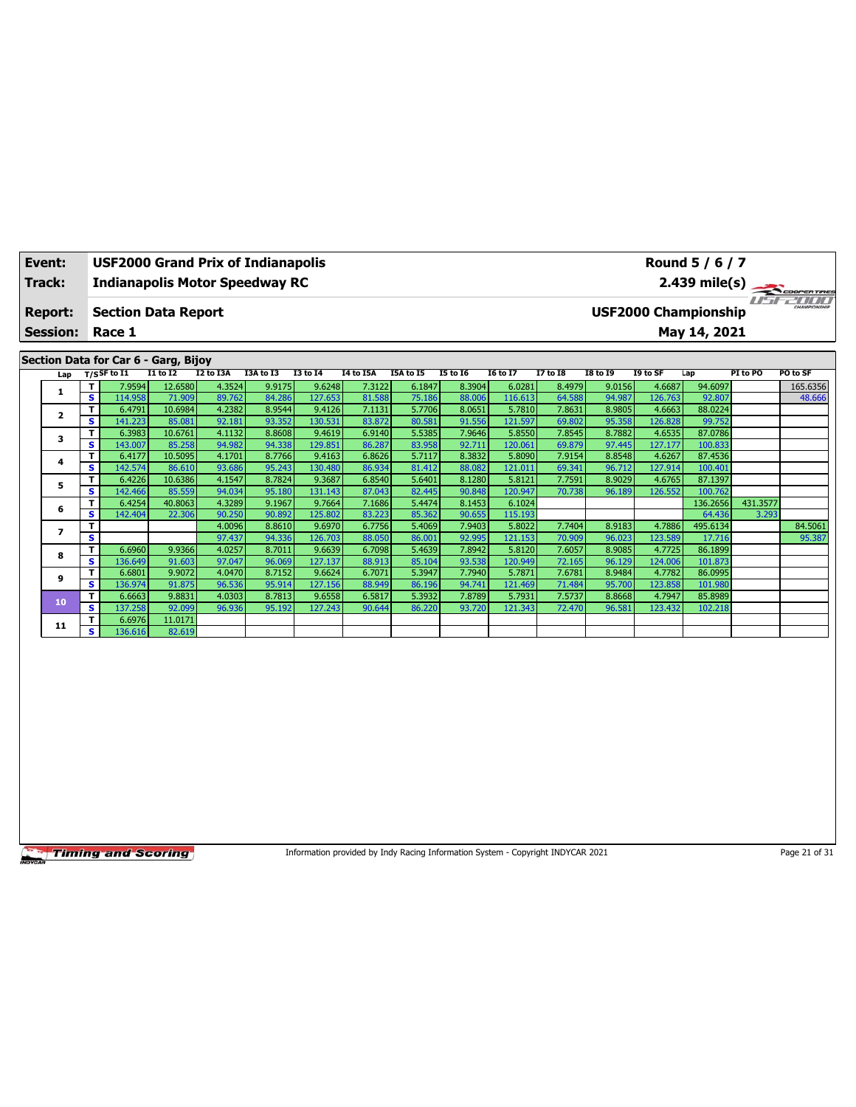| Event:          |              |                                                        |                 |                  | <b>USF2000 Grand Prix of Indianapolis</b> |                   |                  |                  |                  |                   |                  |                  |                   | Round 5 / 6 / 7             |          |                         |
|-----------------|--------------|--------------------------------------------------------|-----------------|------------------|-------------------------------------------|-------------------|------------------|------------------|------------------|-------------------|------------------|------------------|-------------------|-----------------------------|----------|-------------------------|
| Track:          |              |                                                        |                 |                  | <b>Indianapolis Motor Speedway RC</b>     |                   |                  |                  |                  |                   |                  |                  |                   |                             |          | $2.439 \text{ mile(s)}$ |
| <b>Report:</b>  |              | <b>Section Data Report</b>                             |                 |                  |                                           |                   |                  |                  |                  |                   |                  |                  |                   | <b>USF2000 Championship</b> |          |                         |
| <b>Session:</b> |              | Race 1                                                 |                 |                  |                                           |                   |                  |                  |                  |                   |                  |                  |                   | May 14, 2021                |          |                         |
|                 |              | Section Data for Car 6 - Garg, Bijoy<br>$T/S$ SF to I1 | <b>I1 to I2</b> | I2 to I3A        | I3A to I3                                 | <b>I3 to 14</b>   | I4 to I5A        | I5A to I5        | <b>I5 to 16</b>  | <b>16 to 17</b>   | <b>I7 to I8</b>  | <b>I8 to 19</b>  | I9 to SF          | Lap                         | PI to PO | PO to SF                |
| Lap             |              | 7.9594                                                 | 12.6580         | 4.3524           | 9.9175                                    | 9.6248            | 7.3122           | 6.1847           | 8.3904           | 6.0281            | 8.4979           | 9.0156           | 4.6687            | 94.6097                     |          | 165.6356                |
| 1               | s            | 114.958                                                | 71.909          | 89.762           | 84.286                                    | 127.653           | 81.588           | 75.186           | 88.006           | 116.613           | 64.588           | 94.987           | 126.763           | 92.807                      |          | 48.666                  |
|                 |              | 6.4791                                                 | 10.6984         | 4.2382           | 8.9544                                    | 9.4126            | 7.1131           | 5.7706           | 8.0651           | 5.7810            | 7.8631           | 8.9805           | 4.6663            | 88.0224                     |          |                         |
| $\overline{2}$  | s            | 141.223                                                | 85.081          | 92.181           | 93.352                                    | 130.531           | 83.872           | 80.581           | 91.556           | 121.597           | 69.802           | 95.358           | 126.828           | 99.752                      |          |                         |
| з               | т            | 6.3983                                                 | 10.6761         | 4.1132           | 8.8608                                    | 9.4619            | 6.9140           | 5.5385           | 7.9646           | 5.8550            | 7.8545           | 8.7882           | 4.6535            | 87.0786                     |          |                         |
|                 | s            | 143.007                                                | 85.258          | 94.982           | 94.338                                    | 129.851           | 86.287           | 83.958           | 92.711           | 120.061           | 69.879           | 97.445           | 127.177           | 100.833                     |          |                         |
| 4               | т            | 6.4177                                                 | 10.5095         | 4.1701           | 8.7766                                    | 9.4163            | 6.8626           | 5.7117           | 8.3832           | 5.8090            | 7.9154           | 8.8548           | 4.6267            | 87.4536                     |          |                         |
|                 | s            | 142.574                                                | 86.610          | 93.686           | 95.243                                    | 130.480           | 86.934           | 81.412           | 88.082           | 121.011           | 69.341           | 96.712           | 127.914           | 100.401                     |          |                         |
| 5               |              | 6.4226                                                 | 10.6386         | 4.1547           | 8.7824                                    | 9.3687            | 6.8540           | 5.6401           | 8.1280           | 5.8121            | 7.7591           | 8.9029           | 4.6765            | 87.1397                     |          |                         |
|                 | s            | 142.466                                                | 85.559          | 94.034           | 95.180                                    | 131.143           | 87.043           | 82.445           | 90.848           | 120.947           | 70.738           | 96.189           | 126.552           | 100.762                     |          |                         |
| 6               | т            | 6.4254                                                 | 40.8063         | 4.3289           | 9.1967                                    | 9.7664            | 7.1686           | 5.4474           | 8.1453           | 6.1024            |                  |                  |                   | 136.2656                    | 431.3577 |                         |
|                 | s            | 142.404                                                | 22.306          | 90.250<br>4.0096 | 90.892<br>8.8610                          | 125.802<br>9.6970 | 83.223           | 85.362           | 90.655<br>7.9403 | 115.193<br>5.8022 |                  |                  |                   | 64.436<br>495.6134          | 3.293    |                         |
| 7               | $\mathbf{s}$ |                                                        |                 | 97.437           | 94.336                                    | 126.703           | 6.7756<br>88.050 | 5.4069<br>86.001 | 92.995           | 121.153           | 7.7404<br>70.909 | 8.9183<br>96.023 | 4.7886<br>123.589 | 17.716                      |          | 84.5061<br>95.387       |
|                 | т            | 6.6960                                                 | 9.9366          | 4.0257           | 8.7011                                    | 9.6639            | 6.7098           | 5.4639           | 7.8942           | 5.8120            | 7.6057           | 8.9085           | 4.7725            | 86.1899                     |          |                         |
| 8               | s            | 136.649                                                | 91.603          | 97.047           | 96.069                                    | 127.137           | 88.913           | 85.104           | 93.538           | 120.949           | 72.165           | 96.129           | 124.006           | 101.873                     |          |                         |
|                 |              | 6.6801                                                 | 9.9072          | 4.0470           | 8.7152                                    | 9.6624            | 6.7071           | 5.3947           | 7.7940           | 5.7871            | 7.6781           | 8.9484           | 4.7782            | 86.0995                     |          |                         |
| 9               | s            | 136.974                                                | 91.875          | 96.536           | 95.914                                    | 127.156           | 88.949           | 86.196           | 94.741           | 121.469           | 71.484           | 95.700           | 123.858           | 101.980                     |          |                         |
|                 | Т            | 6.6663                                                 | 9.8831          | 4.0303           | 8.7813                                    | 9.6558            | 6.5817           | 5.3932           | 7.8789           | 5.7931            | 7.5737           | 8.8668           | 4.7947            | 85.8989                     |          |                         |
| 10              | s            | 137.258                                                | 92.099          | 96.936           | 95.192                                    | 127.243           | 90.644           | 86.220           | 93.720           | 121.343           | 72.470           | 96.581           | 123.432           | 102.218                     |          |                         |
| 11              | т            | 6.6976                                                 | 11.0171         |                  |                                           |                   |                  |                  |                  |                   |                  |                  |                   |                             |          |                         |
|                 | s            | 136.616                                                | 82.619          |                  |                                           |                   |                  |                  |                  |                   |                  |                  |                   |                             |          |                         |

Information provided by Indy Racing Information System - Copyright INDYCAR 2021 Page 21 of 31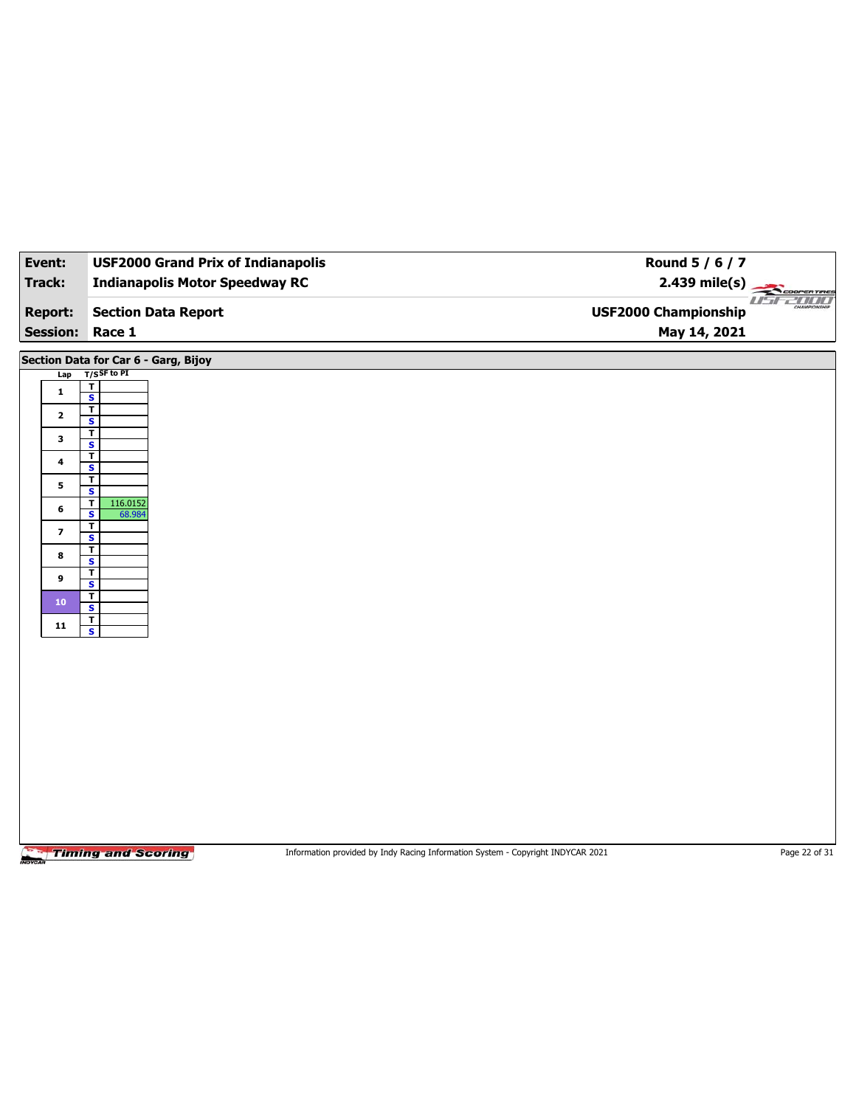| Event:                            | <b>USF2000 Grand Prix of Indianapolis</b>              | Round 5 / 6 / 7                                                                 |                         |
|-----------------------------------|--------------------------------------------------------|---------------------------------------------------------------------------------|-------------------------|
| Track:                            | <b>Indianapolis Motor Speedway RC</b>                  |                                                                                 | $2.439 \text{ mile(s)}$ |
| <b>Report:</b><br><b>Session:</b> | <b>Section Data Report</b><br>Race 1                   | <b>USF2000 Championship</b><br>May 14, 2021                                     | useann                  |
|                                   |                                                        |                                                                                 |                         |
| Lap                               | Section Data for Car 6 - Garg, Bijoy<br>$T/S$ SF to PI |                                                                                 |                         |
| $\mathbf{1}$                      | $\mathbf T$<br>$\overline{\mathbf{s}}$                 |                                                                                 |                         |
| $\overline{\mathbf{2}}$           | $\overline{\mathbf{r}}$                                |                                                                                 |                         |
|                                   | $\overline{\mathbf{s}}$<br>$\overline{\mathbf{I}}$     |                                                                                 |                         |
| $\mathbf{3}$                      | $\overline{\mathbf{s}}$<br>$\overline{\mathbf{r}}$     |                                                                                 |                         |
| $\ddot{\phantom{a}}$              | $\mathbf{s}$                                           |                                                                                 |                         |
| 5                                 | $\overline{1}$<br>$\overline{\mathbf{s}}$              |                                                                                 |                         |
| 6                                 | 116.0152<br>T<br>S<br>68.984                           |                                                                                 |                         |
| $\overline{\mathbf{z}}$           | $\overline{\mathbf{r}}$                                |                                                                                 |                         |
| 8                                 | $\overline{\mathbf{s}}$<br>$\overline{\mathsf{r}}$     |                                                                                 |                         |
| 9                                 | S<br>$\overline{\mathbf{r}}$                           |                                                                                 |                         |
|                                   | $\overline{\mathbf{s}}$<br>$\overline{\mathsf{r}}$     |                                                                                 |                         |
| ${\bf 10}$                        | S                                                      |                                                                                 |                         |
| ${\bf 11}$                        | $\overline{\mathbf{r}}$<br>$\overline{\mathbf{s}}$     |                                                                                 |                         |
|                                   |                                                        |                                                                                 |                         |
|                                   |                                                        |                                                                                 |                         |
|                                   |                                                        |                                                                                 |                         |
|                                   |                                                        |                                                                                 |                         |
|                                   |                                                        |                                                                                 |                         |
|                                   |                                                        |                                                                                 |                         |
|                                   |                                                        |                                                                                 |                         |
|                                   |                                                        |                                                                                 |                         |
|                                   |                                                        |                                                                                 |                         |
|                                   |                                                        |                                                                                 |                         |
|                                   | <b>Timing and Scoring</b>                              | Information provided by Indy Racing Information System - Copyright INDYCAR 2021 | Page 22 of 31           |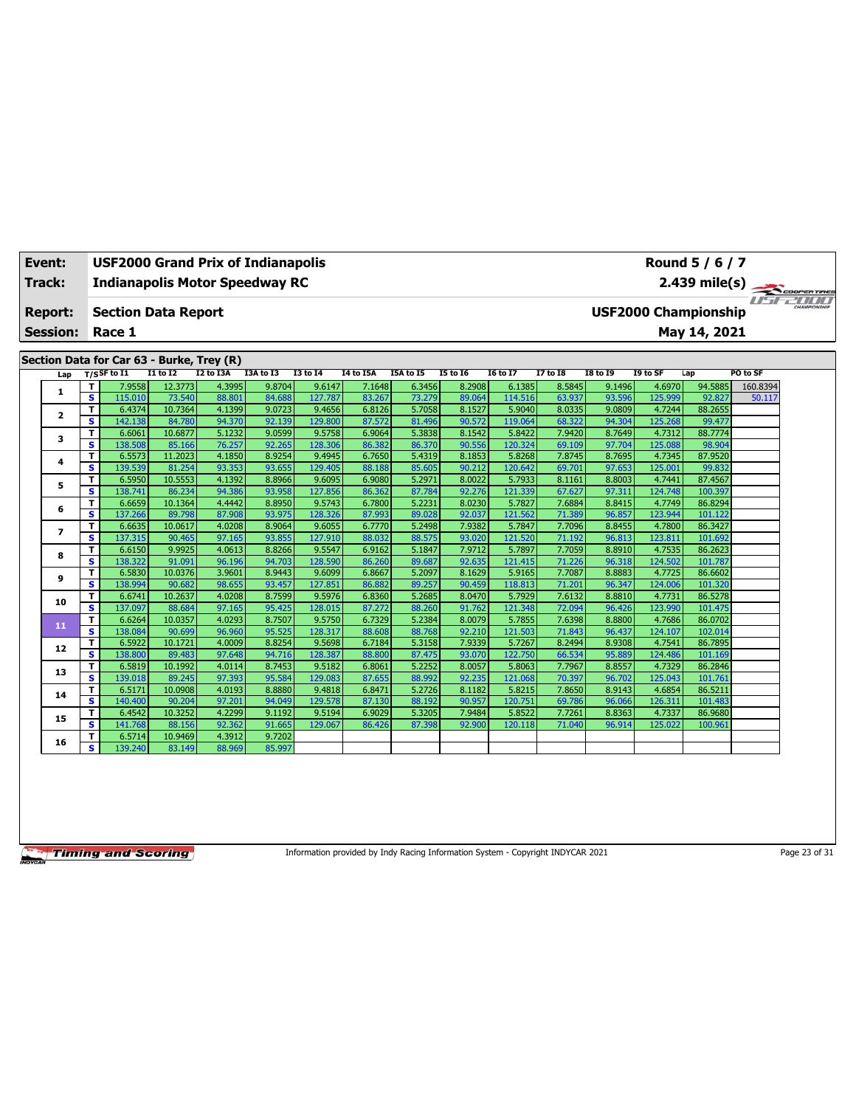| Event:                  |                         | <b>USF2000 Grand Prix of Indianapolis</b> |                   |                  |                  |                   |                  |                  |                  |                   |                  |                  |                   | Round 5 / 6 / 7             |          |  |
|-------------------------|-------------------------|-------------------------------------------|-------------------|------------------|------------------|-------------------|------------------|------------------|------------------|-------------------|------------------|------------------|-------------------|-----------------------------|----------|--|
| <b>Track:</b>           |                         | <b>Indianapolis Motor Speedway RC</b>     |                   |                  |                  |                   |                  |                  |                  |                   |                  |                  |                   | 2.439 mile(s)               |          |  |
|                         |                         |                                           |                   |                  |                  |                   |                  |                  |                  |                   |                  |                  |                   |                             |          |  |
| <b>Report:</b>          |                         | <b>Section Data Report</b>                |                   |                  |                  |                   |                  |                  |                  |                   |                  |                  |                   | <b>USF2000 Championship</b> |          |  |
| <b>Session:</b>         |                         | Race 1                                    |                   |                  |                  |                   |                  |                  |                  |                   |                  |                  |                   | May 14, 2021                |          |  |
|                         |                         |                                           |                   |                  |                  |                   |                  |                  |                  |                   |                  |                  |                   |                             |          |  |
|                         |                         | Section Data for Car 63 - Burke, Trey (R) |                   |                  |                  |                   |                  |                  |                  |                   |                  |                  |                   |                             |          |  |
| Lap                     |                         | $T/S$ SF to $I1$                          | $I1$ to $I2$      | <b>I2 to I3A</b> | I3A to I3        | <b>I3 to 14</b>   | <b>I4 to I5A</b> | I5A to I5        | <b>I5 to 16</b>  | <b>I6 to I7</b>   | <b>I7 to I8</b>  | <b>I8 to 19</b>  | I9 to SF          | Lap                         | PO to SF |  |
| 1                       | T                       | 7.9558                                    | 12.3773           | 4.3995           | 9.8704           | 9.6147            | 7.1648           | 6.3456           | 8.2908           | 6.1385            | 8.5845           | 9.1496           | 4.6970            | 94.5885                     | 160.8394 |  |
|                         | s                       | 115.010                                   | 73.540            | 88.801           | 84.688           | 127,787           | 83.267           | 73.279           | 89.064           | 114.516           | 63.937           | 93.596           | 125.999           | 92.827                      | 50.117   |  |
| $\overline{\mathbf{2}}$ | T                       | 6.4374                                    | 10.7364           | 4.1399           | 9.0723           | 9.4656            | 6.8126           | 5.7058           | 8.1527           | 5.9040            | 8.0335           | 9.0809           | 4.7244            | 88.2655                     |          |  |
|                         | s.                      | 142.138                                   | 84.780            | 94.370           | 92.139           | 129.800           | 87.572           | 81.496           | 90.572           | 119.064           | 68.322           | 94.304           | 125.268           | 99.477                      |          |  |
| 3                       | T                       | 6.6061                                    | 10.6877           | 5.1232           | 9.0599           | 9.5758            | 6.9064           | 5.3838           | 8.1542           | 5.8422            | 7.9420           | 8.7649           | 4.7312            | 88.7774                     |          |  |
|                         | s<br>T                  | 138.508<br>6.5573                         | 85.166<br>11.2023 | 76.257<br>4.1850 | 92.265<br>8.9254 | 128,306<br>9.4945 | 86.382<br>6.7650 | 86.370<br>5.4319 | 90.556<br>8.1853 | 120.324<br>5.8268 | 69.109<br>7.8745 | 97.704<br>8.7695 | 125.088<br>4.7345 | 98.904<br>87.9520           |          |  |
| 4                       | S                       | 139.539                                   | 81.254            | 93.353           | 93.655           | 129.405           | 88.188           | 85.605           | 90.212           | 120.642           | 69.701           | 97.653           | 125.001           | 99.832                      |          |  |
|                         | т                       | 6.5950                                    | 10.5553           | 4.1392           | 8.8966           | 9.6095            | 6.9080           | 5.2971           | 8.0022           | 5.7933            | 8.1161           | 8.8003           | 4.7441            | 87.4567                     |          |  |
| 5                       | $\overline{\mathbf{s}}$ | 138.741                                   | 86.234            | 94.386           | 93.958           | 127.856           | 86.362           | 87.784           | 92.276           | 121.339           | 67.627           | 97.311           | 124.748           | 100.397                     |          |  |
|                         | T                       | 6.6659                                    | 10.1364           | 4.4442           | 8.8950           | 9.5743            | 6.7800           | 5.2231           | 8.0230           | 5.7827            | 7.6884           | 8.8415           | 4.7749            | 86.8294                     |          |  |
| 6                       | s                       | 137.266                                   | 89.798            | 87,908           | 93.975           | 128.326           | 87.993           | 89.028           | 92.037           | 121.562           | 71.389           | 96.857           | 123.944           | 101.122                     |          |  |
|                         | т                       | 6.6635                                    | 10.0617           | 4.0208           | 8.9064           | 9.6055            | 6.7770           | 5.2498           | 7.9382           | 5.7847            | 7.7096           | 8.8455           | 4.7800            | 86.3427                     |          |  |
| $\overline{ }$          | s.                      | 137.315                                   | 90.465            | 97.165           | 93.855           | 127.910           | 88.032           | 88.575           | 93.020           | 121.520           | 71.192           | 96.813           | 123.811           | 101.692                     |          |  |
|                         | T                       | 6.6150                                    | 9.9925            | 4.0613           | 8.8266           | 9.5547            | 6.9162           | 5.1847           | 7.9712           | 5.7897            | 7.7059           | 8.8910           | 4.7535            | 86.2623                     |          |  |
| 8                       | S                       | 138.322                                   | 91.091            | 96.196           | 94.703           | 128.590           | 86.260           | 89.687           | 92.635           | 121.415           | 71.226           | 96.318           | 124.502           | 101.787                     |          |  |
| 9                       | T                       | 6.5830                                    | 10.0376           | 3.9601           | 8.9443           | 9.6099            | 6.8667           | 5.2097           | 8.1629           | 5.9165            | 7.7087           | 8.8883           | 4.7725            | 86.6602                     |          |  |
|                         | s                       | 138.994                                   | 90.682            | 98.655           | 93.457           | 127.851           | 86.882           | 89.257           | 90.459           | 118.813           | 71.201           | 96.347           | 124.006           | 101.320                     |          |  |
| 10                      | T                       | 6.6741                                    | 10.2637           | 4.0208           | 8.7599           | 9.5976            | 6.8360           | 5.2685           | 8.0470           | 5.7929            | 7.6132           | 8.8810           | 4.7731            | 86.5278                     |          |  |
|                         | s.                      | 137.097                                   | 88.684            | 97.165           | 95.425           | 128.015           | 87.272           | 88.260           | 91.762           | 121.348           | 72.094           | 96.426           | 123.990           | 101.475                     |          |  |
| 11                      | T                       | 6.6264                                    | 10.0357           | 4.0293           | 8.7507           | 9.5750            | 6.7329           | 5.2384           | 8.0079           | 5.7855            | 7.6398           | 8.8800           | 4.7686            | 86.0702                     |          |  |
|                         | s                       | 138.084                                   | 90.699            | 96.960           | 95.525           | 128.317           | 88.608           | 88.768           | 92.210           | 121.503           | 71.843           | 96.437           | 124.107           | 102.014                     |          |  |
| 12                      | T                       | 6.5922                                    | 10.1721           | 4.0009           | 8.8254           | 9.5698            | 6.7184           | 5.3158           | 7.9339           | 5.7267            | 8.2494           | 8.9308           | 4.7541            | 86.7895                     |          |  |
|                         | s                       | 138.800                                   | 89.483            | 97.648           | 94.716           | 128.387           | 88.800           | 87.475           | 93.070           | 122,750           | 66.534           | 95.889           | 124.486           | 101.169                     |          |  |
| 13                      | T                       | 6.5819                                    | 10.1992           | 4.0114           | 8.7453           | 9.5182            | 6.8061           | 5.2252           | 8.0057           | 5.8063            | 7.7967           | 8.8557           | 4.7329            | 86.2846                     |          |  |
|                         | S                       | 139.018                                   | 89.245            | 97.393<br>4.0193 | 95.584           | 129.083           | 87.655           | 88.992<br>5.2726 | 92.235           | 121.068           | 70.397           | 96.702           | 125.043           | 101.761<br>86.5211          |          |  |
| 14                      | т<br>s                  | 6.5171<br>140.400                         | 10.0908<br>90.204 | 97.201           | 8.8880<br>94.049 | 9.4818<br>129.578 | 6.8471<br>87.130 | 88.192           | 8.1182<br>90.957 | 5.8215<br>120.751 | 7.8650<br>69.786 | 8.9143<br>96.066 | 4.6854<br>126.311 | 101.483                     |          |  |
|                         | T                       | 6.4542                                    | 10.3252           | 4.2299           | 9.1192           | 9.5194            | 6.9029           | 5.3205           | 7.9484           | 5.8522            | 7.7261           | 8.8363           | 4.7337            | 86.9680                     |          |  |
| 15                      | s                       | 141.768                                   | 88.156            | 92.362           | 91.665           | 129.067           | 86.426           | 87.398           | 92.900           | 120.118           | 71.040           | 96.914           | 125.022           | 100.961                     |          |  |
|                         | T                       | 6.5714                                    | 10.9469           | 4.3912           | 9.7202           |                   |                  |                  |                  |                   |                  |                  |                   |                             |          |  |
| 16                      | s                       | 139.240                                   | 83.149            | 88.969           | 85.997           |                   |                  |                  |                  |                   |                  |                  |                   |                             |          |  |
|                         |                         |                                           |                   |                  |                  |                   |                  |                  |                  |                   |                  |                  |                   |                             |          |  |

Information provided by Indy Racing Information System - Copyright INDYCAR 2021 Page 23 of 31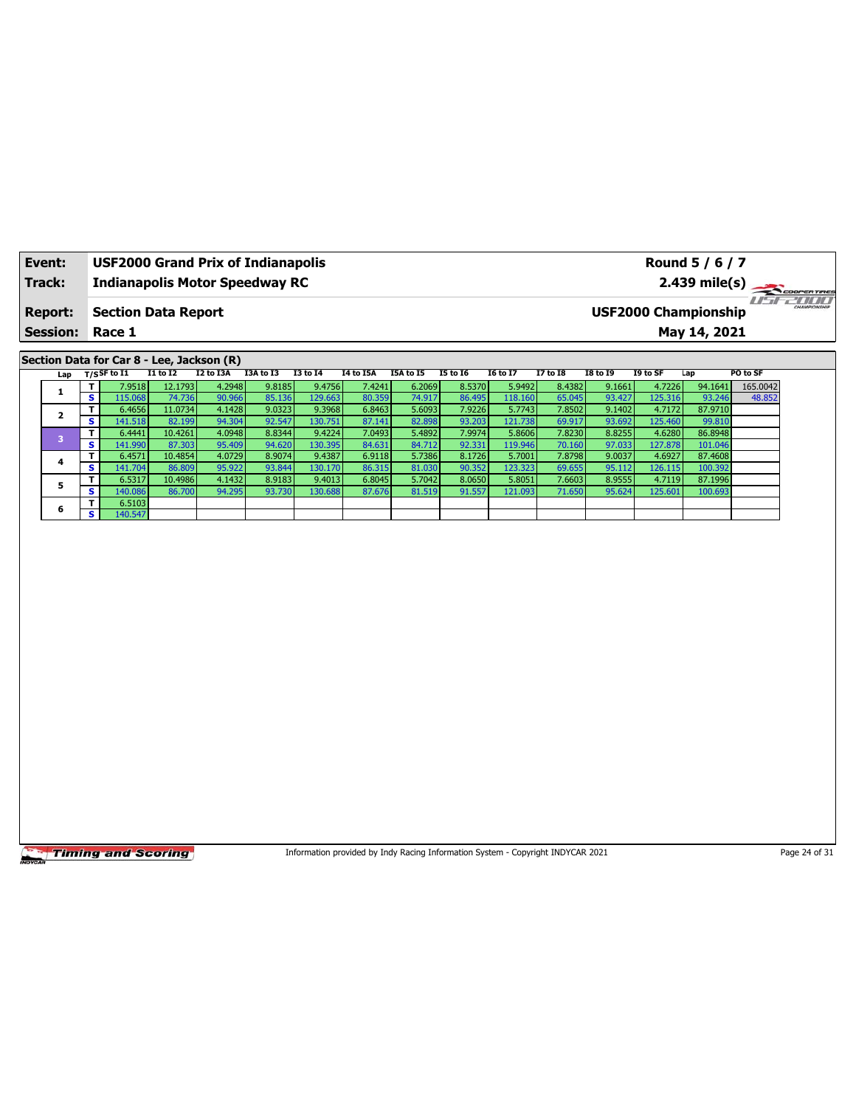| Event:<br>Track:                  |                         | <b>USF2000 Grand Prix of Indianapolis</b><br><b>Indianapolis Motor Speedway RC</b> |                   |                  |           |                 |                  |           |                 |                   |                 | Round 5 / 6 / 7<br>$2.439$ mile(s) |          | COOPER TIRES                                |          |  |
|-----------------------------------|-------------------------|------------------------------------------------------------------------------------|-------------------|------------------|-----------|-----------------|------------------|-----------|-----------------|-------------------|-----------------|------------------------------------|----------|---------------------------------------------|----------|--|
| <b>Report:</b><br><b>Session:</b> |                         | <b>Section Data Report</b><br>Race 1                                               |                   |                  |           |                 |                  |           |                 |                   |                 |                                    |          | <b>USF2000 Championship</b><br>May 14, 2021 |          |  |
|                                   |                         | Section Data for Car 8 - Lee, Jackson (R)                                          |                   |                  |           |                 |                  |           |                 |                   |                 |                                    |          |                                             |          |  |
| Lap                               |                         | $T/S$ SF to I1                                                                     | $I1$ to $I2$      | I2 to I3A        | I3A to I3 | <b>I3 to 14</b> | <b>I4 to I5A</b> | I5A to I5 | <b>I5 to 16</b> | <b>I6 to I7</b>   | <b>I7 to 18</b> | <b>I8 to 19</b>                    | I9 to SF | Lap                                         | PO to SF |  |
|                                   | T                       | 7.9518                                                                             | 12.1793           | 4.2948           | 9.8185    | 9.4756          | 7.4241           | 6.2069    | 8.5370          | 5.9492            | 8.4382          | 9.1661                             | 4.7226   | 94.1641                                     | 165.0042 |  |
| $\mathbf{1}$                      | s                       | 115.068                                                                            | 74.736            | 90.966           | 85.136    | 129.663         | 80.359           | 74.917    | 86.495          | 118.160           | 65.045          | 93.427                             | 125.316  | 93.246                                      | 48.852   |  |
|                                   | T                       | 6.4656                                                                             | 11.0734           | 4.1428           | 9.0323    | 9.3968          | 6.8463           | 5.6093    | 7.9226          | 5.7743            | 7.8502          | 9.1402                             | 4.7172   | 87.9710                                     |          |  |
| $\mathbf{2}$                      | S                       | 141.518                                                                            | 82.199            | 94.304           | 92.547    | 130.751         | 87.141           | 82.898    | 93.203          | 121.738           | 69.917          | 93.692                             | 125.460  | 99.810                                      |          |  |
|                                   | T                       | 6.4441                                                                             | 10.4261           | 4.0948           | 8.8344    | 9.4224          | 7.0493           | 5.4892    | 7.9974          | 5.8606            | 7.8230          | 8.8255                             | 4.6280   | 86.8948                                     |          |  |
| 3                                 | s                       |                                                                                    | 87.303            | 95.409           | 94.620    | 130.395         | 84.631           | 84.712    | 92.331          | 119.946           | 70.160          | 97.033                             | 127.878  |                                             |          |  |
|                                   |                         | 141.990                                                                            |                   |                  | 8.9074    |                 |                  | 5.7386    | 8.1726          |                   | 7.8798          | 9.0037                             | 4.6927   | 101.046                                     |          |  |
| 4                                 | T<br>s                  | 6.4571                                                                             | 10.4854<br>86.809 | 4.0729<br>95.922 | 93.844    | 9.4387          | 6.9118           | 81.030    | 90.352          | 5.7001<br>123.323 | 69.655          |                                    |          | 87.4608<br>100.392                          |          |  |
|                                   |                         | 141.704                                                                            |                   |                  |           | 130.170         | 86.315           |           |                 |                   |                 | 95.112                             | 126.115  |                                             |          |  |
| 5                                 | T                       | 6.5317                                                                             | 10.4986           | 4.1432           | 8.9183    | 9.4013          | 6.8045           | 5.7042    | 8.0650          | 5.8051            | 7.6603          | 8.9555                             | 4.7119   | 87.1996                                     |          |  |
|                                   | s                       | 140.086                                                                            | 86.700            | 94.295           | 93.730    | 130.688         | 87.676           | 81.519    | 91.557          | 121.093           | 71.650          | 95.624                             | 125.601  | 100.693                                     |          |  |
| 6                                 | T                       | 6.5103                                                                             |                   |                  |           |                 |                  |           |                 |                   |                 |                                    |          |                                             |          |  |
|                                   | $\overline{\mathbf{s}}$ | 140.547                                                                            |                   |                  |           |                 |                  |           |                 |                   |                 |                                    |          |                                             |          |  |
|                                   |                         |                                                                                    |                   |                  |           |                 |                  |           |                 |                   |                 |                                    |          |                                             |          |  |
|                                   |                         |                                                                                    |                   |                  |           |                 |                  |           |                 |                   |                 |                                    |          |                                             |          |  |

Information provided by Indy Racing Information System - Copyright INDYCAR 2021 Page 24 of 31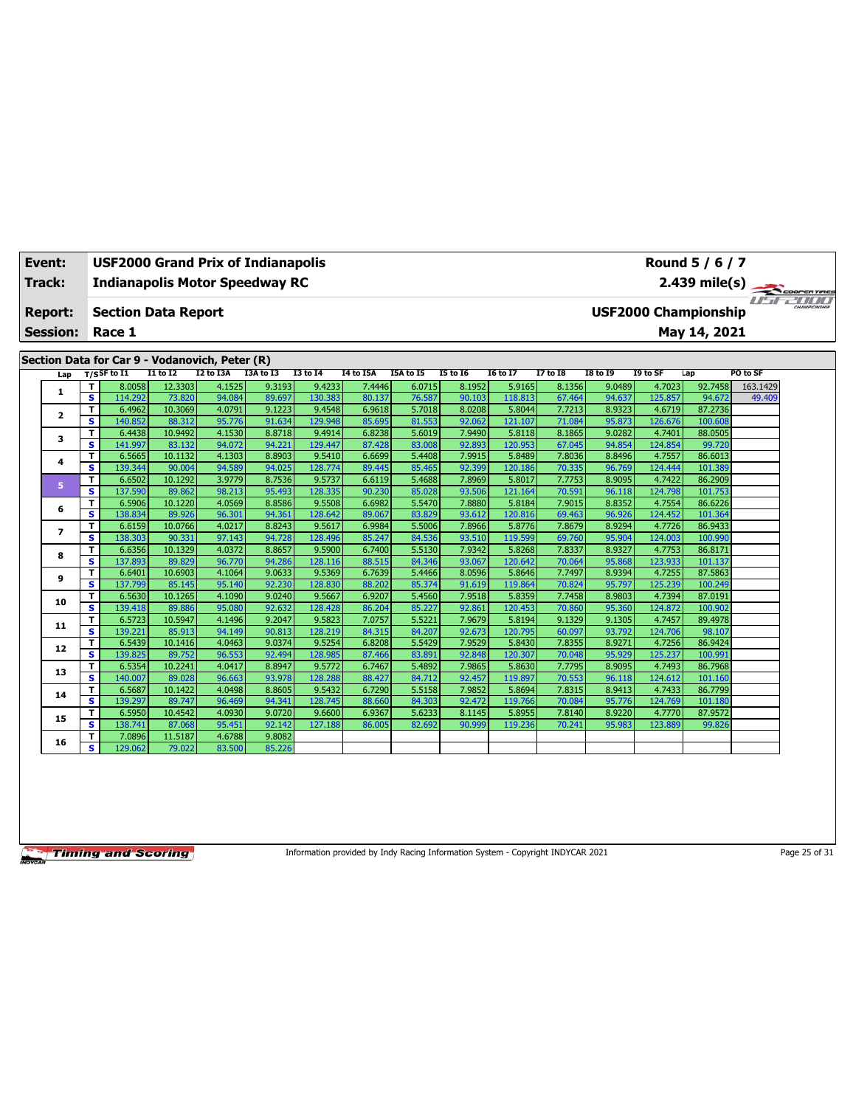|        | Event:                  |                         | <b>USF2000 Grand Prix of Indianapolis</b>      |                   |                  |                  |                   |                  |                  | Round 5 / 6 / 7  |                   |                  |                                              |                   |                    |          |  |  |
|--------|-------------------------|-------------------------|------------------------------------------------|-------------------|------------------|------------------|-------------------|------------------|------------------|------------------|-------------------|------------------|----------------------------------------------|-------------------|--------------------|----------|--|--|
| Track: |                         |                         | <b>Indianapolis Motor Speedway RC</b>          |                   |                  |                  |                   |                  |                  |                  |                   |                  |                                              |                   |                    |          |  |  |
|        | <b>Report:</b>          |                         | <b>Section Data Report</b>                     |                   |                  |                  |                   |                  |                  |                  |                   |                  | 2.439 mile(s)<br><b>USF2000 Championship</b> |                   |                    |          |  |  |
|        | <b>Session:</b>         |                         | Race 1                                         |                   |                  |                  |                   |                  |                  |                  |                   |                  | May 14, 2021                                 |                   |                    |          |  |  |
|        |                         |                         | Section Data for Car 9 - Vodanovich, Peter (R) |                   |                  |                  |                   |                  |                  |                  |                   |                  |                                              |                   |                    |          |  |  |
|        | Lap                     |                         | $T/S$ SF to $I1$                               | $I1$ to $I2$      | I2 to I3A        | I3A to I3        | <b>I3 to 14</b>   | <b>I4 to I5A</b> | <b>I5A</b> to 15 | <b>I5 to 16</b>  | <b>I6 to I7</b>   | <b>I7 to I8</b>  | <b>I8 to 19</b>                              | I9 to SF          | Lap                | PO to SF |  |  |
|        |                         | т                       | 8.0058                                         | 12.3303           | 4.1525           | 9.3193           | 9.4233            | 7.4446           | 6.0715           | 8.1952           | 5.9165            | 8.1356           | 9.0489                                       | 4.7023            | 92.7458            | 163.1429 |  |  |
|        | 1                       | $\overline{\mathbf{s}}$ | 114.292                                        | 73.820            | 94.084           | 89.697           | 130.383           | 80.137           | 76.587           | 90.103           | 118.813           | 67.464           | 94.637                                       | 125.857           | 94.672             | 49.409   |  |  |
|        | $\overline{\mathbf{2}}$ | T                       | 6.4962                                         | 10.3069           | 4.0791           | 9.1223           | 9.4548            | 6.9618           | 5.7018           | 8.0208           | 5.8044            | 7.7213           | 8.9323                                       | 4.6719            | 87.2736            |          |  |  |
|        |                         | s                       | 140.852                                        | 88.312            | 95.776           | 91.634           | 129.948           | 85.695           | 81.553           | 92.062           | 121.107           | 71.084           | 95.873                                       | 126.676           | 100.608            |          |  |  |
|        | 3                       | т                       | 6.4438                                         | 10.9492           | 4.1530           | 8.8718           | 9.4914            | 6.8238           | 5.6019           | 7.9490           | 5.8118            | 8.1865           | 9.0282                                       | 4.7401            | 88.0505            |          |  |  |
|        |                         | s                       | 141.997                                        | 83.132            | 94.072           | 94.221           | 129.447           | 87.428           | 83.008           | 92.893           | 120.953           | 67.045           | 94.854                                       | 124.854           | 99.720             |          |  |  |
|        | 4                       | T                       | 6.5665                                         | 10.1132           | 4.1303           | 8.8903           | 9.5410            | 6.6699           | 5.4408           | 7.9915           | 5.8489            | 7.8036           | 8.8496                                       | 4.7557            | 86.6013            |          |  |  |
|        |                         | S                       | 139.344                                        | 90.004            | 94.589           | 94.025           | 128.774           | 89.445           | 85.465           | 92.399           | 120.186           | 70.335           | 96.769                                       | 124.444           | 101.389            |          |  |  |
|        | 5                       | T                       | 6.6502                                         | 10.1292           | 3.9779           | 8.7536           | 9.5737            | 6.6119           | 5.4688           | 7.8969           | 5.8017            | 7.7753           | 8.9095                                       | 4.7422            | 86.2909            |          |  |  |
|        |                         | s                       | 137.590                                        | 89.862            | 98.213           | 95.493           | 128.335           | 90.230           | 85.028           | 93.506           | 121.164           | 70.591           | 96.118                                       | 124.798           | 101.753            |          |  |  |
|        | 6                       | T<br>s                  | 6.5906<br>138.834                              | 10.1220<br>89.926 | 4.0569<br>96.301 | 8.8586<br>94.361 | 9.5508<br>128.642 | 6.6982<br>89.067 | 5.5470<br>83.829 | 7.8880<br>93.612 | 5.8184<br>120.816 | 7.9015<br>69.463 | 8.8352<br>96.926                             | 4.7554<br>124.452 | 86.6226<br>101.364 |          |  |  |
|        |                         | T                       | 6.6159                                         | 10.0766           | 4.0217           | 8.8243           | 9.5617            | 6.9984           | 5.5006           | 7.8966           | 5.8776            | 7.8679           | 8.9294                                       | 4.7726            | 86.9433            |          |  |  |
|        | $\overline{ }$          | s.                      | 138.303                                        | 90.331            | 97.143           | 94.728           | 128.496           | 85.247           | 84.536           | 93.510           | 119.599           | 69.760           | 95.904                                       | 124.003           | 100.990            |          |  |  |
|        |                         | T                       | 6.6356                                         | 10.1329           | 4.0372           | 8.8657           | 9.5900            | 6.7400           | 5.5130           | 7.9342           | 5.8268            | 7.8337           | 8.9327                                       | 4.7753            | 86.8171            |          |  |  |
|        | 8                       | S                       | 137.893                                        | 89.829            | 96.770           | 94.286           | 128.116           | 88.515           | 84.346           | 93.067           | 120.642           | 70.064           | 95.868                                       | 123.933           | 101.137            |          |  |  |
|        |                         | T                       | 6.6401                                         | 10.6903           | 4.1064           | 9.0633           | 9.5369            | 6.7639           | 5.4466           | 8.0596           | 5.8646            | 7.7497           | 8.9394                                       | 4.7255            | 87.5863            |          |  |  |
|        | 9                       | s                       | 137.799                                        | 85.145            | 95.140           | 92.230           | 128.830           | 88.202           | 85.374           | 91.619           | 119.864           | 70.824           | 95.797                                       | 125.239           | 100.249            |          |  |  |
|        |                         | T                       | 6.5630                                         | 10.1265           | 4.1090           | 9.0240           | 9.5667            | 6.9207           | 5.4560           | 7.9518           | 5.8359            | 7.7458           | 8.9803                                       | 4.7394            | 87.0191            |          |  |  |
|        | 10                      | s.                      | 139.418                                        | 89.886            | 95.080           | 92.632           | 128.428           | 86.204           | 85.227           | 92.861           | 120.453           | 70.860           | 95.360                                       | 124.872           | 100.902            |          |  |  |
|        | 11                      | T                       | 6.5723                                         | 10.5947           | 4.1496           | 9.2047           | 9.5823            | 7.0757           | 5.5221           | 7.9679           | 5.8194            | 9.1329           | 9.1305                                       | 4.7457            | 89.4978            |          |  |  |
|        |                         | s.                      | 139.221                                        | 85.913            | 94.149           | 90.813           | 128.219           | 84.315           | 84.207           | 92.673           | 120.795           | 60.097           | 93.792                                       | 124.706           | 98.107             |          |  |  |
|        | 12                      | т                       | 6.5439                                         | 10.1416           | 4.0463           | 9.0374           | 9.5254            | 6.8208           | 5.5429           | 7.9529           | 5.8430            | 7.8355           | 8.9271                                       | 4.7256            | 86.9424            |          |  |  |
|        |                         | $\overline{\mathbf{s}}$ | 139.825                                        | 89.752            | 96.553           | 92.494           | 128.985           | 87.466           | 83.891           | 92.848           | 120.307           | 70.048           | 95.929                                       | 125.237           | 100.991            |          |  |  |
|        | 13                      | T                       | 6.5354                                         | 10.2241           | 4.0417           | 8.8947           | 9.5772            | 6.7467           | 5.4892           | 7.9865           | 5.8630            | 7.7795           | 8.9095                                       | 4.7493            | 86.7968            |          |  |  |
|        |                         | s                       | 140.007                                        | 89.028            | 96.663           | 93.978           | 128.288           | 88.427           | 84.712           | 92.457           | 119.897           | 70.553           | 96.118                                       | 124.612           | 101.160            |          |  |  |
|        | 14                      | T                       | 6.5687                                         | 10.1422           | 4.0498           | 8.8605           | 9.5432            | 6.7290           | 5.5158           | 7.9852           | 5.8694            | 7.8315           | 8.9413                                       | 4.7433            | 86.7799            |          |  |  |
|        |                         | s                       | 139.297                                        | 89.747            | 96.469           | 94.341           | 128.745           | 88.660           | 84.303           | 92.472           | 119,766           | 70.084           | 95.776                                       | 124.769           | 101.180            |          |  |  |
|        | 15                      | T<br>s.                 | 6.5950                                         | 10.4542           | 4.0930           | 9.0720           | 9.6600            | 6.9367           | 5.6233           | 8.1145           | 5.8955            | 7.8140           | 8.9220                                       | 4.7770            | 87.9572            |          |  |  |
|        |                         |                         | 138.741                                        | 87.068<br>11.5187 | 95.451<br>4.6788 | 92.142<br>9.8082 | 127.188           | 86.005           | 82.692           | 90.999           | 119,236           | 70.241           | 95.983                                       | 123.889           | 99.826             |          |  |  |
|        | 16                      | т<br>s.                 | 7.0896<br>129.062                              | 79.022            | 83.500           | 85.226           |                   |                  |                  |                  |                   |                  |                                              |                   |                    |          |  |  |
|        |                         |                         |                                                |                   |                  |                  |                   |                  |                  |                  |                   |                  |                                              |                   |                    |          |  |  |

Information provided by Indy Racing Information System - Copyright INDYCAR 2021 Page 25 of 31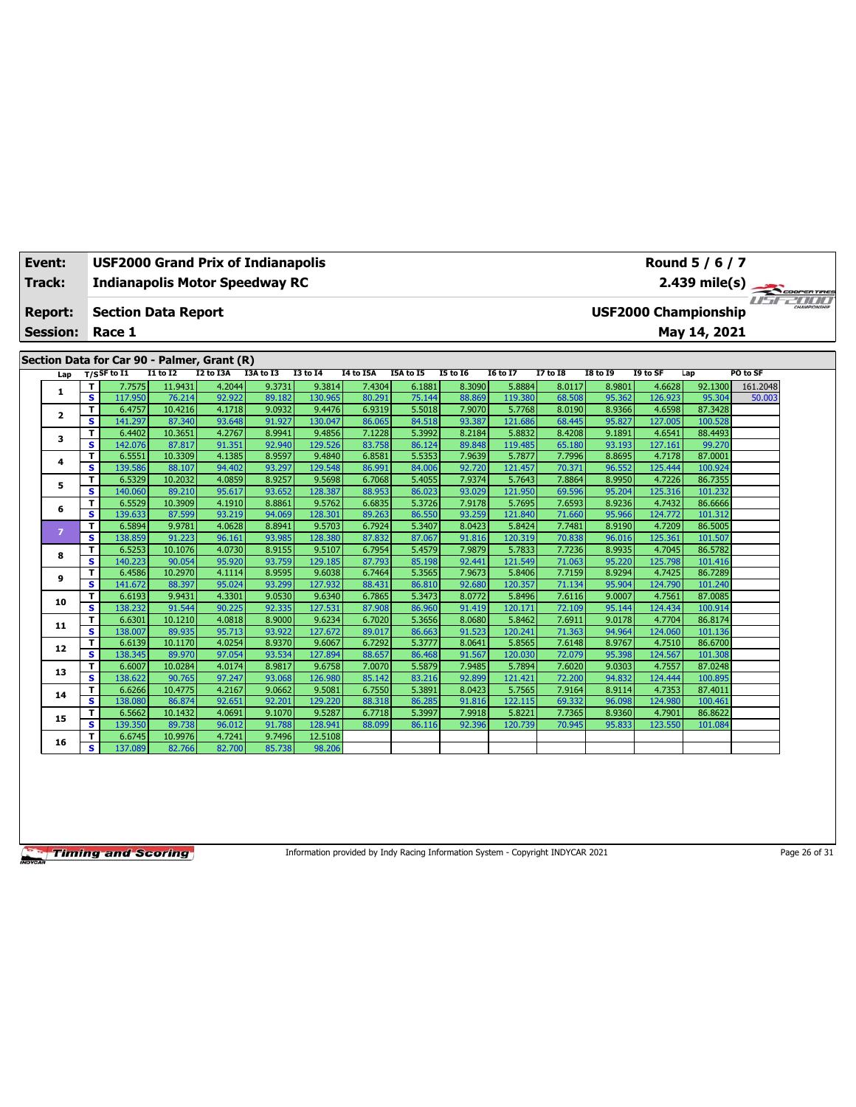|  | Event:          |                         | <b>USF2000 Grand Prix of Indianapolis</b>   |                   |                  |                  |                   | Round 5 / 6 / 7  |                  |                  |                   |                  |                                              |                   |                    |          |  |  |  |
|--|-----------------|-------------------------|---------------------------------------------|-------------------|------------------|------------------|-------------------|------------------|------------------|------------------|-------------------|------------------|----------------------------------------------|-------------------|--------------------|----------|--|--|--|
|  | <b>Track:</b>   |                         | <b>Indianapolis Motor Speedway RC</b>       |                   |                  |                  |                   |                  |                  |                  |                   |                  |                                              |                   |                    |          |  |  |  |
|  |                 |                         |                                             |                   |                  |                  |                   |                  |                  |                  |                   |                  |                                              |                   |                    |          |  |  |  |
|  | Report:         |                         | <b>Section Data Report</b>                  |                   |                  |                  |                   |                  |                  |                  |                   |                  | 2.439 mile(s)<br><b>USF2000 Championship</b> |                   |                    |          |  |  |  |
|  | <b>Session:</b> |                         | Race 1                                      |                   |                  |                  |                   |                  |                  |                  |                   |                  | May 14, 2021                                 |                   |                    |          |  |  |  |
|  |                 |                         |                                             |                   |                  |                  |                   |                  |                  |                  |                   |                  |                                              |                   |                    |          |  |  |  |
|  |                 |                         | Section Data for Car 90 - Palmer, Grant (R) |                   |                  |                  |                   |                  |                  |                  |                   |                  |                                              |                   |                    |          |  |  |  |
|  | Lap             |                         | $T/S$ SF to $I1$                            | <b>I1 to I2</b>   | <b>I2 to I3A</b> | I3A to I3        | <b>I3 to 14</b>   | I4 to I5A        | I5A to I5        | <b>I5 to 16</b>  | <b>16 to 17</b>   | <b>I7 to I8</b>  | <b>18 to 19</b>                              | I9 to SF          | Lap                | PO to SF |  |  |  |
|  |                 | т                       | 7.7575                                      | 11.9431           | 4.2044           | 9.3731           | 9.3814            | 7.4304           | 6.1881           | 8.3090           | 5.8884            | 8.0117           | 8.9801                                       | 4.6628            | 92.1300            | 161.2048 |  |  |  |
|  | 1               | s                       | 117.950                                     | 76.214            | 92.922           | 89.182           | 130.965           | 80.291           | 75.144           | 88.869           | 119,380           | 68.508           | 95.362                                       | 126.923           | 95.304             | 50.003   |  |  |  |
|  | 2               | T.                      | 6.4757                                      | 10.4216           | 4.1718           | 9.0932           | 9.4476            | 6.9319           | 5.5018           | 7.9070           | 5.7768            | 8.0190           | 8.9366                                       | 4.6598            | 87.3428            |          |  |  |  |
|  |                 | s                       | 141.297                                     | 87.340            | 93.648           | 91.927           | 130.047           | 86.065           | 84.518           | 93.387           | 121.686           | 68.445           | 95.827                                       | 127.005           | 100.528            |          |  |  |  |
|  | 3               | т                       | 6.4402                                      | 10.3651           | 4.2767           | 8.9941           | 9.4856            | 7.1228           | 5.3992           | 8.2184           | 5.8832            | 8.4208           | 9.1891                                       | 4.6541            | 88.4493            |          |  |  |  |
|  |                 | s                       | 142.076                                     | 87.817<br>10.3309 | 91.351<br>4.1385 | 92.940           | 129.526           | 83.758           | 86.124<br>5.5353 | 89.848<br>7.9639 | 119,485           | 65.180           | 93.193                                       | 127.161<br>4.7178 | 99.270<br>87,0001  |          |  |  |  |
|  | 4               | т<br>s                  | 6.5551<br>139.586                           | 88.107            | 94.402           | 8.9597<br>93.297 | 9.4840<br>129.548 | 6.8581<br>86.991 | 84.006           | 92.720           | 5.7877<br>121.457 | 7.7996<br>70.371 | 8.8695<br>96.552                             | 125.444           | 100.924            |          |  |  |  |
|  | 5               | T                       | 6.5329                                      | 10.2032           | 4.0859           | 8.9257           | 9.5698            | 6.7068           | 5.4055           | 7.9374           | 5.7643            | 7.8864           | 8.9950                                       | 4.7226            | 86.7355            |          |  |  |  |
|  |                 | s                       | 140.060                                     | 89.210            | 95.617           | 93.652           | 128,387           | 88.953           | 86.023           | 93.029           | 121.950           | 69.596           | 95.204                                       | 125.316           | 101.232            |          |  |  |  |
|  |                 | T                       | 6.5529                                      | 10.3909           | 4.1910           | 8.8861           | 9.5762            | 6.6835           | 5.3726           | 7.9178           | 5.7695            | 7.6593           | 8.9236                                       | 4.7432            | 86.6666            |          |  |  |  |
|  | 6               | S                       | 139.633                                     | 87.599            | 93.219           | 94.069           | 128.301           | 89.263           | 86.550           | 93.259           | 121.840           | 71.660           | 95.966                                       | 124.772           | 101.312            |          |  |  |  |
|  |                 | T                       | 6.5894                                      | 9.9781            | 4.0628           | 8.8941           | 9.5703            | 6.7924           | 5.3407           | 8.0423           | 5.8424            | 7.7481           | 8.9190                                       | 4.7209            | 86.5005            |          |  |  |  |
|  | $\overline{7}$  | s                       | 138.859                                     | 91.223            | 96.161           | 93.985           | 128.380           | 87,832           | 87.067           | 91.816           | 120.319           | 70.838           | 96.016                                       | 125.361           | 101.507            |          |  |  |  |
|  |                 | т                       | 6.5253                                      | 10.1076           | 4.0730           | 8.9155           | 9.5107            | 6.7954           | 5.4579           | 7.9879           | 5.7833            | 7.7236           | 8.9935                                       | 4.7045            | 86.5782            |          |  |  |  |
|  | 8               | s                       | 140.223                                     | 90.054            | 95.920           | 93.759           | 129.185           | 87.793           | 85.198           | 92.441           | 121.549           | 71.063           | 95.220                                       | 125.798           | 101.416            |          |  |  |  |
|  |                 | T                       | 6.4586                                      | 10.2970           | 4.1114           | 8.9595           | 9.6038            | 6.7464           | 5.3565           | 7.9673           | 5.8406            | 7.7159           | 8.9294                                       | 4.7425            | 86.7289            |          |  |  |  |
|  | 9               | s                       | 141.672                                     | 88.397            | 95.024           | 93.299           | 127,932           | 88.431           | 86.810           | 92.680           | 120.357           | 71.134           | 95.904                                       | 124.790           | 101.240            |          |  |  |  |
|  | 10              | T                       | 6.6193                                      | 9.9431            | 4.3301           | 9.0530           | 9.6340            | 6.7865           | 5.3473           | 8.0772           | 5.8496            | 7.6116           | 9.0007                                       | 4.7561            | 87.0085            |          |  |  |  |
|  |                 | s                       | 138.232                                     | 91.544            | 90.225           | 92.335           | 127.531           | 87.908           | 86.960           | 91.419           | 120.171           | 72.109           | 95.144                                       | 124.434           | 100.914            |          |  |  |  |
|  | 11              | T                       | 6.6301                                      | 10.1210           | 4.0818           | 8.9000           | 9.6234            | 6.7020           | 5.3656           | 8.0680           | 5.8462            | 7.6911           | 9.0178                                       | 4.7704            | 86.8174            |          |  |  |  |
|  |                 | $\overline{\mathbf{s}}$ | 138.007                                     | 89.935            | 95.713           | 93.922           | 127.672           | 89.017           | 86.663           | 91.523           | 120.241           | 71.363           | 94.964                                       | 124.060           | 101.136            |          |  |  |  |
|  | 12              | т                       | 6.6139                                      | 10.1170           | 4.0254           | 8.9370           | 9.6067            | 6.7292           | 5.3777           | 8.0641           | 5.8565            | 7.6148           | 8.9767                                       | 4.7510            | 86.6700            |          |  |  |  |
|  |                 | s.                      | 138.345                                     | 89.970            | 97.054           | 93.534           | 127.894           | 88.657           | 86.468           | 91.567           | 120.030           | 72.079           | 95.398                                       | 124.567           | 101.308            |          |  |  |  |
|  | 13              | T                       | 6.6007                                      | 10.0284           | 4.0174<br>97.247 | 8.9817<br>93.068 | 9.6758            | 7.0070           | 5.5879           | 7.9485<br>92.899 | 5.7894            | 7.6020           | 9.0303                                       | 4.7557            | 87.0248            |          |  |  |  |
|  |                 | $\overline{\mathbf{s}}$ | 138.622<br>6.6266                           | 90.765<br>10.4775 | 4.2167           | 9.0662           | 126.980<br>9.5081 | 85.142<br>6.7550 | 83.216<br>5.3891 | 8.0423           | 121.421<br>5.7565 | 72.200<br>7.9164 | 94.832<br>8.9114                             | 124.444<br>4.7353 | 100.895<br>87.4011 |          |  |  |  |
|  | 14              | т<br>s                  | 138.080                                     | 86.874            | 92.651           | 92.201           | 129.220           | 88.318           | 86.285           | 91.816           | 122.115           | 69.332           | 96.098                                       | 124.980           | 100.461            |          |  |  |  |
|  |                 | T                       | 6.5662                                      | 10.1432           | 4.0691           | 9.1070           | 9.5287            | 6.7718           | 5.3997           | 7.9918           | 5.8221            | 7.7365           | 8.9360                                       | 4.7901            | 86.8622            |          |  |  |  |
|  | 15              | s                       | 139.350                                     | 89.738            | 96.012           | 91.788           | 128,941           | 88.099           | 86.116           | 92.396           | 120.739           | 70.945           | 95.833                                       | 123.550           | 101.084            |          |  |  |  |
|  |                 | т                       | 6.6745                                      | 10.9976           | 4.7241           | 9.7496           | 12.5108           |                  |                  |                  |                   |                  |                                              |                   |                    |          |  |  |  |
|  | 16              | s.                      | 137.089                                     | 82.766            | 82.700           | 85.738           | 98.206            |                  |                  |                  |                   |                  |                                              |                   |                    |          |  |  |  |
|  |                 |                         |                                             |                   |                  |                  |                   |                  |                  |                  |                   |                  |                                              |                   |                    |          |  |  |  |

Information provided by Indy Racing Information System - Copyright INDYCAR 2021 Page 26 of 31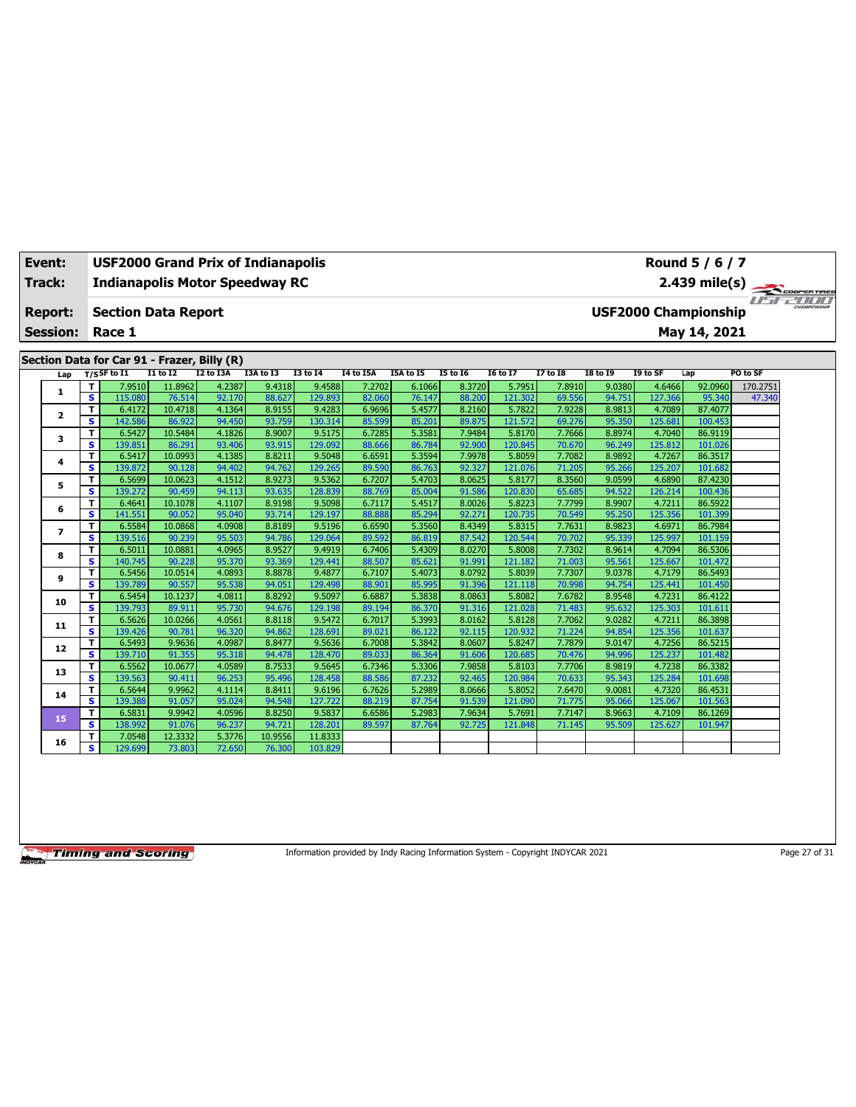|        | Event:          |        | <b>USF2000 Grand Prix of Indianapolis</b>   |                   |                  |                  |                             | Round 5 / 6 / 7  |                  |                  |                   |                  |                  |                   |                    |          |  |  |
|--------|-----------------|--------|---------------------------------------------|-------------------|------------------|------------------|-----------------------------|------------------|------------------|------------------|-------------------|------------------|------------------|-------------------|--------------------|----------|--|--|
| Track: |                 |        | <b>Indianapolis Motor Speedway RC</b>       |                   |                  |                  |                             |                  |                  |                  |                   |                  | 2.439 mile(s)    |                   |                    |          |  |  |
|        | <b>Report:</b>  |        | <b>Section Data Report</b>                  |                   |                  |                  | <b>USF2000 Championship</b> |                  |                  |                  |                   |                  |                  |                   |                    |          |  |  |
|        | <b>Session:</b> |        | Race 1                                      |                   |                  |                  |                             |                  |                  |                  |                   |                  | May 14, 2021     |                   |                    |          |  |  |
|        |                 |        |                                             |                   |                  |                  |                             |                  |                  |                  |                   |                  |                  |                   |                    |          |  |  |
|        |                 |        | Section Data for Car 91 - Frazer, Billy (R) |                   |                  |                  |                             |                  |                  |                  |                   |                  |                  |                   |                    |          |  |  |
|        | Lap             |        | $T/S$ SF to I1                              | <b>I1 to I2</b>   | <b>I2 to I3A</b> | I3A to I3        | <b>I3 to 14</b>             | <b>I4 to I5A</b> | I5A to I5        | <b>I5 to 16</b>  | <b>I6 to I7</b>   | <b>I7 to I8</b>  | <b>I8 to I9</b>  | I9 to SF          | Lap                | PO to SF |  |  |
|        |                 | т      | 7.9510                                      | 11.8962           | 4.2387           | 9.4318           | 9.4588                      | 7.2702           | 6.1066           | 8.3720           | 5.7951            | 7.8910           | 9.0380           | 4.6466            | 92.0960            | 170.2751 |  |  |
|        | 1               | s      | 115.080                                     | 76.514            | 92.170           | 88.627           | 129.893                     | 82.060           | 76.147           | 88.200           | 121.302           | 69.556           | 94.751           | 127.366           | 95.340             | 47.340   |  |  |
|        |                 | т      | 6.4172                                      | 10.4718           | 4.1364           | 8.9155           | 9.4283                      | 6.9696           | 5.4577           | 8.2160           | 5.7822            | 7.9228           | 8.9813           | 4.7089            | 87.4077            |          |  |  |
|        | $\mathbf{2}$    | s      | 142.586                                     | 86.922            | 94.450           | 93.759           | 130.314                     | 85.599           | 85.201           | 89.875           | 121.572           | 69.276           | 95.350           | 125.681           | 100.453            |          |  |  |
|        | 3               | т      | 6.5427                                      | 10.5484           | 4.1826           | 8.9007           | 9.5175                      | 6.7285           | 5.3581           | 7.9484           | 5.8170            | 7.7666           | 8.8974           | 4.7040            | 86.9119            |          |  |  |
|        |                 | s      | 139.851                                     | 86.291            | 93.406           | 93.915           | 129.092                     | 88.666           | 86.784           | 92.900           | 120.845           | 70.670           | 96.249           | 125.812           | 101.026            |          |  |  |
|        | 4               | T      | 6.5417                                      | 10.0993           | 4.1385           | 8.8211           | 9.5048                      | 6.6591           | 5.3594           | 7.9978           | 5.8059            | 7.7082           | 8.9892           | 4.7267            | 86.3517            |          |  |  |
|        |                 | s      | 139.872                                     | 90.128            | 94.402           | 94.762           | 129.265                     | 89.590           | 86.763           | 92.327           | 121.076           | 71.205           | 95.266           | 125.207           | 101.682            |          |  |  |
|        | 5               | T      | 6.5699                                      | 10.0623           | 4.1512           | 8.9273           | 9.5362                      | 6.7207           | 5.4703           | 8.0625           | 5.8177            | 8.3560           | 9.0599           | 4.6890            | 87.4230            |          |  |  |
|        |                 | s      | 139.272                                     | 90.459            | 94.113           | 93.635           | 128,839                     | 88.769           | 85.004           | 91.586           | 120.830           | 65.685           | 94.522           | 126.214           | 100.436            |          |  |  |
|        | 6               | т      | 6.4641                                      | 10.1078           | 4.1107           | 8.9198           | 9.5098                      | 6.7117           | 5.4517           | 8.0026           | 5.8223            | 7.7799           | 8.9907           | 4.7211            | 86.5922            |          |  |  |
|        |                 | s      | 141.551                                     | 90.052            | 95.040           | 93.714           | 129.197                     | 88.888           | 85.294           | 92.271           | 120.735           | 70.549           | 95.250           | 125.356           | 101.399            |          |  |  |
|        | $\overline{ }$  | т      | 6.5584                                      | 10.0868           | 4.0908           | 8.8189           | 9.5196                      | 6.6590           | 5.3560           | 8.4349           | 5.8315            | 7.7631           | 8.9823           | 4.6971            | 86.7984            |          |  |  |
|        |                 | s      | 139.516                                     | 90.239            | 95.503           | 94.786           | 129.064                     | 89.592           | 86.819           | 87.542           | 120.544           | 70.702           | 95.339           | 125.997           | 101.159            |          |  |  |
|        | 8               | T      | 6.5011                                      | 10.0881           | 4.0965           | 8.9527           | 9.4919                      | 6.7406           | 5.4309           | 8.0270           | 5.8008            | 7.7302           | 8.9614           | 4.7094            | 86.5306            |          |  |  |
|        |                 | s      | 140.745                                     | 90.228            | 95.370           | 93.369           | 129.441                     | 88.507           | 85.621           | 91.991           | 121.182           | 71.003           | 95.561           | 125.667           | 101.472            |          |  |  |
|        | 9               | T      | 6.5456                                      | 10.0514           | 4.0893           | 8.8878           | 9.4877                      | 6.7107           | 5.4073           | 8.0792           | 5.8039            | 7.7307           | 9.0378           | 4.7179            | 86.5493            |          |  |  |
|        |                 | s      | 139.789                                     | 90.557            | 95.538           | 94.051           | 129,498                     | 88.901           | 85.995           | 91.396           | 121.118           | 70.998           | 94.754           | 125.441           | 101.450            |          |  |  |
|        | 10              | т<br>s | 6.5454<br>139.793                           | 10.1237<br>89.911 | 4.0811<br>95.730 | 8.8292<br>94.676 | 9.5097<br>129.198           | 6.6887<br>89.194 | 5.3838<br>86.370 | 8.0863<br>91.316 | 5.8082<br>121.028 | 7.6782<br>71.483 | 8.9548<br>95.632 | 4.7231<br>125.303 | 86.4122<br>101.611 |          |  |  |
|        |                 | т      | 6.5626                                      | 10.0266           | 4.0561           | 8.8118           | 9.5472                      | 6.7017           | 5.3993           | 8.0162           | 5.8128            | 7.7062           | 9.0282           | 4.7211            | 86.3898            |          |  |  |
|        | 11              | s      | 139.426                                     | 90.781            | 96.320           | 94.862           | 128,691                     | 89.021           | 86.122           | 92.115           | 120.932           | 71.224           | 94.854           | 125.356           | 101.637            |          |  |  |
|        |                 | т      | 6.5493                                      | 9.9636            | 4.0987           | 8.8477           | 9.5636                      | 6.7008           | 5.3842           | 8.0607           | 5.8247            | 7.7879           | 9.0147           | 4.7256            | 86.5215            |          |  |  |
|        | 12              | s      | 139.710                                     | 91.355            | 95.318           | 94.478           | 128.470                     | 89.033           | 86.364           | 91.606           | 120.685           | 70.476           | 94.996           | 125.237           | 101.482            |          |  |  |
|        |                 | T      | 6.5562                                      | 10.0677           | 4.0589           | 8.7533           | 9.5645                      | 6.7346           | 5.3306           | 7.9858           | 5.8103            | 7.7706           | 8.9819           | 4.7238            | 86.3382            |          |  |  |
|        | 13              | s      | 139.563                                     | 90.411            | 96.253           | 95.496           | 128.458                     | 88.586           | 87.232           | 92.465           | 120.984           | 70.633           | 95.343           | 125.284           | 101.698            |          |  |  |
|        |                 | т      | 6.5644                                      | 9.9962            | 4.1114           | 8.8411           | 9.6196                      | 6.7626           | 5.2989           | 8.0666           | 5.8052            | 7.6470           | 9.0081           | 4.7320            | 86.4531            |          |  |  |
|        | 14              | s      | 139.388                                     | 91.057            | 95.024           | 94.548           | 127.722                     | 88.219           | 87.754           | 91.539           | 121.090           | 71.775           | 95.066           | 125.067           | 101.563            |          |  |  |
|        |                 | T      | 6.5831                                      | 9.9942            | 4.0596           | 8.8250           | 9.5837                      | 6.6586           | 5.2983           | 7.9634           | 5.7691            | 7.7147           | 8.9663           | 4.7109            | 86.1269            |          |  |  |
|        | 15              | s      | 138.992                                     | 91.076            | 96.237           | 94.721           | 128.201                     | 89.597           | 87.764           | 92.725           | 121.848           | 71.145           | 95.509           | 125.627           | 101.947            |          |  |  |
|        |                 | т      | 7.0548                                      | 12.3332           | 5.3776           | 10.9556          | 11.8333                     |                  |                  |                  |                   |                  |                  |                   |                    |          |  |  |
|        | 16              | s      | 129.699                                     | 73.803            | 72.650           | 76.300           | 103.829                     |                  |                  |                  |                   |                  |                  |                   |                    |          |  |  |

Information provided by Indy Racing Information System - Copyright INDYCAR 2021 Page 27 of 31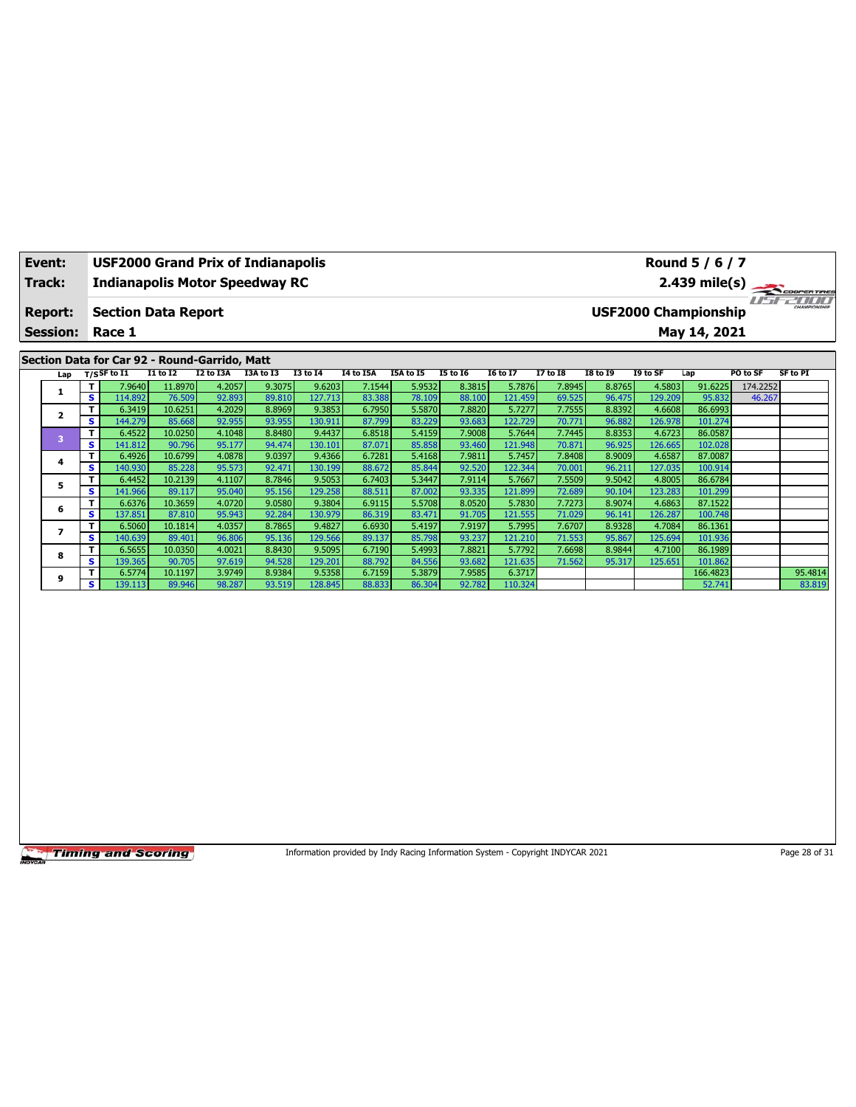| Event:<br>Track: |                                               |         | <b>USF2000 Grand Prix of Indianapolis</b> |                   |                  | <b>Indianapolis Motor Speedway RC</b> |                             |                  | Round 5 / 6 / 7<br>2.439 mile(s) |                  |                   |                  |                  |                   |                    |          |                   |
|------------------|-----------------------------------------------|---------|-------------------------------------------|-------------------|------------------|---------------------------------------|-----------------------------|------------------|----------------------------------|------------------|-------------------|------------------|------------------|-------------------|--------------------|----------|-------------------|
|                  | <b>Report:</b>                                |         | <b>Section Data Report</b>                |                   |                  |                                       | <b>USF2000 Championship</b> |                  |                                  |                  |                   |                  |                  |                   |                    |          |                   |
|                  | <b>Session:</b>                               |         | Race 1                                    |                   |                  |                                       |                             |                  |                                  | May 14, 2021     |                   |                  |                  |                   |                    |          |                   |
|                  | Section Data for Car 92 - Round-Garrido, Matt |         |                                           |                   |                  |                                       |                             |                  |                                  |                  |                   |                  |                  |                   |                    |          |                   |
|                  | Lap                                           |         | $T/S$ SF to $\overline{11}$               | <b>I1 to I2</b>   | I2 to I3A        | I3A to I3                             | 13 to 14                    | I4 to I5A        | I5A to I5                        | <b>I5 to 16</b>  | <b>16 to 17</b>   | 17 to 18         | <b>I8 to 19</b>  | I9 to SF          | Lap                | PO to SF | <b>SF to PI</b>   |
|                  | 1.                                            | т       | 7.9640                                    | 11.8970           | 4.2057           | 9.3075                                | 9.6203                      | 7.1544           | 5.9532                           | 8.3815           | 5.7876            | 7.8945           | 8.8765           | 4.5803            | 91.6225            | 174.2252 |                   |
|                  |                                               | s<br>т  | 114.892<br>6.3419                         | 76.509<br>10.6251 | 92.893<br>4.2029 | 89.810<br>8.8969                      | 127.713<br>9.3853           | 83.388<br>6.7950 | 78.109<br>5.5870                 | 88.100<br>7.8820 | 121.459<br>5.7277 | 69.525<br>7.7555 | 96.475<br>8.8392 | 129.209<br>4.6608 | 95.832<br>86.6993  | 46.267   |                   |
|                  | 2                                             | s       | 144.279                                   | 85.668            | 92.955           | 93.955                                | 130.911                     | 87.799           | 83.229                           | 93.683           | 122.729           | 70.771           | 96.882           | 126.978           | 101.274            |          |                   |
|                  |                                               | т       | 6.4522                                    | 10.0250           | 4.1048           | 8.8480                                | 9.4437                      | 6.8518           | 5.4159                           | 7.9008           | 5.7644            | 7.7445           | 8.8353           | 4.6723            | 86.0587            |          |                   |
|                  | 3                                             | s       | 141.812                                   | 90.796            | 95.177           | 94.474                                | 130.101                     | 87.071           | 85.858                           | 93.460           | 121.948           | 70.871           | 96.925           | 126.665           | 102.028            |          |                   |
|                  |                                               | T.      | 6.4926                                    | 10.6799           | 4.0878           | 9.0397                                | 9.4366                      | 6.7281           | 5.4168                           | 7.9811           | 5.7457            | 7.8408           | 8.9009           | 4.6587            | 87,0087            |          |                   |
|                  | 4                                             | s       | 140.930                                   | 85.228            | 95.573           | 92.471                                | 130.199                     | 88.672           | 85.844                           | 92.520           | 122.344           | 70.001           | 96.211           | 127.035           | 100.914            |          |                   |
|                  | 5                                             | T       | 6.4452                                    | 10.2139           | 4.1107           | 8.7846                                | 9.5053                      | 6.7403           | 5.3447                           | 7.9114           | 5.7667            | 7.5509           | 9.5042           | 4.8005            | 86.6784            |          |                   |
|                  |                                               | s       | 141.966                                   | 89.117            | 95.040           | 95.156                                | 129.258                     | 88.511           | 87,002                           | 93.335           | 121.899           | 72.689           | 90.104           | 123.283           | 101.299            |          |                   |
|                  | 6                                             | T       | 6.6376                                    | 10.3659           | 4.0720           | 9.0580                                | 9.3804                      | 6.9115           | 5.5708                           | 8.0520           | 5.7830            | 7.7273           | 8.9074           | 4.6863            | 87.1522            |          |                   |
|                  |                                               | s       | 137.851                                   | 87.810            | 95.943           | 92.284                                | 130.979                     | 86.319           | 83.471                           | 91.705           | 121.555           | 71.029           | 96.141           | 126.287           | 100.748            |          |                   |
|                  |                                               | T       | 6.5060                                    | 10.1814           | 4.0357           | 8.7865                                | 9.4827                      | 6.6930           | 5.4197                           | 7.9197           | 5.7995            | 7.6707           | 8.9328           | 4.7084            | 86.1361            |          |                   |
|                  |                                               | s       | 140.639                                   | 89.401            | 96.806           | 95.136                                | 129.566                     | 89.137           | 85.798                           | 93.237           | 121.210           | 71.553           | 95.867           | 125.694           | 101.936            |          |                   |
|                  | 8                                             | т<br>s. | 6.5655                                    | 10.0350           | 4.0021           | 8.8430                                | 9.5095                      | 6.7190           | 5.4993                           | 7.8821           | 5.7792            | 7.6698           | 8.9844           | 4.7100            | 86.1989            |          |                   |
|                  |                                               |         | 139.365                                   | 90.705            | 97.619           | 94.528                                | 129.201                     | 88.792           | 84.556                           | 93.682           | 121.635           | 71.562           | 95.317           | 125.651           | 101.862            |          |                   |
|                  | 9                                             | s.      | 6.5774<br>139.113                         | 10.1197<br>89.946 | 3.9749<br>98.287 | 8.9384<br>93.519                      | 9.5358<br>128.845           | 6.7159<br>88.833 | 5.3879<br>86.304                 | 7.9585<br>92.782 | 6.3717<br>110.324 |                  |                  |                   | 166.4823<br>52.741 |          | 95.4814<br>83.819 |
|                  |                                               |         |                                           |                   |                  |                                       |                             |                  |                                  |                  |                   |                  |                  |                   |                    |          |                   |

Information provided by Indy Racing Information System - Copyright INDYCAR 2021 Page 28 of 31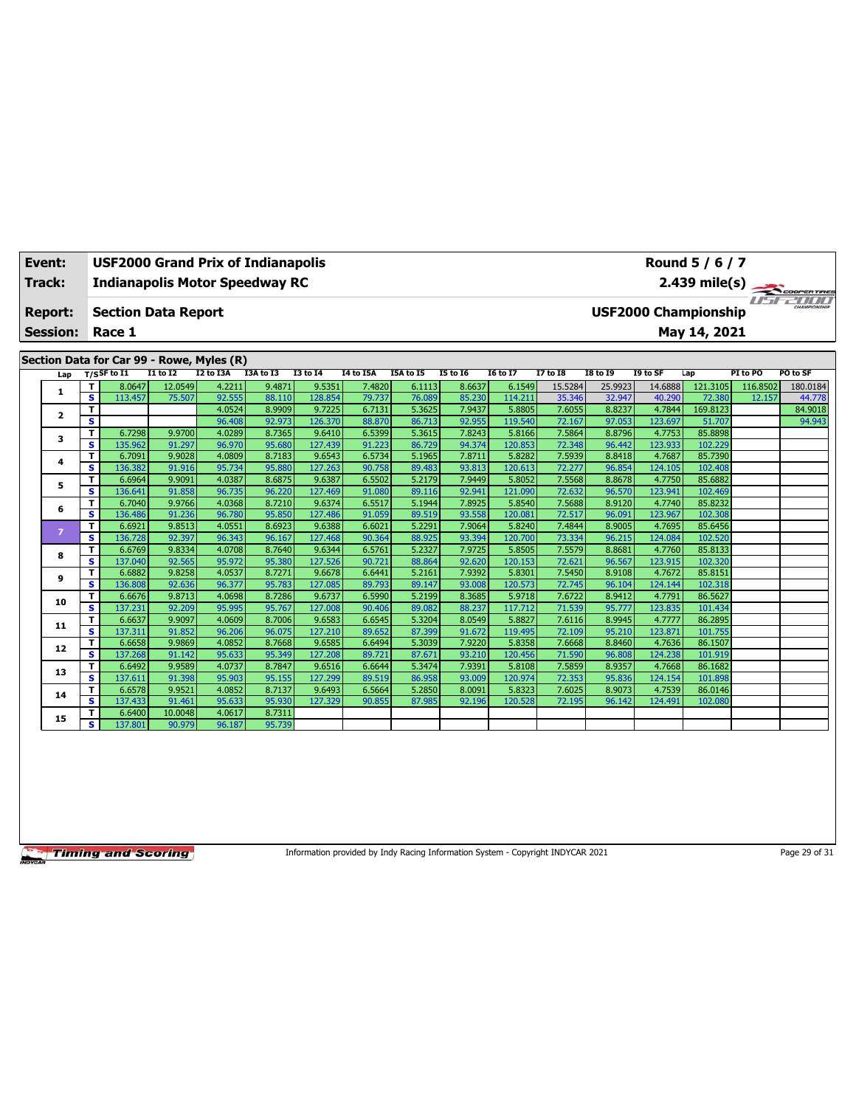|                                           | Event:<br><b>Track:</b> |        | <b>USF2000 Grand Prix of Indianapolis</b><br><b>Indianapolis Motor Speedway RC</b> |                  |                  |                  |                   |                  | Round $5/6/7$    |                  |                   |                  |                                             |                   |                    |          |                                    |  |  |  |
|-------------------------------------------|-------------------------|--------|------------------------------------------------------------------------------------|------------------|------------------|------------------|-------------------|------------------|------------------|------------------|-------------------|------------------|---------------------------------------------|-------------------|--------------------|----------|------------------------------------|--|--|--|
|                                           |                         |        |                                                                                    |                  |                  |                  |                   |                  |                  |                  |                   |                  |                                             |                   | $2.439$ mile(s)    |          | COOPERTIRES<br>u <del>srzoon</del> |  |  |  |
|                                           | <b>Report:</b>          |        | <b>Section Data Report</b>                                                         |                  |                  |                  |                   |                  |                  |                  |                   |                  | CHAMPIONSHIP<br><b>USF2000 Championship</b> |                   |                    |          |                                    |  |  |  |
|                                           | <b>Session:</b>         |        | Race 1                                                                             |                  |                  |                  |                   |                  |                  | May 14, 2021     |                   |                  |                                             |                   |                    |          |                                    |  |  |  |
| Section Data for Car 99 - Rowe, Myles (R) |                         |        |                                                                                    |                  |                  |                  |                   |                  |                  |                  |                   |                  |                                             |                   |                    |          |                                    |  |  |  |
|                                           | Lap                     |        | $T/S$ SF to I1                                                                     | $I1$ to $I2$     | I2 to I3A        | I3A to I3        | <b>I3 to 14</b>   | I4 to I5A        | I5A to I5        | <b>15 to 16</b>  | <b>16 to 17</b>   | <b>I7 to I8</b>  | <b>18 to 19</b>                             | I9 to SF          | Lap                | PI to PO | PO to SF                           |  |  |  |
|                                           | 1                       | т      | 8.0647                                                                             | 12.0549          | 4.2211           | 9.4871           | 9.5351            | 7.4820           | 6.1113           | 8.6637           | 6.1549            | 15.5284          | 25.9923                                     | 14.6888           | 121.3105           | 116.8502 | 180.0184                           |  |  |  |
|                                           |                         | s.     | 113.457                                                                            | 75.507           | 92.555           | 88.110           | 128.854           | 79.737           | 76.089           | 85.230           | 114.211           | 35.346           | 32.947                                      | 40.290            | 72.380             | 12.157   | 44.778                             |  |  |  |
|                                           | $\mathbf{2}$            | T      |                                                                                    |                  | 4.0524           | 8.9909           | 9.7225            | 6.7131           | 5.3625           | 7.9437           | 5.8805            | 7.6055           | 8.8237                                      | 4.7844            | 169.8123           |          | 84.9018                            |  |  |  |
|                                           |                         | s      |                                                                                    |                  | 96.408           | 92.973           | 126.370           | 88.870           | 86.713           | 92.955           | 119.540           | 72.167           | 97.053                                      | 123.697           | 51.707             |          | 94.943                             |  |  |  |
|                                           | 3                       | т      | 6.7298                                                                             | 9.9700           | 4.0289           | 8.7365           | 9.6410            | 6.5399           | 5.3615           | 7.8243           | 5.8166            | 7.5864           | 8.8796                                      | 4.7753            | 85.8898            |          |                                    |  |  |  |
|                                           |                         | s      | 135.962                                                                            | 91.297           | 96.970           | 95.680           | 127.439           | 91.223           | 86.729           | 94.374           | 120.853           | 72.348           | 96.442                                      | 123.933           | 102.229            |          |                                    |  |  |  |
|                                           | 4                       | T      | 6.7091                                                                             | 9.9028           | 4.0809           | 8.7183           | 9.6543            | 6.5734           | 5.1965           | 7.8711           | 5.8282            | 7.5939           | 8.8418                                      | 4.7687            | 85.7390            |          |                                    |  |  |  |
|                                           |                         | s      | 136.382                                                                            | 91.916           | 95.734           | 95.880           | 127.263           | 90.758           | 89.483           | 93.813           | 120.613           | 72.277           | 96.854                                      | 124.105           | 102.408            |          |                                    |  |  |  |
|                                           | 5                       | T      | 6.6964                                                                             | 9.9091           | 4.0387           | 8.6875           | 9.6387            | 6.5502           | 5.2179           | 7.9449           | 5.8052            | 7.5568           | 8.8678                                      | 4.7750            | 85.6882            |          |                                    |  |  |  |
|                                           |                         | s      | 136.641                                                                            | 91.858           | 96.735           | 96.220           | 127.469           | 91.080           | 89.116           | 92.941           | 121.090           | 72.632           | 96.570                                      | 123.941           | 102.469            |          |                                    |  |  |  |
|                                           | 6                       | т<br>s | 6.7040<br>136.486                                                                  | 9.9766<br>91.236 | 4.0368<br>96.780 | 8.7210<br>95.850 | 9.6374<br>127.486 | 6.5517<br>91.059 | 5.1944<br>89.519 | 7.8925<br>93.558 | 5.8540<br>120.081 | 7.5688<br>72.517 | 8.9120<br>96.091                            | 4.7740<br>123.967 | 85.8232<br>102.308 |          |                                    |  |  |  |
|                                           |                         | T      | 6.6921                                                                             | 9.8513           | 4.0551           | 8.6923           | 9.6388            | 6.6021           | 5.2291           | 7.9064           | 5.8240            | 7.4844           | 8.9005                                      | 4.7695            | 85.6456            |          |                                    |  |  |  |
|                                           | $\overline{7}$          | s      | 136.728                                                                            | 92.397           | 96.343           | 96.167           | 127,468           | 90.364           | 88.925           | 93.394           | 120,700           | 73.334           | 96.215                                      | 124.084           | 102.520            |          |                                    |  |  |  |
|                                           |                         | т      | 6.6769                                                                             | 9.8334           | 4.0708           | 8.7640           | 9.6344            | 6.5761           | 5.2327           | 7.9725           | 5.8505            | 7.5579           | 8.8681                                      | 4.7760            | 85.8133            |          |                                    |  |  |  |
|                                           | 8                       | s      | 137.040                                                                            | 92.565           | 95.972           | 95.380           | 127.526           | 90.721           | 88.864           | 92.620           | 120.153           | 72.621           | 96.567                                      | 123.915           | 102.320            |          |                                    |  |  |  |
|                                           |                         | т      | 6.6882                                                                             | 9.8258           | 4.0537           | 8.7271           | 9.6678            | 6.6441           | 5.2161           | 7.9392           | 5.8301            | 7.5450           | 8.9108                                      | 4.7672            | 85.8151            |          |                                    |  |  |  |
|                                           | 9                       | s      | 136.808                                                                            | 92.636           | 96.377           | 95.783           | 127.085           | 89.793           | 89.147           | 93.008           | 120.573           | 72.745           | 96.104                                      | 124.144           | 102.318            |          |                                    |  |  |  |
|                                           |                         | T      | 6.6676                                                                             | 9.8713           | 4.0698           | 8.7286           | 9.6737            | 6.5990           | 5.2199           | 8.3685           | 5.9718            | 7.6722           | 8.9412                                      | 4.7791            | 86.5627            |          |                                    |  |  |  |
|                                           | 10                      | s      | 137.231                                                                            | 92.209           | 95.995           | 95.767           | 127.008           | 90.406           | 89.082           | 88.237           | 117.712           | 71.539           | 95.777                                      | 123.835           | 101.434            |          |                                    |  |  |  |
|                                           |                         | т      | 6.6637                                                                             | 9.9097           | 4.0609           | 8.7006           | 9.6583            | 6.6545           | 5.3204           | 8.0549           | 5.8827            | 7.6116           | 8.9945                                      | 4.7777            | 86.2895            |          |                                    |  |  |  |
|                                           | 11                      | s      | 137.311                                                                            | 91.852           | 96.206           | 96.075           | 127.210           | 89.652           | 87.399           | 91.672           | 119.495           | 72.109           | 95.210                                      | 123.871           | 101.755            |          |                                    |  |  |  |
|                                           | 12                      | т      | 6.6658                                                                             | 9.9869           | 4.0852           | 8.7668           | 9.6585            | 6.6494           | 5.3039           | 7.9220           | 5.8358            | 7.6668           | 8.8460                                      | 4.7636            | 86.1507            |          |                                    |  |  |  |
|                                           |                         | s      | 137.268                                                                            | 91.142           | 95.633           | 95.349           | 127.208           | 89.721           | 87.671           | 93.210           | 120.456           | 71.590           | 96.808                                      | 124.238           | 101.919            |          |                                    |  |  |  |
|                                           | 13                      | т      | 6.6492                                                                             | 9.9589           | 4.0737           | 8.7847           | 9.6516            | 6.6644           | 5.3474           | 7.9391           | 5.8108            | 7.5859           | 8.9357                                      | 4.7668            | 86.1682            |          |                                    |  |  |  |
|                                           |                         | s      | 137.611                                                                            | 91.398           | 95.903           | 95.155           | 127.299           | 89.519           | 86.958           | 93.009           | 120.974           | 72.353           | 95.836                                      | 124.154           | 101.898            |          |                                    |  |  |  |
|                                           | 14                      | т      | 6.6578                                                                             | 9.9521           | 4.0852           | 8.7137           | 9.6493            | 6.5664           | 5.2850           | 8.0091           | 5.8323            | 7.6025           | 8.9073                                      | 4.7539            | 86.0146            |          |                                    |  |  |  |
|                                           |                         | s      | 137.433                                                                            | 91.461           | 95.633           | 95.930           | 127.329           | 90.855           | 87,985           | 92.196           | 120.528           | 72.195           | 96.142                                      | 124.491           | 102.080            |          |                                    |  |  |  |
|                                           | 15                      | т      | 6.6400                                                                             | 10.0048          | 4.0617           | 8.7311           |                   |                  |                  |                  |                   |                  |                                             |                   |                    |          |                                    |  |  |  |
|                                           |                         | s      | 137.801                                                                            | 90.979           | 96.187           | 95.739           |                   |                  |                  |                  |                   |                  |                                             |                   |                    |          |                                    |  |  |  |

Information provided by Indy Racing Information System - Copyright INDYCAR 2021 Page 29 of 31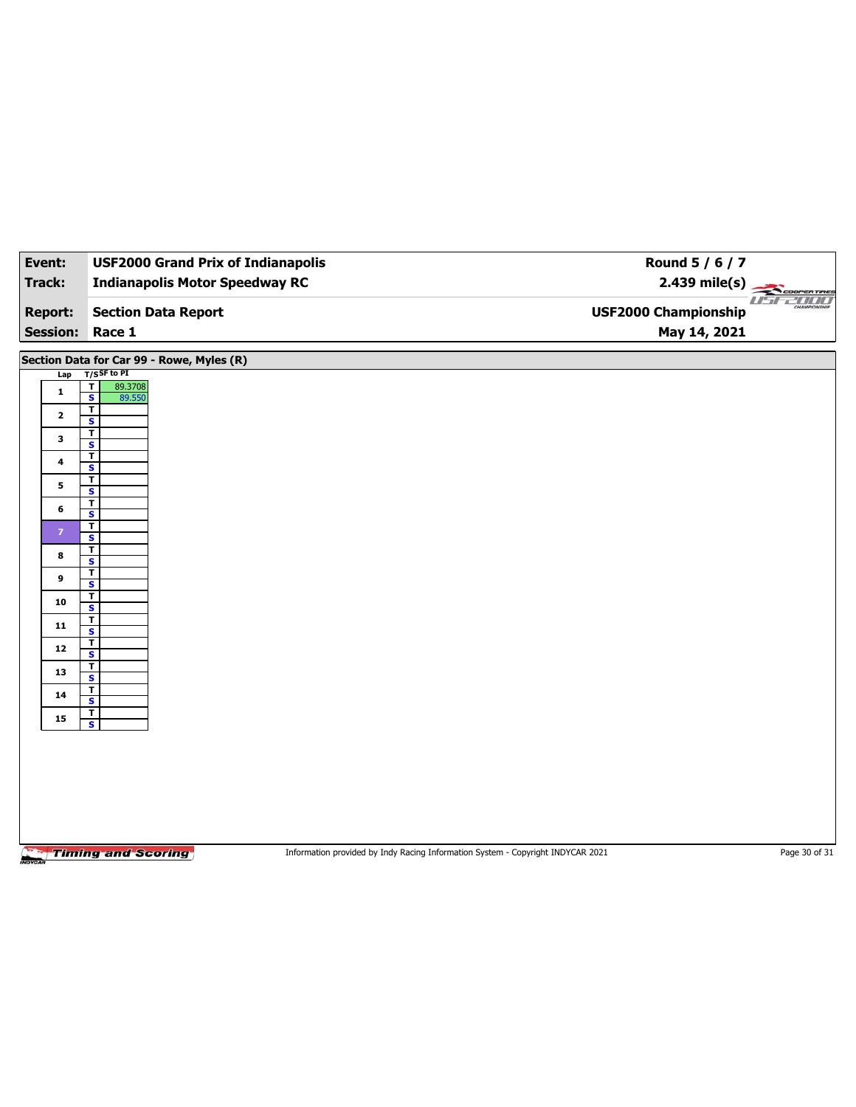| Event:                  | <b>USF2000 Grand Prix of Indianapolis</b>                      | Round 5 / 6 / 7             |  |  |  |  |  |  |  |  |
|-------------------------|----------------------------------------------------------------|-----------------------------|--|--|--|--|--|--|--|--|
| <b>Track:</b>           | <b>Indianapolis Motor Speedway RC</b>                          | $2.439 \text{ mile(s)}$     |  |  |  |  |  |  |  |  |
|                         |                                                                | u <del>sr2nor</del>         |  |  |  |  |  |  |  |  |
| <b>Report:</b>          | <b>Section Data Report</b>                                     | <b>USF2000 Championship</b> |  |  |  |  |  |  |  |  |
| Session: Race 1         |                                                                | May 14, 2021                |  |  |  |  |  |  |  |  |
|                         | Section Data for Car 99 - Rowe, Myles (R)                      |                             |  |  |  |  |  |  |  |  |
| Lap                     | $T/S$ SF to PI                                                 |                             |  |  |  |  |  |  |  |  |
| $\mathbf{1}$            | $\overline{1}$<br>89.3708<br>$\overline{\mathbf{s}}$<br>89.550 |                             |  |  |  |  |  |  |  |  |
| $\overline{2}$          | $\overline{\mathsf{T}}$<br>$\mathbf{s}$                        |                             |  |  |  |  |  |  |  |  |
| 3                       | $\mathbf T$                                                    |                             |  |  |  |  |  |  |  |  |
| $\overline{\mathbf{4}}$ | $\overline{\mathbf{s}}$<br>$\overline{\mathbf{r}}$             |                             |  |  |  |  |  |  |  |  |
|                         | $\mathbf{s}$                                                   |                             |  |  |  |  |  |  |  |  |
| 5                       | $\mathbf T$<br>$\overline{\mathbf{s}}$                         |                             |  |  |  |  |  |  |  |  |
| 6                       | $\overline{\mathbf{r}}$<br>$\mathbf{s}$                        |                             |  |  |  |  |  |  |  |  |
| $\mathbf{7}$            | $\overline{\mathbf{I}}$                                        |                             |  |  |  |  |  |  |  |  |
| 8                       | $\overline{\mathbf{s}}$<br>$\overline{\mathbf{r}}$             |                             |  |  |  |  |  |  |  |  |
|                         | $\overline{\mathbf{s}}$<br>$\overline{\mathbf{r}}$             |                             |  |  |  |  |  |  |  |  |
| 9                       | $\overline{\mathbf{s}}$                                        |                             |  |  |  |  |  |  |  |  |
| 10                      | T<br>$\overline{\mathbf{s}}$                                   |                             |  |  |  |  |  |  |  |  |
| 11                      | $\overline{\mathbf{r}}$                                        |                             |  |  |  |  |  |  |  |  |
| ${\bf 12}$              | $\overline{\mathbf{s}}$<br>$\overline{\mathbf{r}}$             |                             |  |  |  |  |  |  |  |  |
|                         | $\overline{\mathbf{s}}$<br>$\mathbf T$                         |                             |  |  |  |  |  |  |  |  |
| 13                      | $\overline{\mathbf{s}}$                                        |                             |  |  |  |  |  |  |  |  |
| ${\bf 14}$              | $\overline{\mathbf{r}}$<br>$\overline{\mathbf{s}}$             |                             |  |  |  |  |  |  |  |  |
| 15                      | $\overline{\mathbf{r}}$<br>$\overline{\mathbf{s}}$             |                             |  |  |  |  |  |  |  |  |
|                         |                                                                |                             |  |  |  |  |  |  |  |  |
|                         |                                                                |                             |  |  |  |  |  |  |  |  |
|                         |                                                                |                             |  |  |  |  |  |  |  |  |
|                         |                                                                |                             |  |  |  |  |  |  |  |  |

Information provided by Indy Racing Information System - Copyright INDYCAR 2021 Page 30 of 31